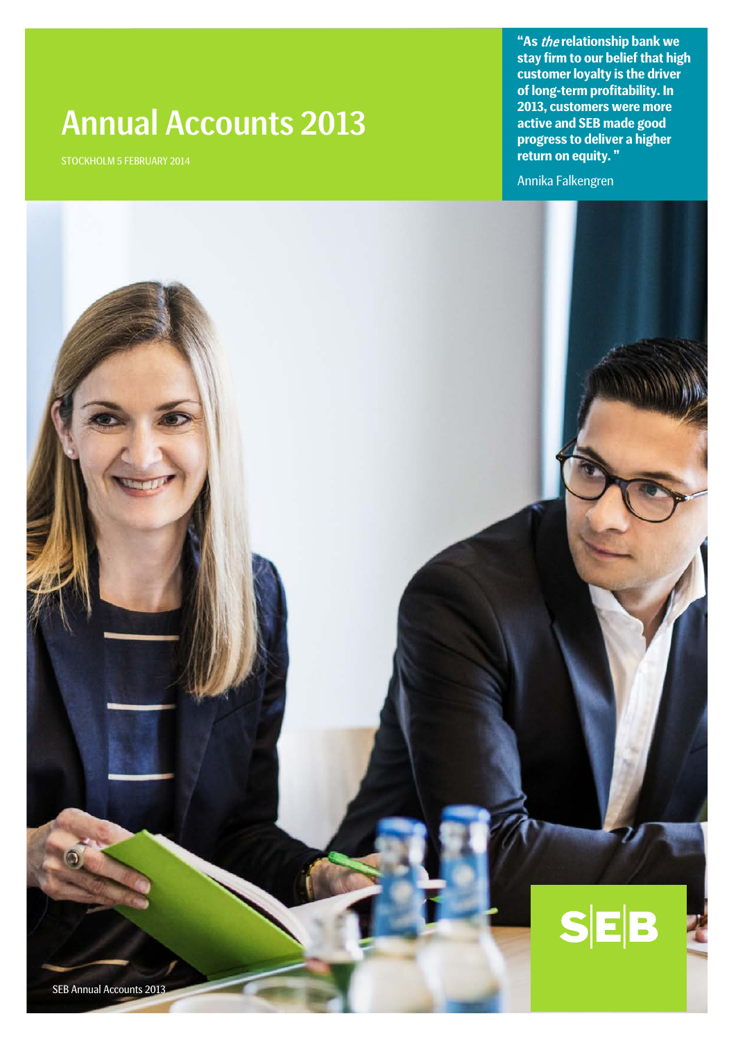# Annual Accounts 2013

STOCKHOLM 5 FEBRUARY 2014

**"As** the **relationship bank we stay firm to our belief that high customer loyalty is the driver of long-term profitability. In 2013, customers were more active and SEB made good progress to deliver a higher return on equity. "**

Annika Falkengren



SEB Annual Accounts 2013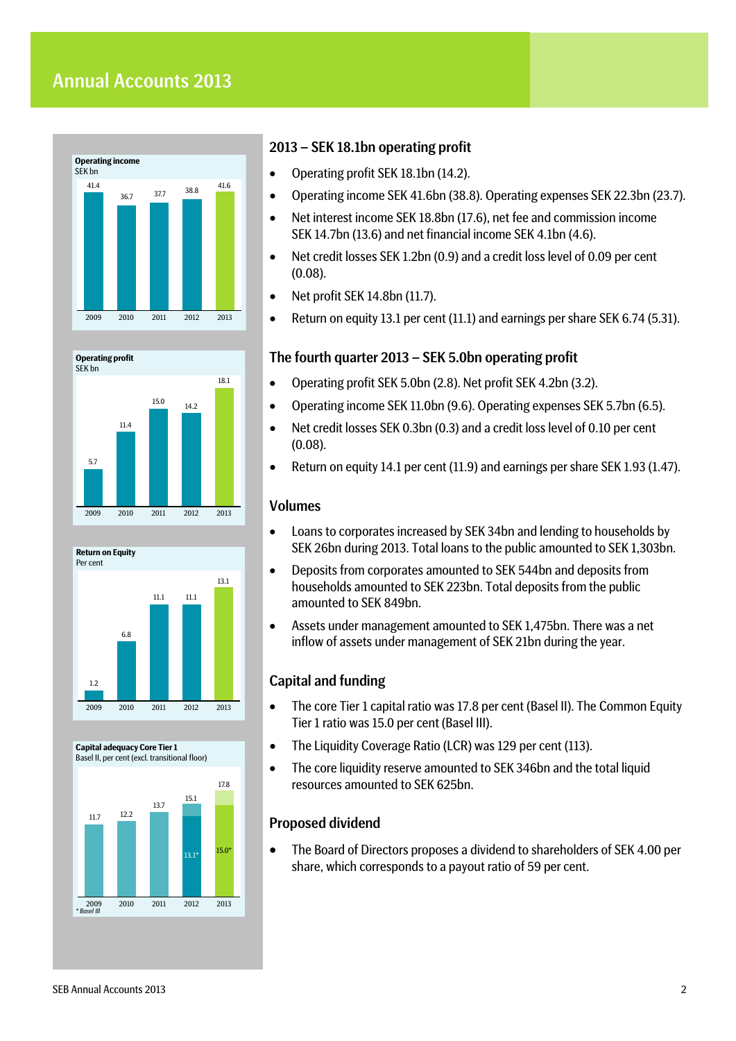





#### **Capital adequacy Core Tier 1** Basel II, per cent (excl. transitional floor)



### 2013 – SEK 18.1bn operating profit

- Operating profit SEK 18.1bn (14.2).
- Operating income SEK 41.6bn (38.8). Operating expenses SEK 22.3bn (23.7).
- Net interest income SEK 18.8bn (17.6), net fee and commission income SEK 14.7bn (13.6) and net financial income SEK 4.1bn (4.6).
- Net credit losses SEK 1.2bn (0.9) and a credit loss level of 0.09 per cent (0.08).
- Net profit SEK 14.8bn (11.7).
- Return on equity 13.1 per cent (11.1) and earnings per share SEK 6.74 (5.31).

## The fourth quarter 2013 – SEK 5.0bn operating profit

- Operating profit SEK 5.0bn (2.8). Net profit SEK 4.2bn (3.2).
- Operating income SEK 11.0bn (9.6). Operating expenses SEK 5.7bn (6.5).
- Net credit losses SEK 0.3bn (0.3) and a credit loss level of 0.10 per cent (0.08).
- Return on equity 14.1 per cent (11.9) and earnings per share SEK 1.93 (1.47).

## Volumes

- Loans to corporates increased by SEK 34bn and lending to households by SEK 26bn during 2013. Total loans to the public amounted to SEK 1,303bn.
- Deposits from corporates amounted to SEK 544bn and deposits from households amounted to SEK 223bn. Total deposits from the public amounted to SEK 849bn.
- Assets under management amounted to SEK 1,475bn. There was a net inflow of assets under management of SEK 21bn during the year.

## Capital and funding

- The core Tier 1 capital ratio was 17.8 per cent (Basel II). The Common Equity Tier 1 ratio was 15.0 per cent (Basel III).
- The Liquidity Coverage Ratio (LCR) was 129 per cent (113).
- The core liquidity reserve amounted to SEK 346bn and the total liquid resources amounted to SEK 625bn.

## Proposed dividend

• The Board of Directors proposes a dividend to shareholders of SEK 4.00 per share, which corresponds to a payout ratio of 59 per cent.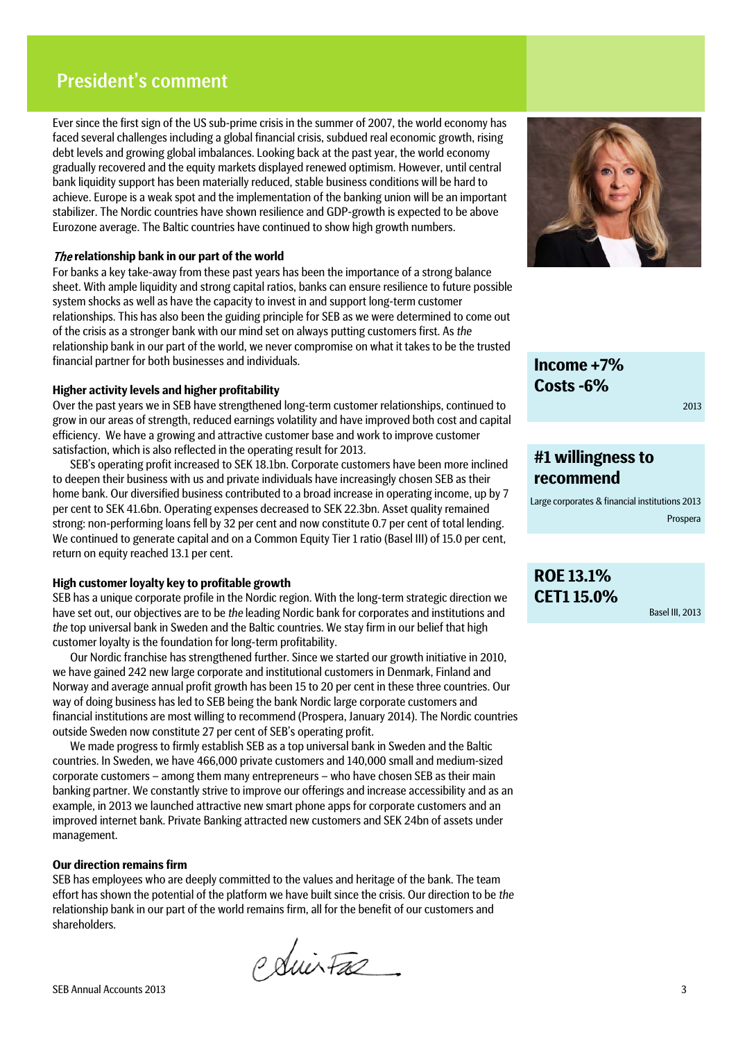## President's comment

Ever since the first sign of the US sub-prime crisis in the summer of 2007, the world economy has faced several challenges including a global financial crisis, subdued real economic growth, rising debt levels and growing global imbalances. Looking back at the past year, the world economy gradually recovered and the equity markets displayed renewed optimism. However, until central bank liquidity support has been materially reduced, stable business conditions will be hard to achieve. Europe is a weak spot and the implementation of the banking union will be an important stabilizer. The Nordic countries have shown resilience and GDP-growth is expected to be above Eurozone average. The Baltic countries have continued to show high growth numbers.

### The **relationship bank in our part of the world**

For banks a key take-away from these past years has been the importance of a strong balance sheet. With ample liquidity and strong capital ratios, banks can ensure resilience to future possible system shocks as well as have the capacity to invest in and support long-term customer relationships. This has also been the guiding principle for SEB as we were determined to come out of the crisis as a stronger bank with our mind set on always putting customers first. As *the* relationship bank in our part of the world, we never compromise on what it takes to be the trusted financial partner for both businesses and individuals.

### **Higher activity levels and higher profitability**

Over the past years we in SEB have strengthened long-term customer relationships, continued to grow in our areas of strength, reduced earnings volatility and have improved both cost and capital efficiency. We have a growing and attractive customer base and work to improve customer satisfaction, which is also reflected in the operating result for 2013.

SEB's operating profit increased to SEK 18.1bn. Corporate customers have been more inclined to deepen their business with us and private individuals have increasingly chosen SEB as their home bank. Our diversified business contributed to a broad increase in operating income, up by 7 per cent to SEK 41.6bn. Operating expenses decreased to SEK 22.3bn. Asset quality remained strong: non-performing loans fell by 32 per cent and now constitute 0.7 per cent of total lending. We continued to generate capital and on a Common Equity Tier 1 ratio (Basel III) of 15.0 per cent, return on equity reached 13.1 per cent.

### **High customer loyalty key to profitable growth**

SEB has a unique corporate profile in the Nordic region. With the long-term strategic direction we have set out, our objectives are to be *the* leading Nordic bank for corporates and institutions and *the* top universal bank in Sweden and the Baltic countries. We stay firm in our belief that high customer loyalty is the foundation for long-term profitability.

Our Nordic franchise has strengthened further. Since we started our growth initiative in 2010, we have gained 242 new large corporate and institutional customers in Denmark, Finland and Norway and average annual profit growth has been 15 to 20 per cent in these three countries. Our way of doing business has led to SEB being the bank Nordic large corporate customers and financial institutions are most willing to recommend (Prospera, January 2014). The Nordic countries outside Sweden now constitute 27 per cent of SEB's operating profit.

We made progress to firmly establish SEB as a top universal bank in Sweden and the Baltic countries. In Sweden, we have 466,000 private customers and 140,000 small and medium-sized corporate customers – among them many entrepreneurs – who have chosen SEB as their main banking partner. We constantly strive to improve our offerings and increase accessibility and as an example, in 2013 we launched attractive new smart phone apps for corporate customers and an improved internet bank. Private Banking attracted new customers and SEK 24bn of assets under management.

#### **Our direction remains firm**

SEB has employees who are deeply committed to the values and heritage of the bank. The team effort has shown the potential of the platform we have built since the crisis. Our direction to be *the* relationship bank in our part of the world remains firm, all for the benefit of our customers and shareholders.

Policitas



**Income +7% Costs -6%**

2013

## **#1 willingness to recommend**

Large corporates & financial institutions 2013 Prospera

## **ROE 13.1% CET1 15.0%**

Basel III, 2013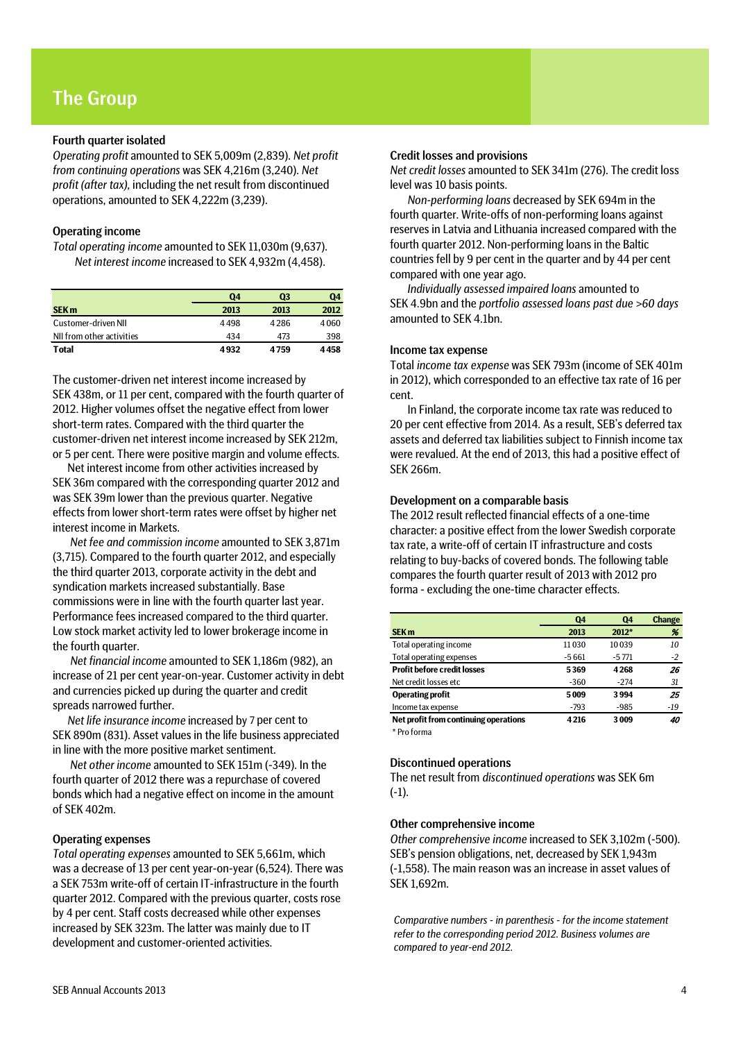## The Group

### Fourth quarter isolated

*Operating profit* amounted to SEK 5,009m (2,839). *Net profit from continuing operations* was SEK 4,216m (3,240). *Net profit (after tax),* including the net result from discontinued operations, amounted to SEK 4,222m (3,239).

### Operating income

*Total operating income* amounted to SEK 11,030m (9,637). *Net interest income* increased to SEK 4,932m (4,458).

|                           | Q <sub>4</sub> | Q3   | Q4   |
|---------------------------|----------------|------|------|
| <b>SEK m</b>              | 2013           | 2013 | 2012 |
| Customer-driven NII       | 4498           | 4286 | 4060 |
| NII from other activities | 434            | 473  | 398  |
| <b>Total</b>              | 4932           | 4759 | 4458 |

The customer-driven net interest income increased by SEK 438m, or 11 per cent, compared with the fourth quarter of 2012. Higher volumes offset the negative effect from lower short-term rates. Compared with the third quarter the customer-driven net interest income increased by SEK 212m, or 5 per cent. There were positive margin and volume effects.

Net interest income from other activities increased by SEK 36m compared with the corresponding quarter 2012 and was SEK 39m lower than the previous quarter. Negative effects from lower short-term rates were offset by higher net interest income in Markets.

*Net fee and commission income* amounted to SEK 3,871m (3,715). Compared to the fourth quarter 2012, and especially the third quarter 2013, corporate activity in the debt and syndication markets increased substantially. Base commissions were in line with the fourth quarter last year. Performance fees increased compared to the third quarter. Low stock market activity led to lower brokerage income in the fourth quarter.

*Net financial income* amounted to SEK 1,186m (982), an increase of 21 per cent year-on-year. Customer activity in debt and currencies picked up during the quarter and credit spreads narrowed further.

*Net life insurance income* increased by 7 per cent to SEK 890m (831). Asset values in the life business appreciated in line with the more positive market sentiment.

*Net other income* amounted to SEK 151m (-349). In the fourth quarter of 2012 there was a repurchase of covered bonds which had a negative effect on income in the amount of SEK 402m.

### Operating expenses

*Total operating expenses* amounted to SEK 5,661m, which was a decrease of 13 per cent year-on-year (6,524). There was a SEK 753m write-off of certain IT-infrastructure in the fourth quarter 2012. Compared with the previous quarter, costs rose by 4 per cent. Staff costs decreased while other expenses increased by SEK 323m. The latter was mainly due to IT development and customer-oriented activities.

### Credit losses and provisions

*Net credit losses* amounted to SEK 341m (276). The credit loss level was 10 basis points.

*Non-performing loans* decreased by SEK 694m in the fourth quarter. Write-offs of non-performing loans against reserves in Latvia and Lithuania increased compared with the fourth quarter 2012. Non-performing loans in the Baltic countries fell by 9 per cent in the quarter and by 44 per cent compared with one year ago.

*Individually assessed impaired loans* amounted to SEK 4.9bn and the *portfolio assessed loans past due >60 days* amounted to SEK 4.1bn.

### Income tax expense

Total *income tax expense* was SEK 793m (income of SEK 401m in 2012), which corresponded to an effective tax rate of 16 per cent.

In Finland, the corporate income tax rate was reduced to 20 per cent effective from 2014. As a result, SEB's deferred tax assets and deferred tax liabilities subject to Finnish income tax were revalued. At the end of 2013, this had a positive effect of SEK 266m.

### Development on a comparable basis

The 2012 result reflected financial effects of a one-time character: a positive effect from the lower Swedish corporate tax rate, a write-off of certain IT infrastructure and costs relating to buy-backs of covered bonds. The following table compares the fourth quarter result of 2013 with 2012 pro forma - excluding the one-time character effects.

|                                       | Q4      | Q <sub>4</sub> | <b>Change</b> |
|---------------------------------------|---------|----------------|---------------|
| SEK <sub>m</sub>                      | 2013    | 2012*          | %             |
| Total operating income                | 11030   | 10039          | 10            |
| Total operating expenses              | $-5661$ | $-5771$        | $-2$          |
| <b>Profit before credit losses</b>    | 5369    | 4268           | 26            |
| Net credit losses etc                 | $-360$  | $-274$         | 31            |
| <b>Operating profit</b>               | 5009    | 3994           | 25            |
| Income tax expense                    | $-793$  | $-985$         | -19           |
| Net profit from continuing operations | 4216    | 3009           | 40            |
| $*$ Due formed                        |         |                |               |

Pro forma

### Discontinued operations

The net result from *discontinued operations* was SEK 6m (-1).

### Other comprehensive income

*Other comprehensive income* increased to SEK 3,102m (-500). SEB's pension obligations, net, decreased by SEK 1,943m (-1,558). The main reason was an increase in asset values of SEK 1,692m.

*Comparative numbers - in parenthesis - for the income statement refer to the corresponding period 2012. Business volumes are compared to year-end 2012.*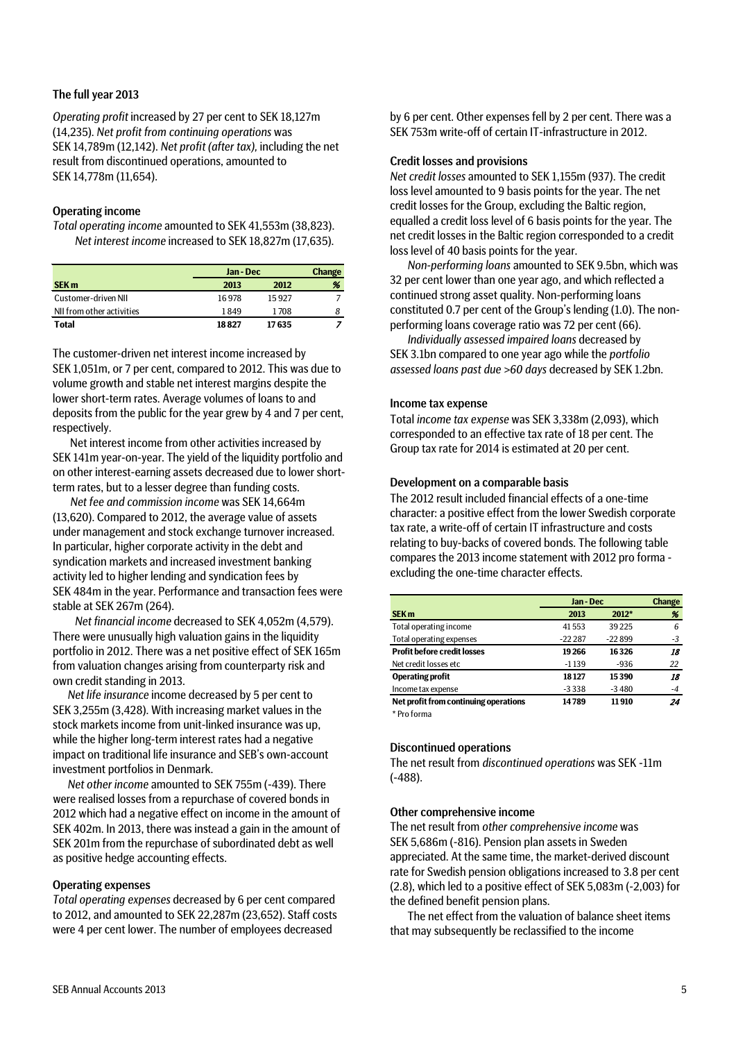### The full year 2013

*Operating profit* increased by 27 per cent to SEK 18,127m (14,235). *Net profit from continuing operations* was SEK 14,789m (12,142). *Net profit (after tax),* including the net result from discontinued operations, amounted to SEK 14,778m (11,654).

### Operating income

*Total operating income* amounted to SEK 41,553m (38,823). *Net interest income* increased to SEK 18,827m (17,635).

|                           |       | Jan - Dec |   |  |  |
|---------------------------|-------|-----------|---|--|--|
| <b>SEK m</b>              | 2013  | 2012      | % |  |  |
| Customer-driven NII       | 16978 | 15927     |   |  |  |
| NII from other activities | 1849  | 1708      |   |  |  |
| <b>Total</b>              | 18827 | 17635     |   |  |  |

The customer-driven net interest income increased by SEK 1,051m, or 7 per cent, compared to 2012. This was due to volume growth and stable net interest margins despite the lower short-term rates. Average volumes of loans to and deposits from the public for the year grew by 4 and 7 per cent, respectively.

Net interest income from other activities increased by SEK 141m year-on-year. The yield of the liquidity portfolio and on other interest-earning assets decreased due to lower shortterm rates, but to a lesser degree than funding costs.

*Net fee and commission income* was SEK 14,664m (13,620). Compared to 2012, the average value of assets under management and stock exchange turnover increased. In particular, higher corporate activity in the debt and syndication markets and increased investment banking activity led to higher lending and syndication fees by SEK 484m in the year. Performance and transaction fees were stable at SEK 267m (264).

*Net financial income* decreased to SEK 4,052m (4,579). There were unusually high valuation gains in the liquidity portfolio in 2012. There was a net positive effect of SEK 165m from valuation changes arising from counterparty risk and own credit standing in 2013.

*Net life insurance* income decreased by 5 per cent to SEK 3,255m (3,428). With increasing market values in the stock markets income from unit-linked insurance was up, while the higher long-term interest rates had a negative impact on traditional life insurance and SEB's own-account investment portfolios in Denmark.

*Net other income* amounted to SEK 755m (-439). There were realised losses from a repurchase of covered bonds in 2012 which had a negative effect on income in the amount of SEK 402m. In 2013, there was instead a gain in the amount of SEK 201m from the repurchase of subordinated debt as well as positive hedge accounting effects.

### Operating expenses

*Total operating expenses* decreased by 6 per cent compared to 2012, and amounted to SEK 22,287m (23,652). Staff costs were 4 per cent lower. The number of employees decreased

by 6 per cent. Other expenses fell by 2 per cent. There was a SEK 753m write-off of certain IT-infrastructure in 2012.

### Credit losses and provisions

*Net credit losses* amounted to SEK 1,155m (937). The credit loss level amounted to 9 basis points for the year. The net credit losses for the Group, excluding the Baltic region, equalled a credit loss level of 6 basis points for the year. The net credit losses in the Baltic region corresponded to a credit loss level of 40 basis points for the year.

*Non-performing loans* amounted to SEK 9.5bn, which was 32 per cent lower than one year ago, and which reflected a continued strong asset quality. Non-performing loans constituted 0.7 per cent of the Group's lending (1.0). The nonperforming loans coverage ratio was 72 per cent (66).

*Individually assessed impaired loans* decreased by SEK 3.1bn compared to one year ago while the *portfolio assessed loans past due >60 days* decreased by SEK 1.2bn.

#### Income tax expense

Total *income tax expense* was SEK 3,338m (2,093), which corresponded to an effective tax rate of 18 per cent. The Group tax rate for 2014 is estimated at 20 per cent.

### Development on a comparable basis

The 2012 result included financial effects of a one-time character: a positive effect from the lower Swedish corporate tax rate, a write-off of certain IT infrastructure and costs relating to buy-backs of covered bonds. The following table compares the 2013 income statement with 2012 pro forma excluding the one-time character effects.

|                                       | Jan - Dec | <b>Change</b> |      |
|---------------------------------------|-----------|---------------|------|
| SEK <sub>m</sub>                      | 2013      | $2012*$       | %    |
| Total operating income                | 41553     | 39225         | 6    |
| <b>Total operating expenses</b>       | $-222287$ | $-22899$      | -3   |
| <b>Profit before credit losses</b>    | 19 266    | 16326         | 18   |
| Net credit losses etc                 | $-1139$   | $-936$        | 22   |
| <b>Operating profit</b>               | 18127     | 15390         | 18   |
| Income tax expense                    | $-3338$   | $-3480$       | $-4$ |
| Net profit from continuing operations | 14789     | 11910         | 24   |
| $*$ D <sub>1</sub> = f =  = =         |           |               |      |

Pro forma

### Discontinued operations

The net result from *discontinued operations* was SEK -11m (-488).

#### Other comprehensive income

The net result from *other comprehensive income* was SEK 5,686m (-816). Pension plan assets in Sweden appreciated. At the same time, the market-derived discount rate for Swedish pension obligations increased to 3.8 per cent (2.8), which led to a positive effect of SEK 5,083m (-2,003) for the defined benefit pension plans.

The net effect from the valuation of balance sheet items that may subsequently be reclassified to the income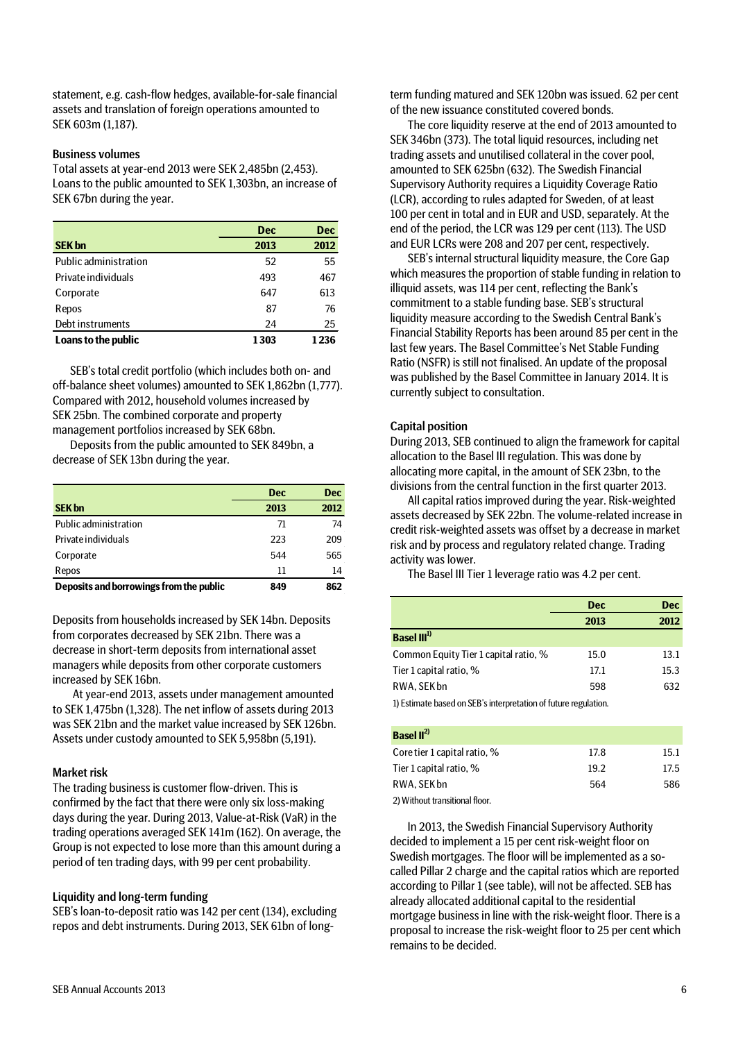statement, e.g. cash-flow hedges, available-for-sale financial assets and translation of foreign operations amounted to SEK 603m (1,187).

### Business volumes

Total assets at year-end 2013 were SEK 2,485bn (2,453). Loans to the public amounted to SEK 1,303bn, an increase of SEK 67bn during the year.

|                       | <b>Dec</b> | <b>Dec</b> |
|-----------------------|------------|------------|
| <b>SEK bn</b>         | 2013       | 2012       |
| Public administration | 52         | 55         |
| Private individuals   | 493        | 467        |
| Corporate             | 647        | 613        |
| Repos                 | 87         | 76         |
| Debt instruments      | 24         | 25         |
| Loans to the public   | 1303       | 1 2 3 6    |

SEB's total credit portfolio (which includes both on- and off-balance sheet volumes) amounted to SEK 1,862bn (1,777). Compared with 2012, household volumes increased by SEK 25bn. The combined corporate and property management portfolios increased by SEK 68bn.

Deposits from the public amounted to SEK 849bn, a decrease of SEK 13bn during the year.

|                                         | <b>Dec</b> | <b>Dec</b> |
|-----------------------------------------|------------|------------|
| <b>SEK bn</b>                           | 2013       | 2012       |
| Public administration                   | 71         | 74         |
| Private individuals                     | 223        | 209        |
| Corporate                               | 544        | 565        |
| Repos                                   | 11         | 14         |
| Deposits and borrowings from the public | 849        | 862        |

Deposits from households increased by SEK 14bn. Deposits from corporates decreased by SEK 21bn. There was a decrease in short-term deposits from international asset managers while deposits from other corporate customers increased by SEK 16bn.

At year-end 2013, assets under management amounted to SEK 1,475bn (1,328). The net inflow of assets during 2013 was SEK 21bn and the market value increased by SEK 126bn. Assets under custody amounted to SEK 5,958bn (5,191).

#### Market risk

The trading business is customer flow-driven. This is confirmed by the fact that there were only six loss-making days during the year. During 2013, Value-at-Risk (VaR) in the trading operations averaged SEK 141m (162). On average, the Group is not expected to lose more than this amount during a period of ten trading days, with 99 per cent probability.

#### Liquidity and long-term funding

SEB's loan-to-deposit ratio was 142 per cent (134), excluding repos and debt instruments. During 2013, SEK 61bn of longterm funding matured and SEK 120bn was issued. 62 per cent of the new issuance constituted covered bonds.

The core liquidity reserve at the end of 2013 amounted to SEK 346bn (373). The total liquid resources, including net trading assets and unutilised collateral in the cover pool, amounted to SEK 625bn (632). The Swedish Financial Supervisory Authority requires a Liquidity Coverage Ratio (LCR), according to rules adapted for Sweden, of at least 100 per cent in total and in EUR and USD, separately. At the end of the period, the LCR was 129 per cent (113). The USD and EUR LCRs were 208 and 207 per cent, respectively.

SEB's internal structural liquidity measure, the Core Gap which measures the proportion of stable funding in relation to illiquid assets, was 114 per cent, reflecting the Bank's commitment to a stable funding base. SEB's structural liquidity measure according to the Swedish Central Bank's Financial Stability Reports has been around 85 per cent in the last few years. The Basel Committee's Net Stable Funding Ratio (NSFR) is still not finalised. An update of the proposal was published by the Basel Committee in January 2014. It is currently subject to consultation.

### Capital position

During 2013, SEB continued to align the framework for capital allocation to the Basel III regulation. This was done by allocating more capital, in the amount of SEK 23bn, to the divisions from the central function in the first quarter 2013.

All capital ratios improved during the year. Risk-weighted assets decreased by SEK 22bn. The volume-related increase in credit risk-weighted assets was offset by a decrease in market risk and by process and regulatory related change. Trading activity was lower.

The Basel III Tier 1 leverage ratio was 4.2 per cent.

|                                                                 | <b>Dec</b> | <b>Dec</b> |
|-----------------------------------------------------------------|------------|------------|
|                                                                 | 2013       | 2012       |
| Basel III <sup>1)</sup>                                         |            |            |
| Common Equity Tier 1 capital ratio, %                           | 15.0       | 13.1       |
| Tier 1 capital ratio, %                                         | 17.1       | 15.3       |
| RWA, SEK bn                                                     | 598        | 632        |
| 1) Estimate based on SEB's interpretation of future regulation. |            |            |

| <b>Basel</b> $II^{2}$        |      |      |
|------------------------------|------|------|
| Core tier 1 capital ratio, % | 17.8 | 15.1 |
| Tier 1 capital ratio, %      | 19.2 | 17.5 |
| RWA. SEK bn                  | 564  | 586  |
|                              |      |      |

2) Without transitional floor.

In 2013, the Swedish Financial Supervisory Authority decided to implement a 15 per cent risk-weight floor on Swedish mortgages. The floor will be implemented as a socalled Pillar 2 charge and the capital ratios which are reported according to Pillar 1 (see table), will not be affected. SEB has already allocated additional capital to the residential mortgage business in line with the risk-weight floor. There is a proposal to increase the risk-weight floor to 25 per cent which remains to be decided.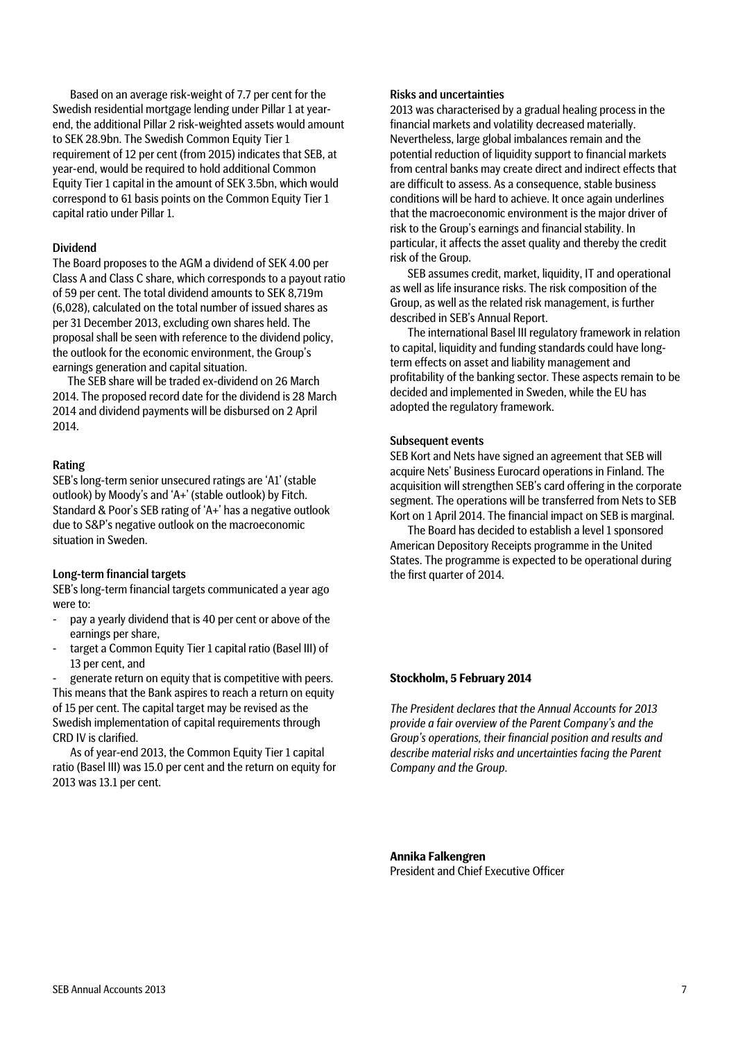Based on an average risk-weight of 7.7 per cent for the Swedish residential mortgage lending under Pillar 1 at yearend, the additional Pillar 2 risk-weighted assets would amount to SEK 28.9bn. The Swedish Common Equity Tier 1 requirement of 12 per cent (from 2015) indicates that SEB, at year-end, would be required to hold additional Common Equity Tier 1 capital in the amount of SEK 3.5bn, which would correspond to 61 basis points on the Common Equity Tier 1 capital ratio under Pillar 1.

### Dividend

The Board proposes to the AGM a dividend of SEK 4.00 per Class A and Class C share, which corresponds to a payout ratio of 59 per cent. The total dividend amounts to SEK 8,719m (6,028), calculated on the total number of issued shares as per 31 December 2013, excluding own shares held. The proposal shall be seen with reference to the dividend policy, the outlook for the economic environment, the Group's earnings generation and capital situation.

The SEB share will be traded ex-dividend on 26 March 2014. The proposed record date for the dividend is 28 March 2014 and dividend payments will be disbursed on 2 April 2014.

### Rating

SEB's long-term senior unsecured ratings are 'A1' (stable outlook) by Moody's and 'A+' (stable outlook) by Fitch. Standard & Poor's SEB rating of 'A+' has a negative outlook due to S&P's negative outlook on the macroeconomic situation in Sweden.

### Long-term financial targets

SEB's long-term financial targets communicated a year ago were to:

- pay a yearly dividend that is 40 per cent or above of the earnings per share,
- target a Common Equity Tier 1 capital ratio (Basel III) of 13 per cent, and

generate return on equity that is competitive with peers. This means that the Bank aspires to reach a return on equity of 15 per cent. The capital target may be revised as the Swedish implementation of capital requirements through CRD IV is clarified.

As of year-end 2013, the Common Equity Tier 1 capital ratio (Basel III) was 15.0 per cent and the return on equity for 2013 was 13.1 per cent.

### Risks and uncertainties

2013 was characterised by a gradual healing process in the financial markets and volatility decreased materially. Nevertheless, large global imbalances remain and the potential reduction of liquidity support to financial markets from central banks may create direct and indirect effects that are difficult to assess. As a consequence, stable business conditions will be hard to achieve. It once again underlines that the macroeconomic environment is the major driver of risk to the Group's earnings and financial stability. In particular, it affects the asset quality and thereby the credit risk of the Group.

SEB assumes credit, market, liquidity, IT and operational as well as life insurance risks. The risk composition of the Group, as well as the related risk management, is further described in SEB's Annual Report.

The international Basel III regulatory framework in relation to capital, liquidity and funding standards could have longterm effects on asset and liability management and profitability of the banking sector. These aspects remain to be decided and implemented in Sweden, while the EU has adopted the regulatory framework.

### Subsequent events

SEB Kort and Nets have signed an agreement that SEB will acquire Nets' Business Eurocard operations in Finland. The acquisition will strengthen SEB's card offering in the corporate segment. The operations will be transferred from Nets to SEB Kort on 1 April 2014. The financial impact on SEB is marginal.

The Board has decided to establish a level 1 sponsored American Depository Receipts programme in the United States. The programme is expected to be operational during the first quarter of 2014.

#### **Stockholm, 5 February 2014**

*The President declares that the Annual Accounts for 2013 provide a fair overview of the Parent Company's and the Group's operations, their financial position and results and describe material risks and uncertainties facing the Parent Company and the Group.*

**Annika Falkengren** President and Chief Executive Officer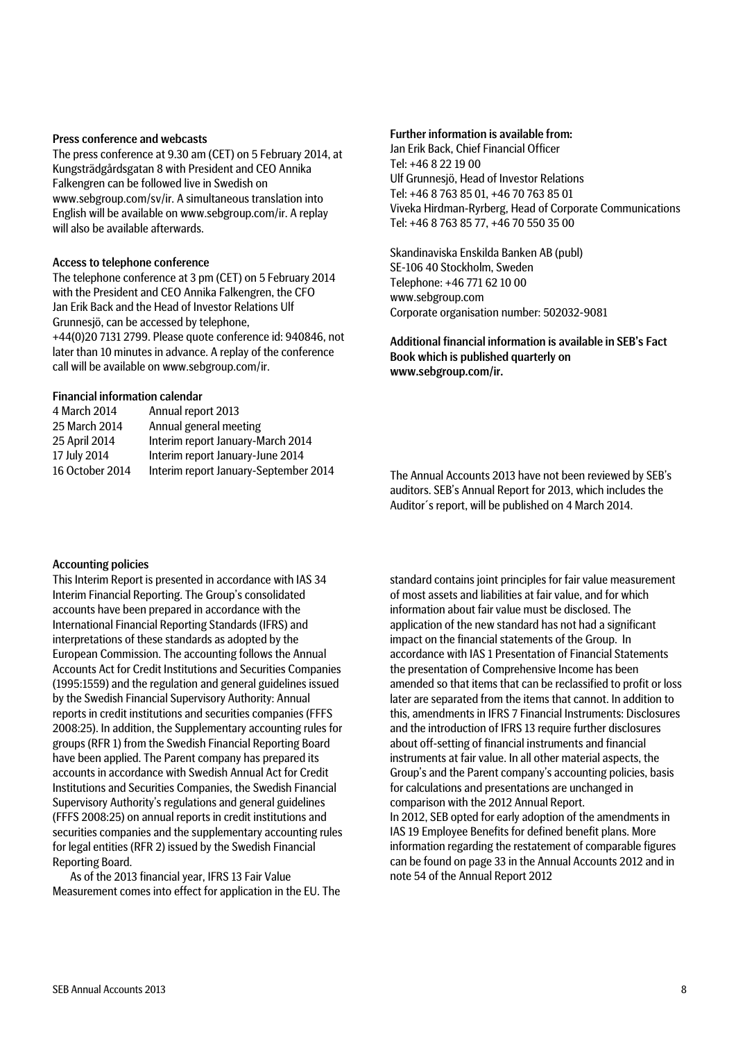### Press conference and webcasts

The press conference at 9.30 am (CET) on 5 February 2014, at Kungsträdgårdsgatan 8 with President and CEO Annika Falkengren can be followed live in Swedish on www.sebgroup.com/sv/ir. A simultaneous translation into English will be available on www.sebgroup.com/ir. A replay will also be available afterwards.

### Access to telephone conference

The telephone conference at 3 pm (CET) on 5 February 2014 with the President and CEO Annika Falkengren, the CFO Jan Erik Back and the Head of Investor Relations Ulf Grunnesjö, can be accessed by telephone, +44(0)20 7131 2799. Please quote conference id: 940846, not later than 10 minutes in advance. A replay of the conference call will be available on www.sebgroup.com/ir.

### Financial information calendar

| 4 March 2014    | Annual report 2013                    |
|-----------------|---------------------------------------|
| 25 March 2014   | Annual general meeting                |
| 25 April 2014   | Interim report January-March 2014     |
| 17 July 2014    | Interim report January-June 2014      |
| 16 October 2014 | Interim report January-September 2014 |

#### Further information is available from:

Jan Erik Back, Chief Financial Officer Tel: +46 8 22 19 00 Ulf Grunnesjö, Head of Investor Relations Tel: +46 8 763 85 01, +46 70 763 85 01 Viveka Hirdman-Ryrberg, Head of Corporate Communications Tel: +46 8 763 85 77, +46 70 550 35 00

Skandinaviska Enskilda Banken AB (publ) SE-106 40 Stockholm, Sweden Telephone: +46 771 62 10 00 www.sebgroup.com Corporate organisation number: 502032-9081

Additional financial information is available in SEB's Fact Book which is published quarterly on www.sebgroup.com/ir.

The Annual Accounts 2013 have not been reviewed by SEB's auditors. SEB's Annual Report for 2013, which includes the Auditor´s report, will be published on 4 March 2014.

### Accounting policies

This Interim Report is presented in accordance with IAS 34 Interim Financial Reporting. The Group's consolidated accounts have been prepared in accordance with the International Financial Reporting Standards (IFRS) and interpretations of these standards as adopted by the European Commission. The accounting follows the Annual Accounts Act for Credit Institutions and Securities Companies (1995:1559) and the regulation and general guidelines issued by the Swedish Financial Supervisory Authority: Annual reports in credit institutions and securities companies (FFFS 2008:25). In addition, the Supplementary accounting rules for groups (RFR 1) from the Swedish Financial Reporting Board have been applied. The Parent company has prepared its accounts in accordance with Swedish Annual Act for Credit Institutions and Securities Companies, the Swedish Financial Supervisory Authority's regulations and general guidelines (FFFS 2008:25) on annual reports in credit institutions and securities companies and the supplementary accounting rules for legal entities (RFR 2) issued by the Swedish Financial Reporting Board.

As of the 2013 financial year, IFRS 13 Fair Value Measurement comes into effect for application in the EU. The

standard contains joint principles for fair value measurement of most assets and liabilities at fair value, and for which information about fair value must be disclosed. The application of the new standard has not had a significant impact on the financial statements of the Group. In accordance with IAS 1 Presentation of Financial Statements the presentation of Comprehensive Income has been amended so that items that can be reclassified to profit or loss later are separated from the items that cannot. In addition to this, amendments in IFRS 7 Financial Instruments: Disclosures and the introduction of IFRS 13 require further disclosures about off-setting of financial instruments and financial instruments at fair value. In all other material aspects, the Group's and the Parent company's accounting policies, basis for calculations and presentations are unchanged in comparison with the 2012 Annual Report. In 2012, SEB opted for early adoption of the amendments in IAS 19 Employee Benefits for defined benefit plans. More information regarding the restatement of comparable figures can be found on page 33 in the Annual Accounts 2012 and in note 54 of the Annual Report 2012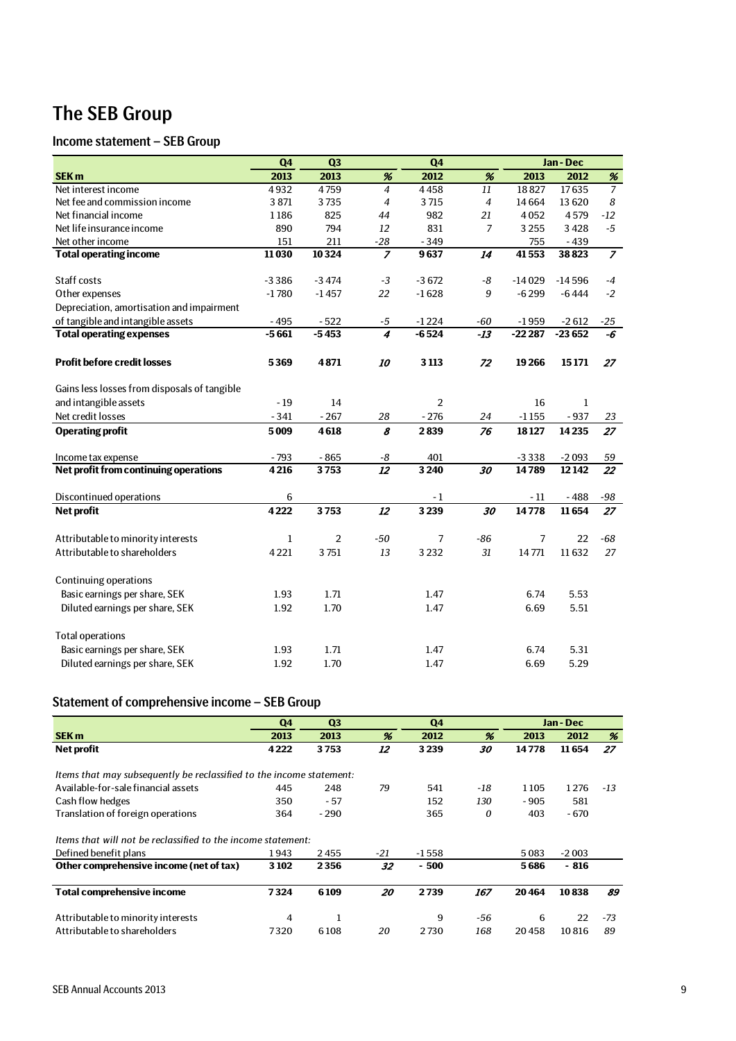## The SEB Group

## Income statement – SEB Group

|                                              | Q <sub>4</sub> | Q <sub>3</sub> |                  | Q <sub>4</sub>          |                |                | Jan - Dec    |                |
|----------------------------------------------|----------------|----------------|------------------|-------------------------|----------------|----------------|--------------|----------------|
| SEK <sub>m</sub>                             | 2013           | 2013           | %                | 2012                    | %              | 2013           | 2012         | $\%$           |
| Net interest income                          | 4932           | 4759           | $\overline{4}$   | 4458                    | 11             | 18827          | 17635        | $\overline{7}$ |
| Net fee and commission income                | 3 8 7 1        | 3735           | $\overline{4}$   | 3715                    | $\overline{4}$ | 14664          | 13620        | 8              |
| Net financial income                         | 1186           | 825            | 44               | 982                     | 21             | 4052           | 4579         | $-12$          |
| Net life insurance income                    | 890            | 794            | 12               | 831                     | $\overline{7}$ | 3 2 5 5        | 3428         | $-5$           |
| Net other income                             | 151            | 211            | $-28$            | $-349$                  |                | 755            | $-439$       |                |
| <b>Total operating income</b>                | 11030          | 10324          | $\overline{7}$   | 9637                    | 14             | 41553          | 38823        | $\overline{z}$ |
| Staff costs                                  | $-3386$        | $-3474$        | $-3$             | $-3672$                 | $-8$           | $-14029$       | $-14596$     | $-4$           |
| Other expenses                               | $-1780$        | $-1457$        | 22               | $-1628$                 | 9              | $-6299$        | $-6444$      | $-2$           |
| Depreciation, amortisation and impairment    |                |                |                  |                         |                |                |              |                |
| of tangible and intangible assets            | $-495$         | $-522$         | $-5$             | $-1224$                 | -60            | $-1959$        | $-2612$      | $-25$          |
| <b>Total operating expenses</b>              | $-5661$        | $-5453$        | $\boldsymbol{4}$ | $-6524$                 | $-13$          | $-22287$       | $-23652$     | -6             |
| <b>Profit before credit losses</b>           | 5369           | 4871           | 10               | 3 1 1 3                 | 72             | 19266          | 15171        | 27             |
| Gains less losses from disposals of tangible |                |                |                  |                         |                |                |              |                |
| and intangible assets                        | $-19$          | 14             |                  | $\overline{\mathbf{c}}$ |                | 16             | $\mathbf{1}$ |                |
| Net credit losses                            | $-341$         | $-267$         | 28               | $-276$                  | 24             | $-1155$        | $-937$       | 23             |
| <b>Operating profit</b>                      | 5009           | 4618           | 8                | 2839                    | 76             | 18127          | 14235        | 27             |
| Income tax expense                           | $-793$         | $-865$         | -8               | 401                     |                | $-3338$        | $-2093$      | 59             |
| Net profit from continuing operations        | 4216           | 3753           | $\overline{12}$  | 3 2 4 0                 | 30             | 14789          | 12142        | 22             |
| Discontinued operations                      | 6              |                |                  | $-1$                    |                | $-11$          | $-488$       | $-98$          |
| <b>Net profit</b>                            | 4222           | 3753           | 12               | 3239                    | 30             | 14778          | 11654        | 27             |
| Attributable to minority interests           | $\mathbf{1}$   | $\overline{2}$ | $-50$            | 7                       | $-86$          | $\overline{7}$ | 22           | $-68$          |
| Attributable to shareholders                 | 4221           | 3751           | 13               | 3232                    | 31             | 14771          | 11632        | 27             |
| Continuing operations                        |                |                |                  |                         |                |                |              |                |
| Basic earnings per share, SEK                | 1.93           | 1.71           |                  | 1.47                    |                | 6.74           | 5.53         |                |
| Diluted earnings per share, SEK              | 1.92           | 1.70           |                  | 1.47                    |                | 6.69           | 5.51         |                |
| <b>Total operations</b>                      |                |                |                  |                         |                |                |              |                |
| Basic earnings per share, SEK                | 1.93           | 1.71           |                  | 1.47                    |                | 6.74           | 5.31         |                |
| Diluted earnings per share, SEK              | 1.92           | 1.70           |                  | 1.47                    |                | 6.69           | 5.29         |                |

## Statement of comprehensive income – SEB Group

|                                                                      | Q4      | Q <sub>3</sub> |       | Q <sub>4</sub> |       |        | Jan - Dec |        |
|----------------------------------------------------------------------|---------|----------------|-------|----------------|-------|--------|-----------|--------|
| <b>SEK m</b>                                                         | 2013    | 2013           | %     | 2012           | %     | 2013   | 2012      | %      |
| Net profit                                                           | 4222    | 3753           | 12    | 3239           | 30    | 14778  | 11654     | 27     |
| Items that may subsequently be reclassified to the income statement: |         |                |       |                |       |        |           |        |
| Available-for-sale financial assets                                  | 445     | 248            | 79    | 541            | $-18$ | 1105   | 1276      | $-1.3$ |
| Cash flow hedges                                                     | 350     | - 57           |       | 152            | 130   | $-905$ | 581       |        |
| Translation of foreign operations                                    | 364     | $-290$         |       | 365            | 0     | 403    | $-670$    |        |
| Items that will not be reclassified to the income statement:         |         |                |       |                |       |        |           |        |
| Defined benefit plans                                                | 1943    | 2455           | $-21$ | $-1558$        |       | 5083   | $-2003$   |        |
| Other comprehensive income (net of tax)                              | 3 1 0 2 | 2356           | 32    | - 500          |       | 5686   | $-816$    |        |
| <b>Total comprehensive income</b>                                    | 7324    | 6109           | 20    | 2739           | 167   | 20464  | 10838     | 89     |
| Attributable to minority interests                                   | 4       | 1              |       | 9              | -56   | 6      | 22        | $-73$  |
| Attributable to shareholders                                         | 7320    | 6108           | 20    | 2730           | 168   | 20458  | 10816     | 89     |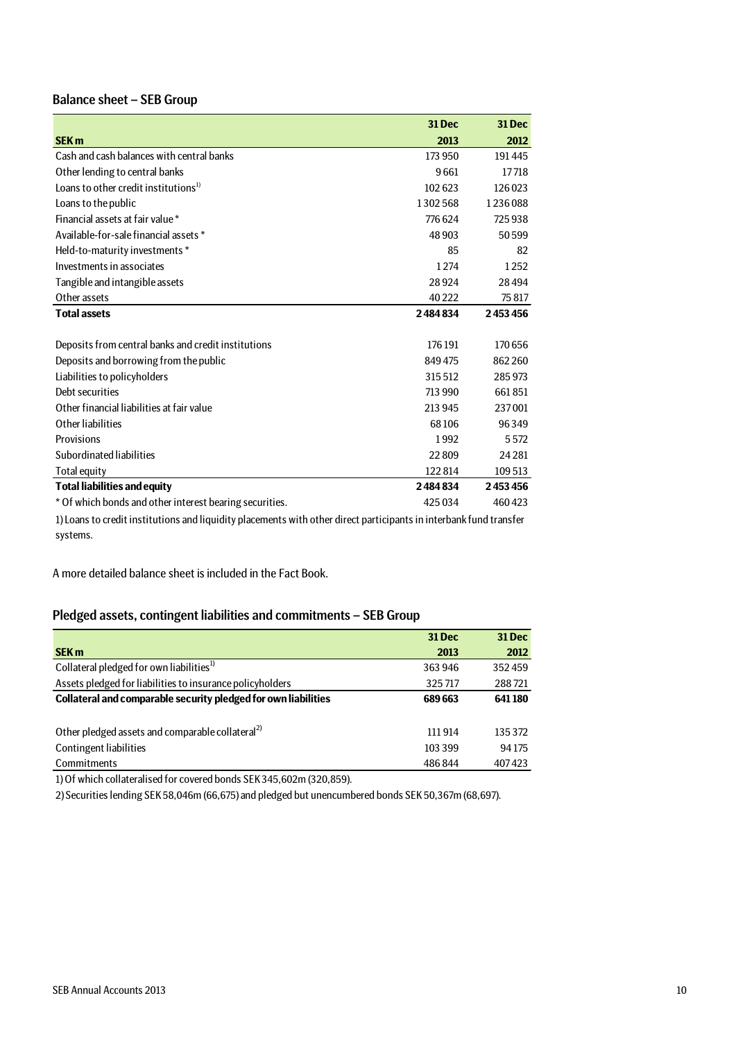## Balance sheet – SEB Group

|                                                                                                                    | <b>31 Dec</b> | <b>31 Dec</b> |
|--------------------------------------------------------------------------------------------------------------------|---------------|---------------|
| <b>SEK m</b>                                                                                                       | 2013          | 2012          |
| Cash and cash balances with central banks                                                                          | 173 950       | 191445        |
|                                                                                                                    |               |               |
| Other lending to central banks                                                                                     | 9661          | 17718         |
| Loans to other credit institutions <sup>1)</sup>                                                                   | 102623        | 126 023       |
| Loans to the public                                                                                                | 1302568       | 1236088       |
| Financial assets at fair value *                                                                                   | 776624        | 725938        |
| Available-for-sale financial assets *                                                                              | 48 903        | 50599         |
| Held-to-maturity investments *                                                                                     | 85            | 82            |
| Investments in associates                                                                                          | 1274          | 1252          |
| Tangible and intangible assets                                                                                     | 28924         | 28494         |
| Other assets                                                                                                       | 40 222        | 75817         |
| <b>Total assets</b>                                                                                                | 2484834       | 2453456       |
|                                                                                                                    |               |               |
| Deposits from central banks and credit institutions                                                                | 176 191       | 170 656       |
| Deposits and borrowing from the public                                                                             | 849475        | 862 260       |
| Liabilities to policyholders                                                                                       | 315512        | 285973        |
| Debt securities                                                                                                    | 713 990       | 661851        |
| Other financial liabilities at fair value                                                                          | 213 945       | 237001        |
| Other liabilities                                                                                                  | 68106         | 96349         |
| Provisions                                                                                                         | 1992          | 5572          |
| Subordinated liabilities                                                                                           | 22809         | 24281         |
| <b>Total equity</b>                                                                                                | 122814        | 109 513       |
| <b>Total liabilities and equity</b>                                                                                | 2484834       | 2453456       |
| * Of which bonds and other interest bearing securities.                                                            | 425 034       | 460423        |
| 1) Loans to credit institutions and liquidity placements with other direct participants in interbank fund transfer |               |               |
| systems.                                                                                                           |               |               |

A more detailed balance sheet is included in the Fact Book.

## Pledged assets, contingent liabilities and commitments – SEB Group

|                                                                | <b>31 Dec</b> | <b>31 Dec</b> |
|----------------------------------------------------------------|---------------|---------------|
| <b>SEK m</b>                                                   | 2013          | 2012          |
| Collateral pledged for own liabilities <sup>1)</sup>           | 363 946       | 352459        |
| Assets pledged for liabilities to insurance policyholders      | 325717        | 288721        |
| Collateral and comparable security pledged for own liabilities | 689 663       | 641180        |
|                                                                |               |               |
| Other pledged assets and comparable collateral <sup>2)</sup>   | 111914        | 135 372       |
| Contingent liabilities                                         | 103 399       | 94175         |
| Commitments                                                    | 486844        | 407423        |

1) Of which collateralised for covered bonds SEK 345,602m (320,859).

2) Securities lending SEK 58,046m (66,675) and pledged but unencumbered bonds SEK 50,367m (68,697).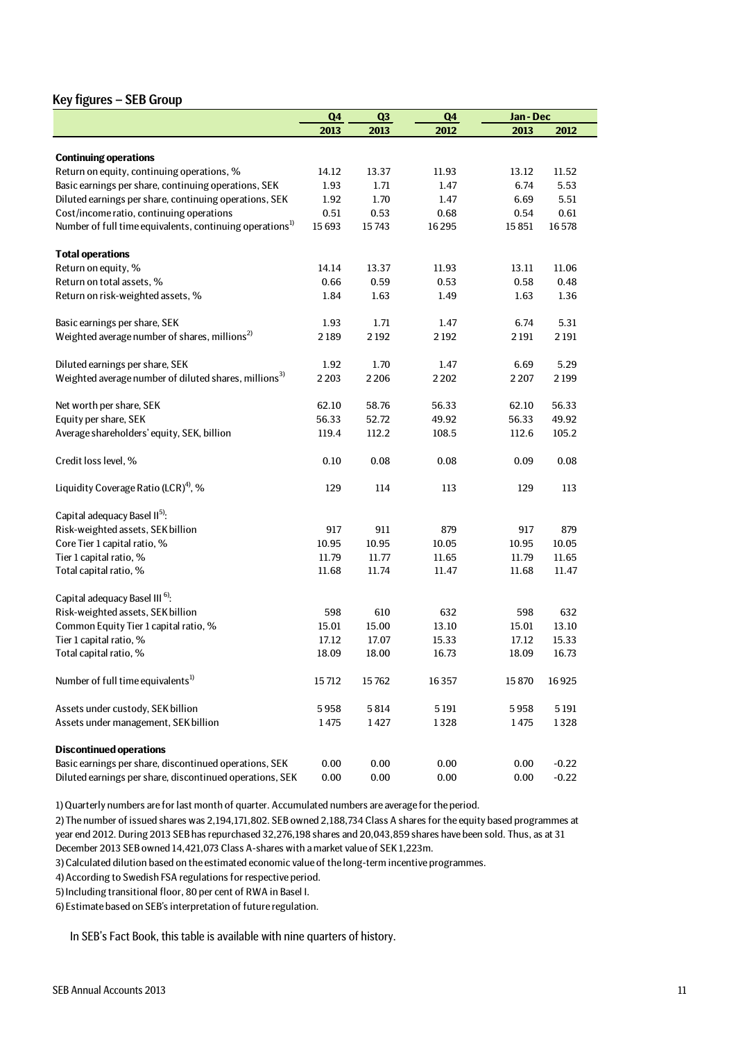### Key figures – SEB Group

|                                                                                            | Q <sub>4</sub> | Q3             | Q <sub>4</sub> | Jan-Dec |         |
|--------------------------------------------------------------------------------------------|----------------|----------------|----------------|---------|---------|
|                                                                                            | 2013           | 2013           | 2012           | 2013    | 2012    |
|                                                                                            |                |                |                |         |         |
| <b>Continuing operations</b>                                                               |                |                |                |         |         |
| Return on equity, continuing operations, %                                                 | 14.12          | 13.37          | 11.93          | 13.12   | 11.52   |
| Basic earnings per share, continuing operations, SEK                                       | 1.93           | 1.71           | 1.47           | 6.74    | 5.53    |
| Diluted earnings per share, continuing operations, SEK                                     | 1.92           | 1.70           | 1.47           | 6.69    | 5.51    |
| Cost/income ratio, continuing operations                                                   | 0.51           | 0.53           | 0.68           | 0.54    | 0.61    |
| Number of full time equivalents, continuing operations <sup>1)</sup>                       | 15693          | 15743          | 16295          | 15851   | 16578   |
| <b>Total operations</b>                                                                    |                |                |                |         |         |
| Return on equity, %                                                                        | 14.14          | 13.37          | 11.93          | 13.11   | 11.06   |
| Return on total assets, %                                                                  | 0.66           | 0.59           | 0.53           | 0.58    | 0.48    |
| Return on risk-weighted assets, %                                                          | 1.84           | 1.63           | 1.49           | 1.63    | 1.36    |
|                                                                                            | 1.93           | 1.71           | 1.47           | 6.74    | 5.31    |
| Basic earnings per share, SEK<br>Weighted average number of shares, millions <sup>2)</sup> | 2189           | 2192           | 2192           | 2191    | 2 1 9 1 |
|                                                                                            |                |                |                |         |         |
| Diluted earnings per share, SEK                                                            | 1.92           | 1.70           | 1.47           | 6.69    | 5.29    |
| Weighted average number of diluted shares, millions <sup>3)</sup>                          | 2 2 0 3        | 2206           | 2 2 0 2        | 2 2 0 7 | 2199    |
| Net worth per share, SEK                                                                   | 62.10          | 58.76          | 56.33          | 62.10   | 56.33   |
| Equity per share, SEK                                                                      | 56.33          | 52.72          | 49.92          | 56.33   | 49.92   |
|                                                                                            |                |                |                |         |         |
| Average shareholders' equity, SEK, billion                                                 | 119.4          | 112.2          | 108.5          | 112.6   | 105.2   |
| Credit loss level, %                                                                       | 0.10           | 0.08           | 0.08           | 0.09    | 0.08    |
| Liquidity Coverage Ratio (LCR) <sup>4)</sup> , %                                           | 129            | 114            | 113            | 129     | 113     |
| Capital adequacy Basel II <sup>5)</sup> :                                                  |                |                |                |         |         |
| Risk-weighted assets, SEK billion                                                          | 917            | 911            | 879            | 917     | 879     |
| Core Tier 1 capital ratio, %                                                               | 10.95          | 10.95          | 10.05          | 10.95   | 10.05   |
| Tier 1 capital ratio, %                                                                    | 11.79          | 11.77          | 11.65          | 11.79   | 11.65   |
| Total capital ratio, %                                                                     | 11.68          | 11.74          | 11.47          | 11.68   | 11.47   |
| Capital adequacy Basel III <sup>6)</sup> :                                                 |                |                |                |         |         |
| Risk-weighted assets, SEK billion                                                          | 598            | 610            | 632            | 598     | 632     |
|                                                                                            | 15.01          |                |                | 15.01   | 13.10   |
| Common Equity Tier 1 capital ratio, %                                                      |                | 15.00<br>17.07 | 13.10          |         |         |
| Tier 1 capital ratio, %                                                                    | 17.12          |                | 15.33          | 17.12   | 15.33   |
| Total capital ratio, %                                                                     | 18.09          | 18.00          | 16.73          | 18.09   | 16.73   |
| Number of full time equivalents <sup>1)</sup>                                              | 15712          | 15762          | 16357          | 15870   | 16925   |
| Assets under custody, SEK billion                                                          | 5958           | 5814           | 5 1 9 1        | 5958    | 5191    |
| Assets under management, SEK billion                                                       | 1475           | 1427           | 1328           | 1475    | 1328    |
| <b>Discontinued operations</b>                                                             |                |                |                |         |         |
| Basic earnings per share, discontinued operations, SEK                                     | 0.00           | 0.00           | 0.00           | 0.00    | $-0.22$ |
| Diluted earnings per share, discontinued operations, SEK                                   | 0.00           | 0.00           | 0.00           | 0.00    | $-0.22$ |
|                                                                                            |                |                |                |         |         |

1) Quarterly numbers are for last month of quarter. Accumulated numbers are average for the period.

2) The number of issued shares was 2,194,171,802. SEB owned 2,188,734 Class A shares for the equity based programmes at year end 2012. During 2013 SEB has repurchased 32,276,198 shares and 20,043,859 shares have been sold. Thus, as at 31 December 2013 SEB owned 14,421,073 Class A-shares with a market value of SEK 1,223m.

3) Calculated dilution based on the estimated economic value of the long-term incentive programmes.

4) According to Swedish FSA regulations for respective period.

5) Including transitional floor, 80 per cent of RWA in Basel I.

6) Estimate based on SEB's interpretation of future regulation.

In SEB's Fact Book, this table is available with nine quarters of history.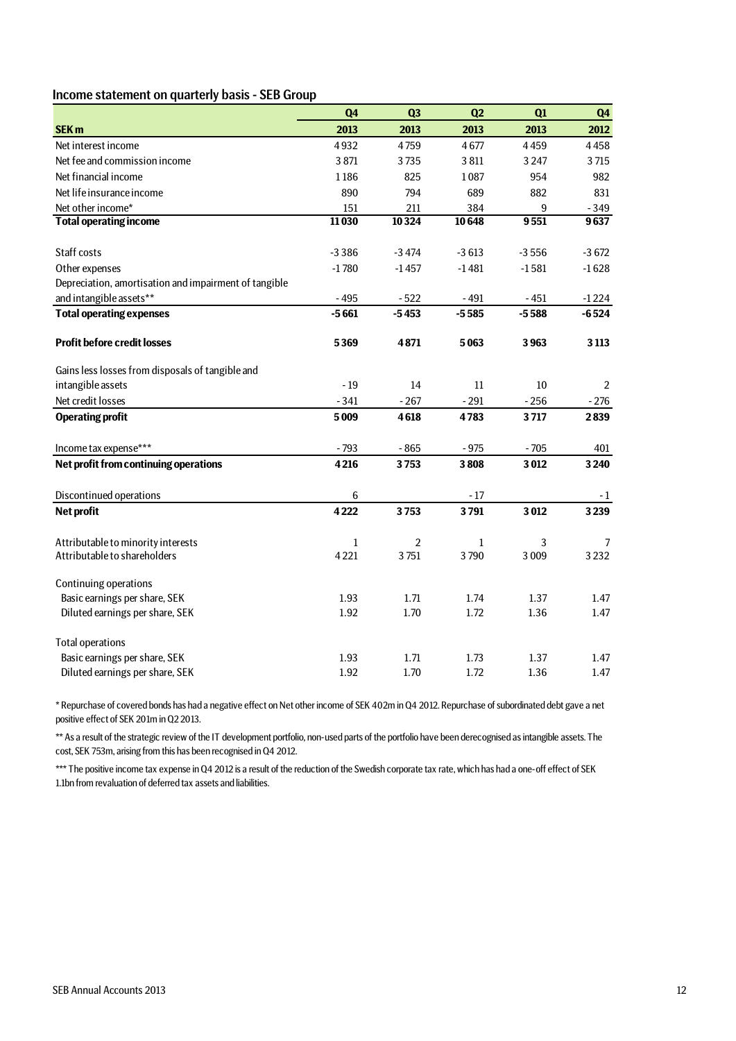### Income statement on quarterly basis - SEB Group

|                                                       | Q <sub>4</sub> | Q <sub>3</sub> | Q2           | Q1      | Q <sub>4</sub> |
|-------------------------------------------------------|----------------|----------------|--------------|---------|----------------|
| <b>SEK m</b>                                          | 2013           | 2013           | 2013         | 2013    | 2012           |
| Net interest income                                   | 4932           | 4759           | 4677         | 4459    | 4458           |
| Net fee and commission income                         | 3 8 7 1        | 3735           | 3811         | 3 2 4 7 | 3715           |
| Net financial income                                  | 1186           | 825            | 1087         | 954     | 982            |
| Net life insurance income                             | 890            | 794            | 689          | 882     | 831            |
| Net other income*                                     | 151            | 211            | 384          | 9       | $-349$         |
| <b>Total operating income</b>                         | 11030          | 10324          | 10648        | 9551    | 9637           |
|                                                       |                |                |              |         |                |
| Staff costs                                           | $-3386$        | $-3474$        | $-3613$      | $-3556$ | $-3672$        |
| Other expenses                                        | $-1780$        | $-1457$        | $-1481$      | $-1581$ | $-1628$        |
| Depreciation, amortisation and impairment of tangible |                |                |              |         |                |
| and intangible assets**                               | $-495$         | $-522$         | $-491$       | $-451$  | $-1224$        |
| <b>Total operating expenses</b>                       | $-5661$        | $-5453$        | $-5585$      | $-5588$ | $-6524$        |
| <b>Profit before credit losses</b>                    | 5369           | 4871           | 5063         | 3963    | 3 1 1 3        |
| Gains less losses from disposals of tangible and      |                |                |              |         |                |
| intangible assets                                     | $-19$          | 14             | 11           | 10      | 2              |
| Net credit losses                                     | $-341$         | $-267$         | $-291$       | $-256$  | $-276$         |
| <b>Operating profit</b>                               | 5009           | 4618           | 4783         | 3717    | 2839           |
| Income tax expense***                                 | $-793$         | $-865$         | $-975$       | $-705$  | 401            |
| Net profit from continuing operations                 | 4216           | 3753           | 3808         | 3012    | 3 2 4 0        |
| Discontinued operations                               | 6              |                | $-17$        |         | $-1$           |
| <b>Net profit</b>                                     | 4222           | 3753           | 3791         | 3012    | 3239           |
|                                                       |                |                |              |         |                |
| Attributable to minority interests                    | $1\,$          | $\overline{2}$ | $\mathbf{1}$ | 3       | 7              |
| Attributable to shareholders                          | 4221           | 3751           | 3790         | 3009    | 3 2 3 2        |
| <b>Continuing operations</b>                          |                |                |              |         |                |
| Basic earnings per share, SEK                         | 1.93           | 1.71           | 1.74         | 1.37    | 1.47           |
| Diluted earnings per share, SEK                       | 1.92           | 1.70           | 1.72         | 1.36    | 1.47           |
| <b>Total operations</b>                               |                |                |              |         |                |
| Basic earnings per share, SEK                         | 1.93           | 1.71           | 1.73         | 1.37    | 1.47           |
| Diluted earnings per share, SEK                       | 1.92           | 1.70           | 1.72         | 1.36    | 1.47           |

\* Repurchase of covered bonds has had a negative effect on Net other income of SEK 402m in Q4 2012. Repurchase of subordinated debt gave a net positive effect of SEK 201m in Q2 2013.

\*\* As a result of the strategic review of the IT development portfolio, non-used parts of the portfolio have been derecognised as intangible assets. The cost, SEK 753m, arising from this has been recognised in Q4 2012.

\*\*\* The positive income tax expense in Q4 2012 is a result of the reduction of the Swedish corporate tax rate, which has had a one-off effect of SEK 1.1bn from revaluation of deferred tax assets and liabilities.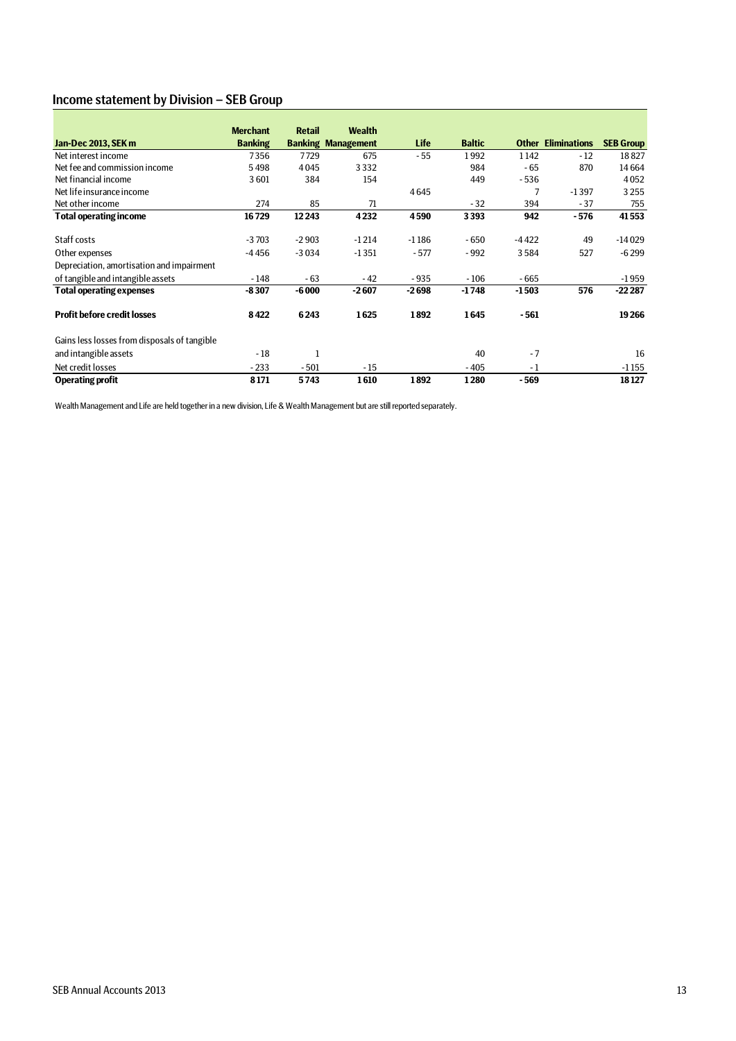## Income statement by Division – SEB Group

|                                              | <b>Merchant</b> | <b>Retail</b> | <b>Wealth</b>             |             |               |              |                     |                  |
|----------------------------------------------|-----------------|---------------|---------------------------|-------------|---------------|--------------|---------------------|------------------|
| Jan-Dec 2013, SEK m                          | <b>Banking</b>  |               | <b>Banking Management</b> | <b>Life</b> | <b>Baltic</b> | <b>Other</b> | <b>Eliminations</b> | <b>SEB Group</b> |
| Net interest income                          | 7356            | 7729          | 675                       | - 55        | 1992          | 1142         | $-12$               | 18827            |
| Net fee and commission income                | 5498            | 4045          | 3332                      |             | 984           | - 65         | 870                 | 14664            |
| Net financial income                         | 3601            | 384           | 154                       |             | 449           | $-536$       |                     | 4052             |
| Net life insurance income                    |                 |               |                           | 4645        |               |              | $-1397$             | 3255             |
| Net other income                             | 274             | 85            | 71                        |             | $-32$         | 394          | $-37$               | 755              |
| <b>Total operating income</b>                | 16729           | 12 2 43       | 4232                      | 4590        | 3393          | 942          | - 576               | 41553            |
| Staff costs                                  | $-3703$         | $-2903$       | $-1214$                   | $-1186$     | $-650$        | $-4422$      | 49                  | $-14029$         |
| Other expenses                               | $-4456$         | $-3034$       | $-1351$                   | $-577$      | $-992$        | 3584         | 527                 | $-6299$          |
| Depreciation, amortisation and impairment    |                 |               |                           |             |               |              |                     |                  |
| of tangible and intangible assets            | $-148$          | $-63$         | $-42$                     | $-935$      | $-106$        | $-665$       |                     | $-1959$          |
| <b>Total operating expenses</b>              | $-8307$         | $-6000$       | $-2607$                   | $-2698$     | $-1748$       | $-1503$      | 576                 | $-222287$        |
| <b>Profit before credit losses</b>           | 8422            | 6243          | 1625                      | 1892        | 1645          | - 561        |                     | 19 26 6          |
| Gains less losses from disposals of tangible |                 |               |                           |             |               |              |                     |                  |
| and intangible assets                        | $-18$           | 1             |                           |             | 40            | $-7$         |                     | 16               |
| Net credit losses                            | $-233$          | $-501$        | $-15$                     |             | $-405$        | $-1$         |                     | $-1155$          |
| <b>Operating profit</b>                      | 8171            | 5743          | 1610                      | 1892        | 1280          | - 569        |                     | 18127            |

Wealth Management and Life are held together in a new division, Life & Wealth Management but are still reported separately.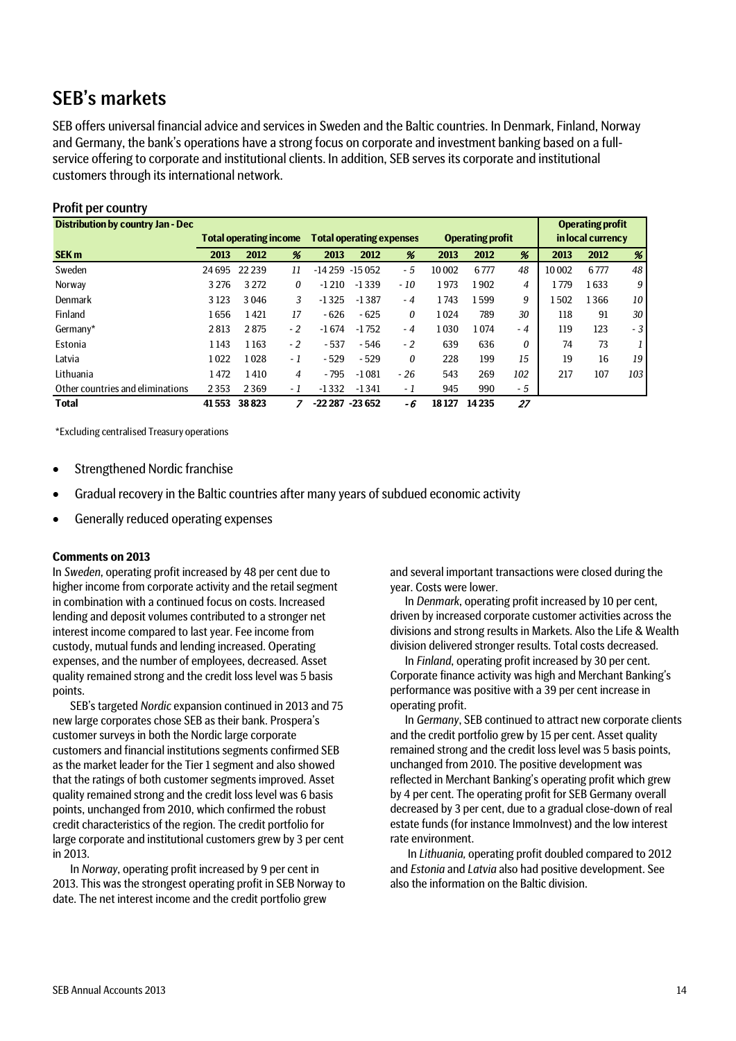## SEB's markets

SEB offers universal financial advice and services in Sweden and the Baltic countries. In Denmark, Finland, Norway and Germany, the bank's operations have a strong focus on corporate and investment banking based on a fullservice offering to corporate and institutional clients. In addition, SEB serves its corporate and institutional customers through its international network.

| <b>Profit per country</b>                |         |                               |      |                  |                                 |       |       |                         |     |       |                         |     |
|------------------------------------------|---------|-------------------------------|------|------------------|---------------------------------|-------|-------|-------------------------|-----|-------|-------------------------|-----|
| <b>Distribution by country Jan - Dec</b> |         |                               |      |                  |                                 |       |       |                         |     |       | <b>Operating profit</b> |     |
|                                          |         | <b>Total operating income</b> |      |                  | <b>Total operating expenses</b> |       |       | <b>Operating profit</b> |     |       | in local currency       |     |
| <b>SEK m</b>                             | 2013    | 2012                          | %    | 2013             | 2012                            | %     | 2013  | 2012                    | %   | 2013  | 2012                    | %   |
| Sweden                                   | 24 6 95 | 22 2 39                       | 11   | $-14259$         | $-15052$                        | - 5   | 10002 | 6777                    | 48  | 10002 | 6777                    | 48  |
| Norway                                   | 3 2 7 6 | 3 2 7 2                       | 0    | $-1210$          | $-1339$                         | $-10$ | 1973  | 1902                    | 4   | 1779  | 1633                    | 9   |
| Denmark                                  | 3 1 2 3 | 3046                          | 3    | $-1325$          | $-1387$                         | $-4$  | 1743  | 1599                    | 9   | 1502  | 1366                    | 10  |
| Finland                                  | 1656    | 1421                          | 17   | $-626$           | $-625$                          | 0     | 1024  | 789                     | 30  | 118   | 91                      | 30  |
| Germany*                                 | 2813    | 2875                          | $-2$ | $-1674$          | $-1752$                         | $-4$  | 1030  | 1074                    | - 4 | 119   | 123                     | - 3 |
| Estonia                                  | 1143    | 1163                          | $-2$ | $-537$           | $-546$                          | $-2$  | 639   | 636                     | 0   | 74    | 73                      |     |
| Latvia                                   | 1022    | 1028                          | - 1  | $-529$           | $-529$                          | 0     | 228   | 199                     | 15  | 19    | 16                      | 19  |
| Lithuania                                | 1472    | 1410                          | 4    | $-795$           | $-1081$                         | $-26$ | 543   | 269                     | 102 | 217   | 107                     | 103 |
| Other countries and eliminations         | 2353    | 2369                          | - 1  | $-1332$          | $-1341$                         | - 1   | 945   | 990                     | - 5 |       |                         |     |
| <b>Total</b>                             | 41553   | 38823                         |      | $-22287 - 23652$ |                                 | - 6   | 18127 | 14235                   | 27  |       |                         |     |

\*Excluding centralised Treasury operations

- Strengthened Nordic franchise
- Gradual recovery in the Baltic countries after many years of subdued economic activity
- Generally reduced operating expenses

#### **Comments on 2013**

In *Sweden*, operating profit increased by 48 per cent due to higher income from corporate activity and the retail segment in combination with a continued focus on costs. Increased lending and deposit volumes contributed to a stronger net interest income compared to last year. Fee income from custody, mutual funds and lending increased. Operating expenses, and the number of employees, decreased. Asset quality remained strong and the credit loss level was 5 basis points.

SEB's targeted *Nordic* expansion continued in 2013 and 75 new large corporates chose SEB as their bank. Prospera's customer surveys in both the Nordic large corporate customers and financial institutions segments confirmed SEB as the market leader for the Tier 1 segment and also showed that the ratings of both customer segments improved. Asset quality remained strong and the credit loss level was 6 basis points, unchanged from 2010, which confirmed the robust credit characteristics of the region. The credit portfolio for large corporate and institutional customers grew by 3 per cent in 2013.

In *Norway*, operating profit increased by 9 per cent in 2013. This was the strongest operating profit in SEB Norway to date. The net interest income and the credit portfolio grew

and several important transactions were closed during the year. Costs were lower.

In *Denmark*, operating profit increased by 10 per cent, driven by increased corporate customer activities across the divisions and strong results in Markets. Also the Life & Wealth division delivered stronger results. Total costs decreased.

In *Finland*, operating profit increased by 30 per cent. Corporate finance activity was high and Merchant Banking's performance was positive with a 39 per cent increase in operating profit.

In *Germany*, SEB continued to attract new corporate clients and the credit portfolio grew by 15 per cent. Asset quality remained strong and the credit loss level was 5 basis points, unchanged from 2010. The positive development was reflected in Merchant Banking's operating profit which grew by 4 per cent. The operating profit for SEB Germany overall decreased by 3 per cent, due to a gradual close-down of real estate funds (for instance ImmoInvest) and the low interest rate environment.

In *Lithuania,* operating profit doubled compared to 2012 and *Estonia* and *Latvia* also had positive development. See also the information on the Baltic division.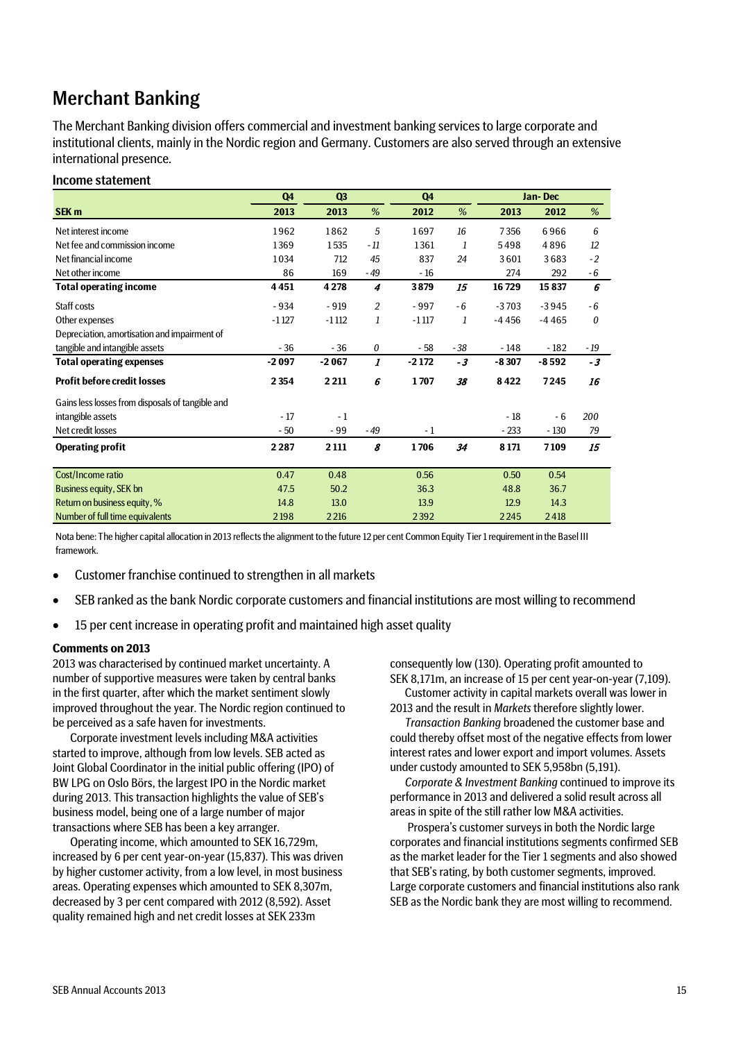## Merchant Banking

The Merchant Banking division offers commercial and investment banking services to large corporate and institutional clients, mainly in the Nordic region and Germany. Customers are also served through an extensive international presence.

### Income statement

|                                                  | Q <sub>4</sub> | Q3      |                | Q <sub>4</sub> |       |         | Jan-Dec |       |
|--------------------------------------------------|----------------|---------|----------------|----------------|-------|---------|---------|-------|
| SEK <sub>m</sub>                                 | 2013           | 2013    | %              | 2012           | %     | 2013    | 2012    | %     |
| Net interest income                              | 1962           | 1862    | 5              | 1697           | 16    | 7356    | 6966    | 6     |
| Net fee and commission income                    | 1369           | 1535    | $-11$          | 1361           | 1     | 5498    | 4896    | 12    |
| Net financial income                             | 1034           | 712     | 45             | 837            | 24    | 3601    | 3683    | $-2$  |
| Net other income                                 | 86             | 169     | - 49           | $-16$          |       | 274     | 292     | - 6   |
| <b>Total operating income</b>                    | 4451           | 4 2 7 8 | 4              | 3879           | 15    | 16729   | 15837   | 6     |
| Staff costs                                      | $-934$         | $-919$  | $\overline{c}$ | $-997$         | $-6$  | $-3703$ | $-3945$ | - 6   |
| Other expenses                                   | $-1127$        | $-1112$ | 1              | $-1117$        | 1     | $-4456$ | $-4465$ | 0     |
| Depreciation, amortisation and impairment of     |                |         |                |                |       |         |         |       |
| tangible and intangible assets                   | $-36$          | $-36$   | 0              | $-58$          | $-38$ | - 148   | $-182$  | $-19$ |
| <b>Total operating expenses</b>                  | $-2097$        | $-2067$ | 1              | $-2172$        | - 3   | $-8307$ | $-8592$ | $-3$  |
| <b>Profit before credit losses</b>               | 2 3 5 4        | 2 2 1 1 | 6              | 1707           | 38    | 8422    | 7245    | 16    |
| Gains less losses from disposals of tangible and |                |         |                |                |       |         |         |       |
| intangible assets                                | $-17$          | $-1$    |                |                |       | $-18$   | $-6$    | 200   |
| Net credit losses                                | $-50$          | $-99$   | $-49$          | - 1            |       | $-233$  | $-130$  | 79    |
| <b>Operating profit</b>                          | 2 2 8 7        | 2 1 1 1 | 8              | 1706           | 34    | 8 1 7 1 | 7109    | 15    |
|                                                  |                |         |                |                |       |         |         |       |
| Cost/Income ratio                                | 0.47           | 0.48    |                | 0.56           |       | 0.50    | 0.54    |       |
| <b>Business equity, SEK bn</b>                   | 47.5           | 50.2    |                | 36.3           |       | 48.8    | 36.7    |       |
| Return on business equity, %                     | 14.8           | 13.0    |                | 13.9           |       | 12.9    | 14.3    |       |
| Number of full time equivalents                  | 2198           | 2 2 16  |                | 2392           |       | 2245    | 2418    |       |

Nota bene: The higher capital allocation in 2013 reflects the alignment to the future 12 per cent Common Equity Tier 1 requirement in the Basel III framework.

- Customer franchise continued to strengthen in all markets
- SEB ranked as the bank Nordic corporate customers and financial institutions are most willing to recommend
- 15 per cent increase in operating profit and maintained high asset quality

### **Comments on 2013**

2013 was characterised by continued market uncertainty. A number of supportive measures were taken by central banks in the first quarter, after which the market sentiment slowly improved throughout the year. The Nordic region continued to be perceived as a safe haven for investments.

Corporate investment levels including M&A activities started to improve, although from low levels. SEB acted as Joint Global Coordinator in the initial public offering (IPO) of BW LPG on Oslo Börs, the largest IPO in the Nordic market during 2013. This transaction highlights the value of SEB's business model, being one of a large number of major transactions where SEB has been a key arranger.

Operating income, which amounted to SEK 16,729m, increased by 6 per cent year-on-year (15,837). This was driven by higher customer activity, from a low level, in most business areas. Operating expenses which amounted to SEK 8,307m, decreased by 3 per cent compared with 2012 (8,592). Asset quality remained high and net credit losses at SEK 233m

consequently low (130). Operating profit amounted to SEK 8,171m, an increase of 15 per cent year-on-year (7,109). Customer activity in capital markets overall was lower in 2013 and the result in *Markets* therefore slightly lower.

*Transaction Banking* broadened the customer base and could thereby offset most of the negative effects from lower interest rates and lower export and import volumes. Assets under custody amounted to SEK 5,958bn (5,191).

*Corporate & Investment Banking* continued to improve its performance in 2013 and delivered a solid result across all areas in spite of the still rather low M&A activities.

Prospera's customer surveys in both the Nordic large corporates and financial institutions segments confirmed SEB as the market leader for the Tier 1 segments and also showed that SEB's rating, by both customer segments, improved. Large corporate customers and financial institutions also rank SEB as the Nordic bank they are most willing to recommend.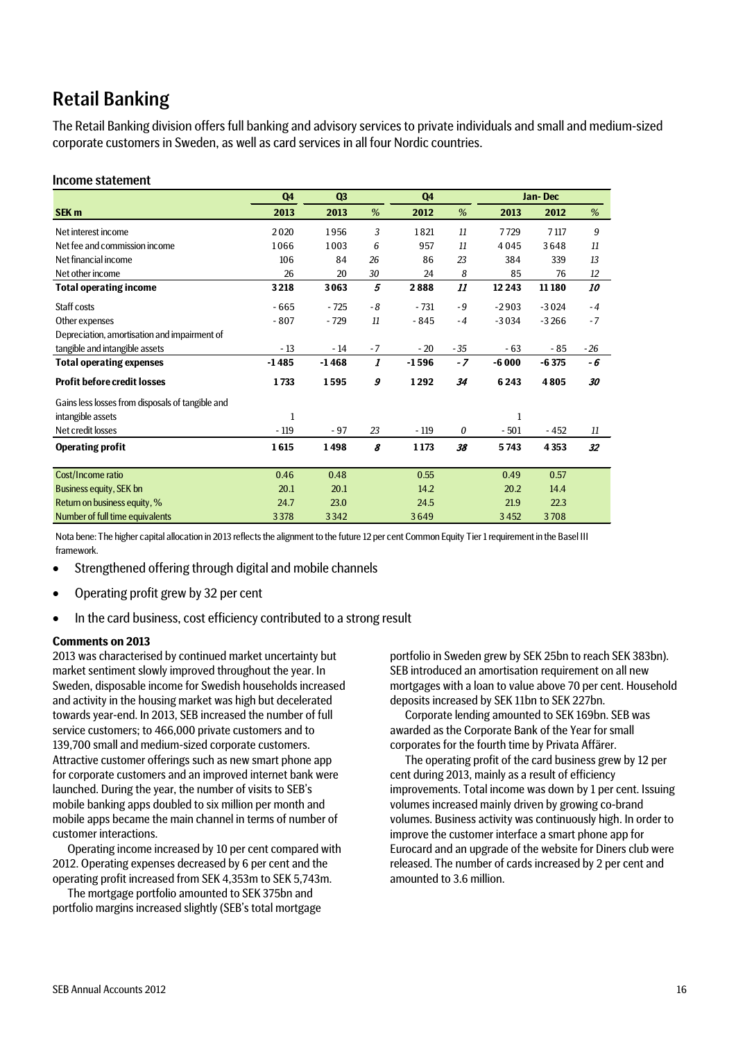## Retail Banking

The Retail Banking division offers full banking and advisory services to private individuals and small and medium-sized corporate customers in Sweden, as well as card services in all four Nordic countries.

### Income statement

|                                                  | Q4      | Q <sub>3</sub> |      | Q <sub>4</sub> |       | Jan-Dec |         |       |
|--------------------------------------------------|---------|----------------|------|----------------|-------|---------|---------|-------|
| SEK <sub>m</sub>                                 | 2013    | 2013           | %    | 2012           | %     | 2013    | 2012    | %     |
| Net interest income                              | 2020    | 1956           | 3    | 1821           | 11    | 7729    | 7 1 17  | 9     |
| Net fee and commission income                    | 1066    | 1003           | 6    | 957            | 11    | 4045    | 3648    | 11    |
| Net financial income                             | 106     | 84             | 26   | 86             | 23    | 384     | 339     | 13    |
| Net other income                                 | 26      | 20             | 30   | 24             | 8     | 85      | 76      | 12    |
| <b>Total operating income</b>                    | 3218    | 3063           | 5    | 2888           | 11    | 12 2 43 | 11180   | 10    |
| Staff costs                                      | $-665$  | $-725$         | $-8$ | $-731$         | $-9$  | $-2903$ | $-3024$ | $-4$  |
| Other expenses                                   | $-807$  | $-729$         | 11   | - 845          | $-4$  | $-3034$ | $-3266$ | $-7$  |
| Depreciation, amortisation and impairment of     |         |                |      |                |       |         |         |       |
| tangible and intangible assets                   | $-13$   | $-14$          | $-7$ | $-20$          | $-35$ | - 63    | $-85$   | $-26$ |
| <b>Total operating expenses</b>                  | $-1485$ | $-1468$        | 1    | $-1596$        | $-7$  | $-6000$ | $-6375$ | - 6   |
| <b>Profit before credit losses</b>               | 1733    | 1595           | 9    | 1292           | 34    | 6243    | 4805    | 30    |
| Gains less losses from disposals of tangible and |         |                |      |                |       |         |         |       |
| intangible assets                                | 1       |                |      |                |       | 1       |         |       |
| Net credit losses                                | $-119$  | $-97$          | 23   | $-119$         | 0     | $-501$  | $-452$  | 11    |
| <b>Operating profit</b>                          | 1615    | 1498           | 8    | 1 1 7 3        | 38    | 5743    | 4 3 5 3 | 32    |
|                                                  |         |                |      |                |       |         |         |       |
| Cost/Income ratio                                | 0.46    | 0.48           |      | 0.55           |       | 0.49    | 0.57    |       |
| <b>Business equity, SEK bn</b>                   | 20.1    | 20.1           |      | 14.2           |       | 20.2    | 14.4    |       |
| Return on business equity, %                     | 24.7    | 23.0           |      | 24.5           |       | 21.9    | 22.3    |       |
| Number of full time equivalents                  | 3378    | 3342           |      | 3649           |       | 3452    | 3708    |       |

Nota bene: The higher capital allocation in 2013 reflects the alignment to the future 12 per cent Common Equity Tier 1 requirement in the Basel III framework.

- Strengthened offering through digital and mobile channels
- Operating profit grew by 32 per cent
- In the card business, cost efficiency contributed to a strong result

### **Comments on 2013**

2013 was characterised by continued market uncertainty but market sentiment slowly improved throughout the year. In Sweden, disposable income for Swedish households increased and activity in the housing market was high but decelerated towards year-end. In 2013, SEB increased the number of full service customers; to 466,000 private customers and to 139,700 small and medium-sized corporate customers. Attractive customer offerings such as new smart phone app for corporate customers and an improved internet bank were launched. During the year, the number of visits to SEB's mobile banking apps doubled to six million per month and mobile apps became the main channel in terms of number of customer interactions.

Operating income increased by 10 per cent compared with 2012. Operating expenses decreased by 6 per cent and the operating profit increased from SEK 4,353m to SEK 5,743m.

The mortgage portfolio amounted to SEK 375bn and portfolio margins increased slightly (SEB's total mortgage

portfolio in Sweden grew by SEK 25bn to reach SEK 383bn). SEB introduced an amortisation requirement on all new mortgages with a loan to value above 70 per cent. Household deposits increased by SEK 11bn to SEK 227bn.

Corporate lending amounted to SEK 169bn. SEB was awarded as the Corporate Bank of the Year for small corporates for the fourth time by Privata Affärer.

The operating profit of the card business grew by 12 per cent during 2013, mainly as a result of efficiency improvements. Total income was down by 1 per cent. Issuing volumes increased mainly driven by growing co-brand volumes. Business activity was continuously high. In order to improve the customer interface a smart phone app for Eurocard and an upgrade of the website for Diners club were released. The number of cards increased by 2 per cent and amounted to 3.6 million.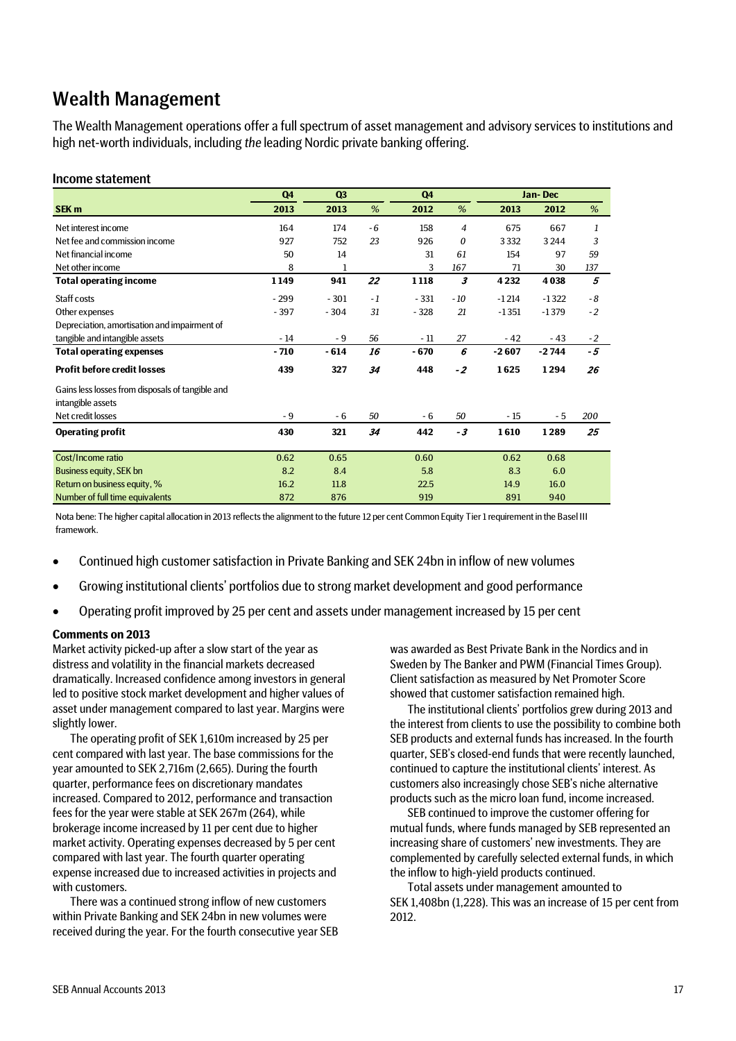## Wealth Management

The Wealth Management operations offer a full spectrum of asset management and advisory services to institutions and high net-worth individuals, including *the* leading Nordic private banking offering.

### Income statement

|                                                  | Q <sub>4</sub> | Q3     |      | Q4      |       |         | Jan-Dec |      |
|--------------------------------------------------|----------------|--------|------|---------|-------|---------|---------|------|
| SEK <sub>m</sub>                                 | 2013           | 2013   | %    | 2012    | %     | 2013    | 2012    | %    |
| Net interest income                              | 164            | 174    | - 6  | 158     | 4     | 675     | 667     | 1    |
| Net fee and commission income                    | 927            | 752    | 23   | 926     | 0     | 3332    | 3244    | 3    |
| Net financial income                             | 50             | 14     |      | 31      | 61    | 154     | 97      | 59   |
| Net other income                                 | 8              | 1      |      | 3       | 167   | 71      | 30      | 137  |
| <b>Total operating income</b>                    | 1149           | 941    | 22   | 1 1 1 8 | 3     | 4 2 3 2 | 4038    | 5    |
| Staff costs                                      | $-299$         | $-301$ | $-1$ | $-331$  | $-10$ | $-1214$ | $-1322$ | - 8  |
| Other expenses                                   | $-397$         | $-304$ | 31   | $-328$  | 21    | $-1351$ | $-1379$ | $-2$ |
| Depreciation, amortisation and impairment of     |                |        |      |         |       |         |         |      |
| tangible and intangible assets                   | $-14$          | - 9    | 56   | $-11$   | 27    | $-42$   | - 43    | $-2$ |
| <b>Total operating expenses</b>                  | $-710$         | $-614$ | 16   | $-670$  | 6     | $-2607$ | $-2744$ | $-5$ |
| <b>Profit before credit losses</b>               | 439            | 327    | 34   | 448     | $-2$  | 1625    | 1294    | 26   |
| Gains less losses from disposals of tangible and |                |        |      |         |       |         |         |      |
| intangible assets                                |                |        |      |         |       |         |         |      |
| Net credit losses                                | $-9$           | - 6    | 50   | - 6     | 50    | $-15$   | - 5     | 200  |
| <b>Operating profit</b>                          | 430            | 321    | 34   | 442     | $-3$  | 1610    | 1289    | 25   |
|                                                  |                |        |      |         |       |         |         |      |
| Cost/Income ratio                                | 0.62           | 0.65   |      | 0.60    |       | 0.62    | 0.68    |      |
| Business equity, SEK bn                          | 8.2            | 8.4    |      | 5.8     |       | 8.3     | 6.0     |      |
| Return on business equity, %                     | 16.2           | 11.8   |      | 22.5    |       | 14.9    | 16.0    |      |
| Number of full time equivalents                  | 872            | 876    |      | 919     |       | 891     | 940     |      |

Nota bene: The higher capital allocation in 2013 reflects the alignment to the future 12 per cent Common Equity Tier 1 requirement in the Basel III framework.

- Continued high customer satisfaction in Private Banking and SEK 24bn in inflow of new volumes
- Growing institutional clients' portfolios due to strong market development and good performance
- Operating profit improved by 25 per cent and assets under management increased by 15 per cent

### **Comments on 2013**

Market activity picked-up after a slow start of the year as distress and volatility in the financial markets decreased dramatically. Increased confidence among investors in general led to positive stock market development and higher values of asset under management compared to last year. Margins were slightly lower.

The operating profit of SEK 1,610m increased by 25 per cent compared with last year. The base commissions for the year amounted to SEK 2,716m (2,665). During the fourth quarter, performance fees on discretionary mandates increased. Compared to 2012, performance and transaction fees for the year were stable at SEK 267m (264), while brokerage income increased by 11 per cent due to higher market activity. Operating expenses decreased by 5 per cent compared with last year. The fourth quarter operating expense increased due to increased activities in projects and with customers.

There was a continued strong inflow of new customers within Private Banking and SEK 24bn in new volumes were received during the year. For the fourth consecutive year SEB was awarded as Best Private Bank in the Nordics and in Sweden by The Banker and PWM (Financial Times Group). Client satisfaction as measured by Net Promoter Score showed that customer satisfaction remained high.

The institutional clients' portfolios grew during 2013 and the interest from clients to use the possibility to combine both SEB products and external funds has increased. In the fourth quarter, SEB's closed-end funds that were recently launched, continued to capture the institutional clients' interest. As customers also increasingly chose SEB's niche alternative products such as the micro loan fund, income increased.

SEB continued to improve the customer offering for mutual funds, where funds managed by SEB represented an increasing share of customers' new investments. They are complemented by carefully selected external funds, in which the inflow to high-yield products continued.

Total assets under management amounted to SEK 1,408bn (1,228). This was an increase of 15 per cent from 2012.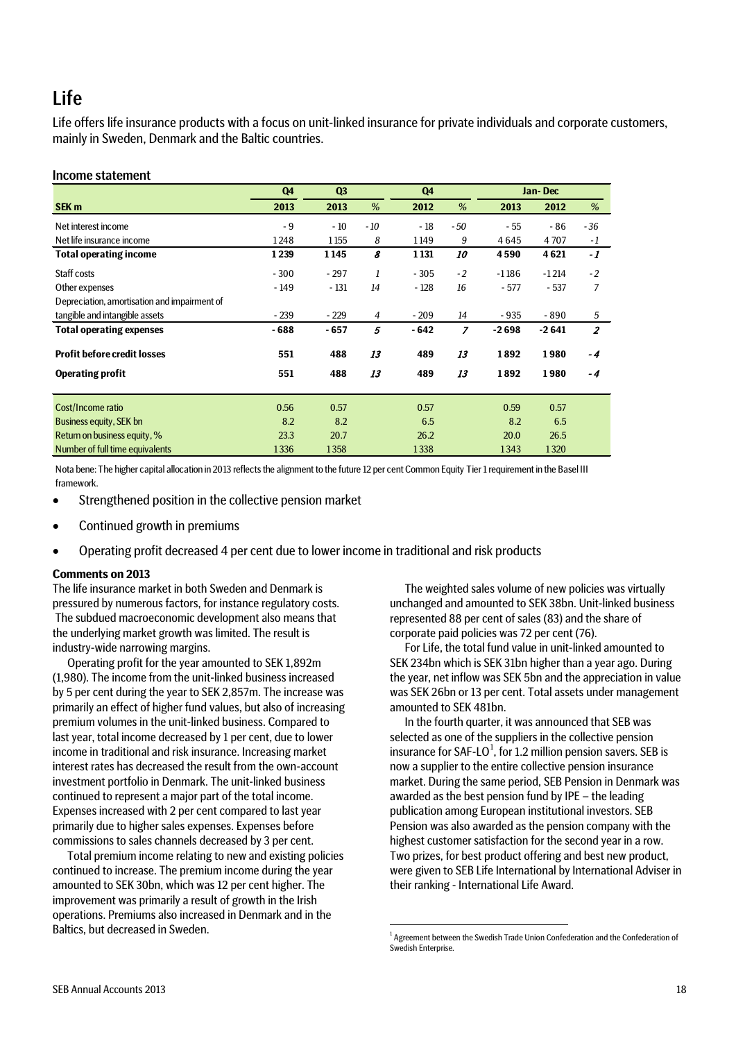## Life

Life offers life insurance products with a focus on unit-linked insurance for private individuals and corporate customers, mainly in Sweden, Denmark and the Baltic countries.

### Income statement

|                                              | Q <sub>4</sub> | Q <sub>3</sub> |                | Q <sub>4</sub> |                |         | Jan-Dec |                |
|----------------------------------------------|----------------|----------------|----------------|----------------|----------------|---------|---------|----------------|
| SEK <sub>m</sub>                             | 2013           | 2013           | %              | 2012           | %              | 2013    | 2012    | %              |
| Net interest income                          | $-9$           | $-10$          | $-10$          | $-18$          | - 50           | $-55$   | - 86    | $-36$          |
| Net life insurance income                    | 1248           | 1155           | 8              | 1149           | 9              | 4645    | 4707    | - 1            |
| <b>Total operating income</b>                | 1239           | 1145           | 8              | 1 1 3 1        | <i>10</i>      | 4590    | 4621    | $-1$           |
| Staff costs                                  | $-300$         | $-297$         | 1              | $-305$         | $-2$           | $-1186$ | $-1214$ | $-2$           |
| Other expenses                               | $-149$         | $-131$         | 14             | $-128$         | 16             | $-577$  | $-537$  | 7              |
| Depreciation, amortisation and impairment of |                |                |                |                |                |         |         |                |
| tangible and intangible assets               | $-239$         | $-229$         | $\overline{4}$ | $-209$         | 14             | $-935$  | $-890$  | 5              |
| <b>Total operating expenses</b>              | $-688$         | $-657$         | 5              | $-642$         | $\overline{z}$ | $-2698$ | $-2641$ | $\overline{2}$ |
| <b>Profit before credit losses</b>           | 551            | 488            | 13             | 489            | 13             | 1892    | 1980    | $-4$           |
| <b>Operating profit</b>                      | 551            | 488            | 13             | 489            | 13             | 1892    | 1980    | - 4            |
| Cost/Income ratio                            | 0.56           | 0.57           |                | 0.57           |                | 0.59    | 0.57    |                |
| Business equity, SEK bn                      | 8.2            | 8.2            |                | 6.5            |                | 8.2     | 6.5     |                |
| Return on business equity, %                 | 23.3           | 20.7           |                | 26.2           |                | 20.0    | 26.5    |                |
| Number of full time equivalents              | 1336           | 1358           |                | 1338           |                | 1343    | 1320    |                |

Nota bene: The higher capital allocation in 2013 reflects the alignment to the future 12 per cent Common Equity Tier 1 requirement in the Basel III framework.

- Strengthened position in the collective pension market
- Continued growth in premiums
- Operating profit decreased 4 per cent due to lower income in traditional and risk products

### **Comments on 2013**

The life insurance market in both Sweden and Denmark is pressured by numerous factors, for instance regulatory costs. The subdued macroeconomic development also means that the underlying market growth was limited. The result is industry-wide narrowing margins.

Operating profit for the year amounted to SEK 1,892m (1,980). The income from the unit-linked business increased by 5 per cent during the year to SEK 2,857m. The increase was primarily an effect of higher fund values, but also of increasing premium volumes in the unit-linked business. Compared to last year, total income decreased by 1 per cent, due to lower income in traditional and risk insurance. Increasing market interest rates has decreased the result from the own-account investment portfolio in Denmark. The unit-linked business continued to represent a major part of the total income. Expenses increased with 2 per cent compared to last year primarily due to higher sales expenses. Expenses before commissions to sales channels decreased by 3 per cent.

<span id="page-17-0"></span>Total premium income relating to new and existing policies continued to increase. The premium income during the year amounted to SEK 30bn, which was 12 per cent higher. The improvement was primarily a result of growth in the Irish operations. Premiums also increased in Denmark and in the Baltics, but decreased in Sweden.

The weighted sales volume of new policies was virtually unchanged and amounted to SEK 38bn. Unit-linked business represented 88 per cent of sales (83) and the share of corporate paid policies was 72 per cent (76).

For Life, the total fund value in unit-linked amounted to SEK 234bn which is SEK 31bn higher than a year ago. During the year, net inflow was SEK 5bn and the appreciation in value was SEK 26bn or 13 per cent. Total assets under management amounted to SEK 481bn.

In the fourth quarter, it was announced that SEB was selected as one of the suppliers in the collective pension insurance for SAF-LO<sup>[1](#page-17-0)</sup>, for 1.2 million pension savers. SEB is now a supplier to the entire collective pension insurance market. During the same period, SEB Pension in Denmark was awarded as the best pension fund by IPE – the leading publication among European institutional investors. SEB Pension was also awarded as the pension company with the highest customer satisfaction for the second year in a row. Two prizes, for best product offering and best new product, were given to SEB Life International by International Adviser in their ranking - International Life Award.

 $\frac{1}{1}$  $1$  Agreement between the Swedish Trade Union Confederation and the Confederation of Swedish Enterprise.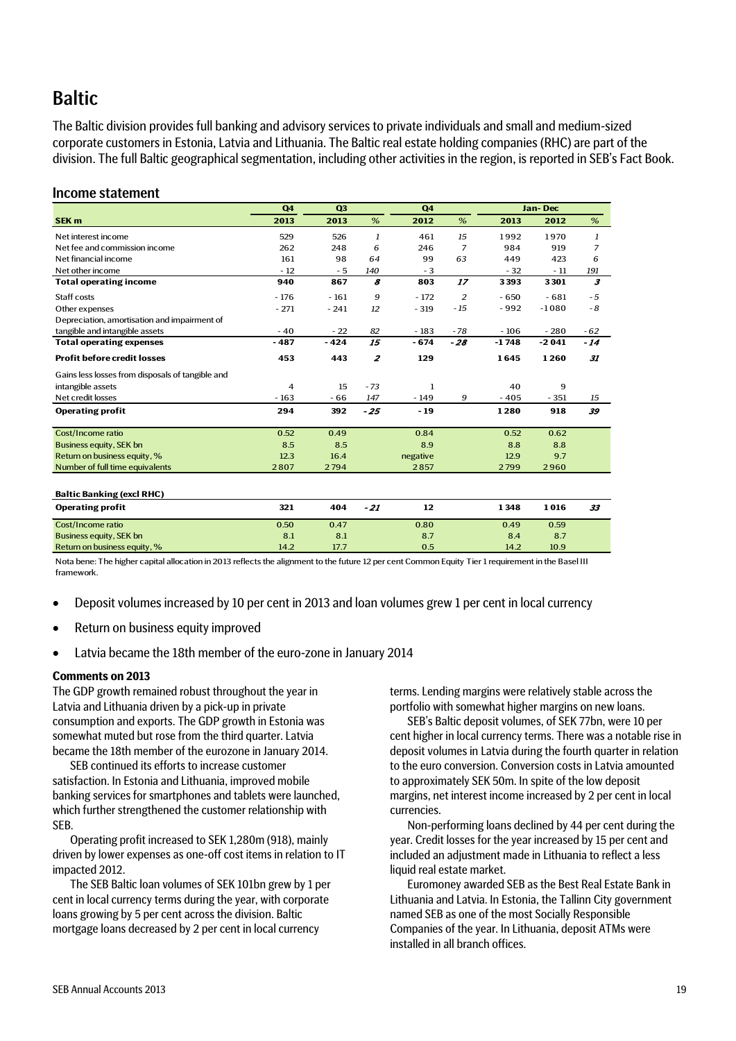## **Baltic**

The Baltic division provides full banking and advisory services to private individuals and small and medium-sized corporate customers in Estonia, Latvia and Lithuania. The Baltic real estate holding companies (RHC) are part of the division. The full Baltic geographical segmentation, including other activities in the region, is reported in SEB's Fact Book.

### Income statement

|                                                  | Q4     | Q3     |                  | Q4       |                | Jan-Dec |         |                      |
|--------------------------------------------------|--------|--------|------------------|----------|----------------|---------|---------|----------------------|
| SEK <sub>m</sub>                                 | 2013   | 2013   | %                | 2012     | %              | 2013    | 2012    | %                    |
| Net interest income                              | 529    | 526    | 1                | 461      | 15             | 1992    | 1970    | 1                    |
| Net fee and commission income                    | 262    | 248    | 6                | 246      | $\overline{7}$ | 984     | 919     | 7                    |
| Net financial income                             | 161    | 98     | 64               | 99       | 63             | 449     | 423     | 6                    |
| Net other income                                 | $-12$  | - 5    | 140              | $-3$     |                | $-32$   | $-11$   | 191                  |
| <b>Total operating income</b>                    | 940    | 867    | 8                | 803      | 17             | 3393    | 3301    | $\boldsymbol{\beta}$ |
| Staff costs                                      | $-176$ | $-161$ | 9                | $-172$   | $\overline{2}$ | $-650$  | $-681$  | $-5$                 |
| Other expenses                                   | $-271$ | $-241$ | 12               | $-319$   | $-15$          | $-992$  | $-1080$ | $-8$                 |
| Depreciation, amortisation and impairment of     |        |        |                  |          |                |         |         |                      |
| tangible and intangible assets                   | $-40$  | $-22$  | 82               | $-183$   | $-78$          | $-106$  | $-280$  | $-62$                |
| <b>Total operating expenses</b>                  | $-487$ | $-424$ | 15               | $-674$   | $-28$          | $-1748$ | $-2041$ | $-14$                |
| <b>Profit before credit losses</b>               | 453    | 443    | $\boldsymbol{z}$ | 129      |                | 1645    | 1260    | 31                   |
| Gains less losses from disposals of tangible and |        |        |                  |          |                |         |         |                      |
| intangible assets                                | 4      | 15     | $-73$            | 1        |                | 40      | 9       |                      |
| Net credit losses                                | $-163$ | $-66$  | 147              | $-149$   | 9              | $-405$  | $-351$  | 15                   |
| <b>Operating profit</b>                          | 294    | 392    | $-25$            | $-19$    |                | 1280    | 918     | 39                   |
| Cost/Income ratio                                | 0.52   | 0.49   |                  | 0.84     |                | 0.52    | 0.62    |                      |
| <b>Business equity, SEK bn</b>                   | 8.5    | 8.5    |                  | 8.9      |                | 8.8     | 8.8     |                      |
| Return on business equity, %                     | 12.3   | 16.4   |                  | negative |                | 12.9    | 9.7     |                      |
| Number of full time equivalents                  | 2807   | 2794   |                  | 2857     |                | 2799    | 2960    |                      |
|                                                  |        |        |                  |          |                |         |         |                      |
| <b>Baltic Banking (excl RHC)</b>                 |        |        |                  |          |                |         |         |                      |
| <b>Operating profit</b>                          | 321    | 404    | $-21$            | 12       |                | 1348    | 1016    | 33                   |
| Cost/Income ratio                                | 0.50   | 0.47   |                  | 0.80     |                | 0.49    | 0.59    |                      |
| <b>Business equity, SEK bn</b>                   | 8.1    | 8.1    |                  | 8.7      |                | 8.4     | 8.7     |                      |
| Return on business equity %                      | 142    | 177    |                  | 0.5      |                | 142     | 109     |                      |

Nota bene: The higher capital allocation in 2013 reflects the alignment to the future 12 per cent Common Equity Tier 1 requirement in the Basel III framework.

- Deposit volumes increased by 10 per cent in 2013 and loan volumes grew 1 per cent in local currency
- Return on business equity improved
- Latvia became the 18th member of the euro-zone in January 2014

#### **Comments on 2013**

Return on business equity, %

The GDP growth remained robust throughout the year in Latvia and Lithuania driven by a pick-up in private consumption and exports. The GDP growth in Estonia was somewhat muted but rose from the third quarter. Latvia became the 18th member of the eurozone in January 2014.

SEB continued its efforts to increase customer satisfaction. In Estonia and Lithuania, improved mobile banking services for smartphones and tablets were launched, which further strengthened the customer relationship with SEB.

Operating profit increased to SEK 1,280m (918), mainly driven by lower expenses as one-off cost items in relation to IT impacted 2012.

The SEB Baltic loan volumes of SEK 101bn grew by 1 per cent in local currency terms during the year, with corporate loans growing by 5 per cent across the division. Baltic mortgage loans decreased by 2 per cent in local currency

terms. Lending margins were relatively stable across the portfolio with somewhat higher margins on new loans.

SEB's Baltic deposit volumes, of SEK 77bn, were 10 per cent higher in local currency terms. There was a notable rise in deposit volumes in Latvia during the fourth quarter in relation to the euro conversion. Conversion costs in Latvia amounted to approximately SEK 50m. In spite of the low deposit margins, net interest income increased by 2 per cent in local currencies.

Non-performing loans declined by 44 per cent during the year. Credit losses for the year increased by 15 per cent and included an adjustment made in Lithuania to reflect a less liquid real estate market.

Euromoney awarded SEB as the Best Real Estate Bank in Lithuania and Latvia. In Estonia, the Tallinn City government named SEB as one of the most Socially Responsible Companies of the year. In Lithuania, deposit ATMs were installed in all branch offices.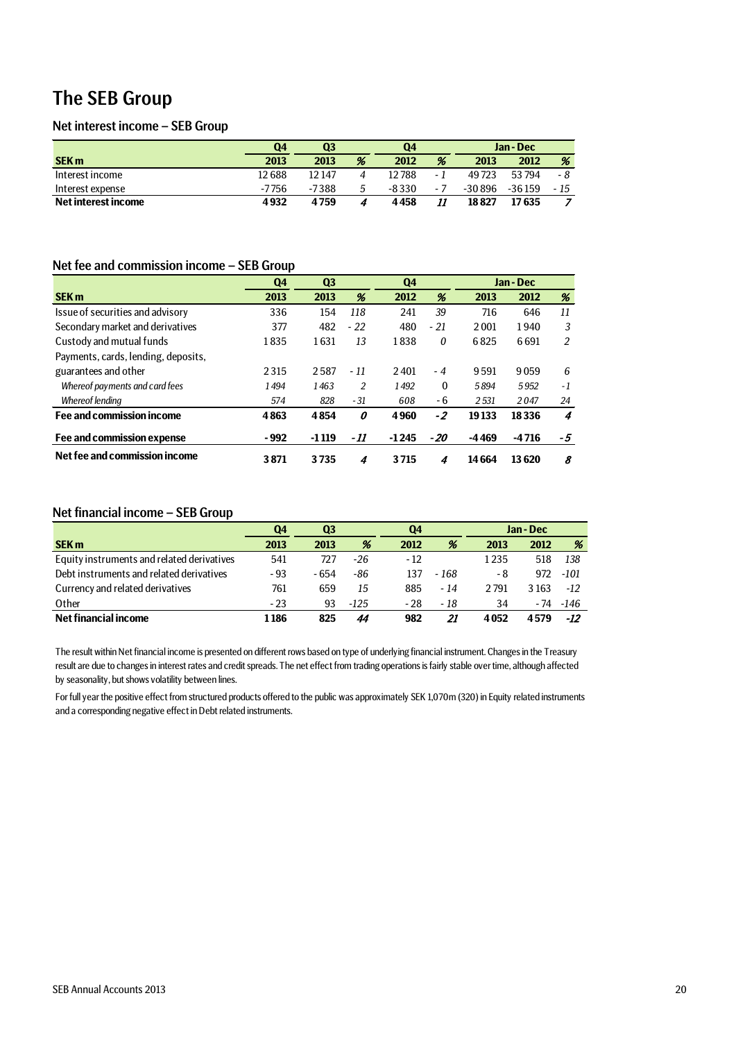## The SEB Group

## Net interest income – SEB Group

|                     | Q4    | Q3     |   | Q4    |     | Jan-Dec |        |      |
|---------------------|-------|--------|---|-------|-----|---------|--------|------|
| <b>SEK m</b>        | 2013  | 2013   | % | 2012  | %   | 2013    | 2012   | %    |
| Interest income     | 12688 | 12 147 | 4 | 12788 | - 1 | 49723   | 53794  | - 8  |
| Interest expense    | -7756 | -7388  | 5 | -8330 | - 7 | -30 896 | -36159 | - 15 |
| Net interest income | 4932  | 4759   | 4 | 4458  | 11  | 18827   | 17 635 |      |

## Net fee and commission income – SEB Group

|                                     | Q4     | Q3<br>Q4 |                |         |              | Jan-Dec |         |     |
|-------------------------------------|--------|----------|----------------|---------|--------------|---------|---------|-----|
| <b>SEK m</b>                        | 2013   | 2013     | %              | 2012    | %            | 2013    | 2012    | %   |
| Issue of securities and advisory    | 336    | 154      | 118            | 241     | 39           | 716     | 646     | 11  |
| Secondary market and derivatives    | 377    | 482      | $-22$          | 480     | $-21$        | 2001    | 1940    | 3   |
| Custody and mutual funds            | 1835   | 1631     | 13             | 1838    | 0            | 6825    | 6691    | 2   |
| Payments, cards, lending, deposits, |        |          |                |         |              |         |         |     |
| guarantees and other                | 2315   | 2587     | $-11$          | 2401    | - 4          | 9591    | 9059    | 6   |
| Whereof payments and card fees      | 1494   | 1463     | $\overline{2}$ | 1492    | $\mathbf{0}$ | 5894    | 5.952   | - 1 |
| Whereof lending                     | 574    | 828      | $-31$          | 608     | $-6$         | 2531    | 2047    | 24  |
| Fee and commission income           | 4863   | 4854     | 0              | 4960    | -2           | 19133   | 18336   | 4   |
| Fee and commission expense          | $-992$ | $-1119$  | - 11           | $-1245$ | $-20$        | -4469   | $-4716$ | -5  |
| Net fee and commission income       | 3871   | 3735     | 4              | 3715    | 4            | 14664   | 13620   | 8   |

### Net financial income – SEB Group

|                                            | Q3<br>04 |       |      | Q4    |       | Jan - Dec |         |       |
|--------------------------------------------|----------|-------|------|-------|-------|-----------|---------|-------|
| <b>SEK m</b>                               | 2013     | 2013  | %    | 2012  | %     | 2013      | 2012    | %     |
| Equity instruments and related derivatives | 541      | 727   | -26  | $-12$ |       | 1235      | 518     | 138   |
| Debt instruments and related derivatives   | $-93$    | - 654 | -86  | 137   | - 168 | - 8       | 972     | -101  |
| Currency and related derivatives           | 761      | 659   | 15   | 885   | - 14  | 2791      | 3 1 6 3 | $-12$ |
| Other                                      | $-23$    | 93    | -125 | $-28$ | - 18  | 34        | - 74    | -146  |
| Net financial income                       | 1 1 8 6  | 825   | 44   | 982   | 21    | 4052      | 4579    | -12   |

The result within Net financial income is presented on different rows based on type of underlying financial instrument. Changes in the Treasury result are due to changes in interest rates and credit spreads. The net effect from trading operations is fairly stable over time, although affected by seasonality, but shows volatility between lines.

For full year the positive effect from structured products offered to the public was approximately SEK 1,070m (320) in Equity related instruments and a corresponding negative effect in Debt related instruments.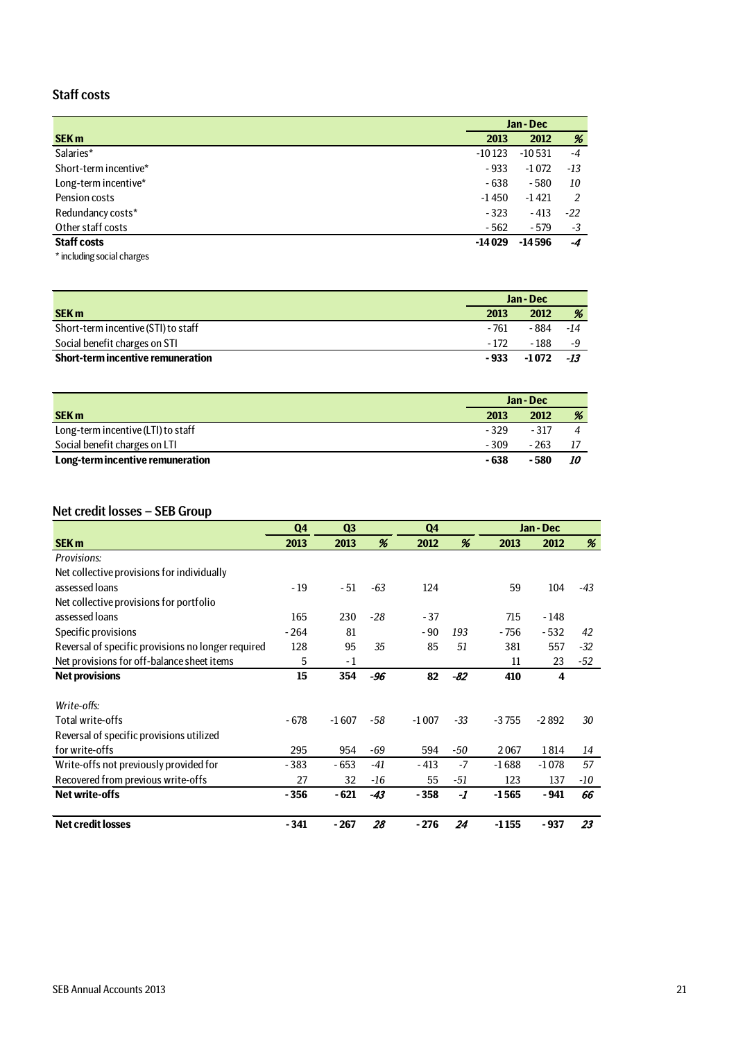## Staff costs

|                                               |          | Jan - Dec |       |  |
|-----------------------------------------------|----------|-----------|-------|--|
| <b>SEK m</b>                                  | 2013     | 2012      | %     |  |
| Salaries*                                     | $-10123$ | $-10531$  | $-4$  |  |
| Short-term incentive*                         | $-933$   | $-1072$   | -13   |  |
| Long-term incentive*                          | $-638$   | $-580$    | 10    |  |
| Pension costs                                 | $-1450$  | $-1421$   | 2     |  |
| Redundancy costs*                             | $-323$   | $-413$    | $-22$ |  |
| Other staff costs                             | $-562$   | $-579$    | -3    |  |
| <b>Staff costs</b>                            | $-14029$ | $-14596$  | $-4$  |  |
| Activities the company of the later services. |          |           |       |  |

\* including social charges

|                                     | Jan - Dec |          |     |
|-------------------------------------|-----------|----------|-----|
| <b>SEK m</b>                        | 2013      | 2012     | %   |
| Short-term incentive (STI) to staff | - 761     | -884 -14 |     |
| Social benefit charges on STI       | - 172     | - 188    | - 4 |
| Short-term incentive remuneration   | - 933     | -1 072   | -13 |

|                                    | Jan - Dec |        |           |
|------------------------------------|-----------|--------|-----------|
| <b>SEK m</b>                       | 2013      | 2012   | %         |
| Long-term incentive (LTI) to staff | $-329$    | $-317$ |           |
| Social benefit charges on LTI      | $-309$    | $-263$ | -17       |
| Long-term incentive remuneration   | - 638     | - 580  | <i>10</i> |

### Net credit losses – SEB Group

|                                                    | Q <sub>4</sub> | Q <sub>3</sub> |       | Q <sub>4</sub> |       |         | Jan - Dec |       |
|----------------------------------------------------|----------------|----------------|-------|----------------|-------|---------|-----------|-------|
| <b>SEK m</b>                                       | 2013           | 2013           | %     | 2012           | %     | 2013    | 2012      | %     |
| Provisions:                                        |                |                |       |                |       |         |           |       |
| Net collective provisions for individually         |                |                |       |                |       |         |           |       |
| assessed loans                                     | $-19$          | $-51$          | $-63$ | 124            |       | 59      | 104       | $-43$ |
| Net collective provisions for portfolio            |                |                |       |                |       |         |           |       |
| assessed loans                                     | 165            | 230            | $-28$ | $-37$          |       | 715     | $-148$    |       |
| Specific provisions                                | $-264$         | 81             |       | $-90$          | 193   | $-756$  | $-532$    | 42    |
| Reversal of specific provisions no longer required | 128            | 95             | 35    | 85             | 51    | 381     | 557       | $-32$ |
| Net provisions for off-balance sheet items         | 5              | - 1            |       |                |       | 11      | 23        | -52   |
| <b>Net provisions</b>                              | 15             | 354            | $-96$ | 82             | $-82$ | 410     | 4         |       |
|                                                    |                |                |       |                |       |         |           |       |
| Write-offs:                                        |                |                |       |                |       |         |           |       |
| Total write-offs                                   | - 678          | $-1607$        | -58   | $-1007$        | $-33$ | $-3755$ | $-2892$   | 30    |
| Reversal of specific provisions utilized           |                |                |       |                |       |         |           |       |
| for write-offs                                     | 295            | 954            | -69   | 594            | -50   | 2067    | 1814      | 14    |
| Write-offs not previously provided for             | $-383$         | - 653          | $-41$ | $-413$         | $-7$  | $-1688$ | $-1078$   | 57    |
| Recovered from previous write-offs                 | 27             | 32             | -16   | 55             | -51   | 123     | 137       | -10   |
| <b>Net write-offs</b>                              | $-356$         | $-621$         | $-43$ | $-358$         | -1    | $-1565$ | $-941$    | 66    |
| <b>Net credit losses</b>                           | - 341          | $-267$         | 28    | $-276$         | 24    | $-1155$ | - 937     | 23    |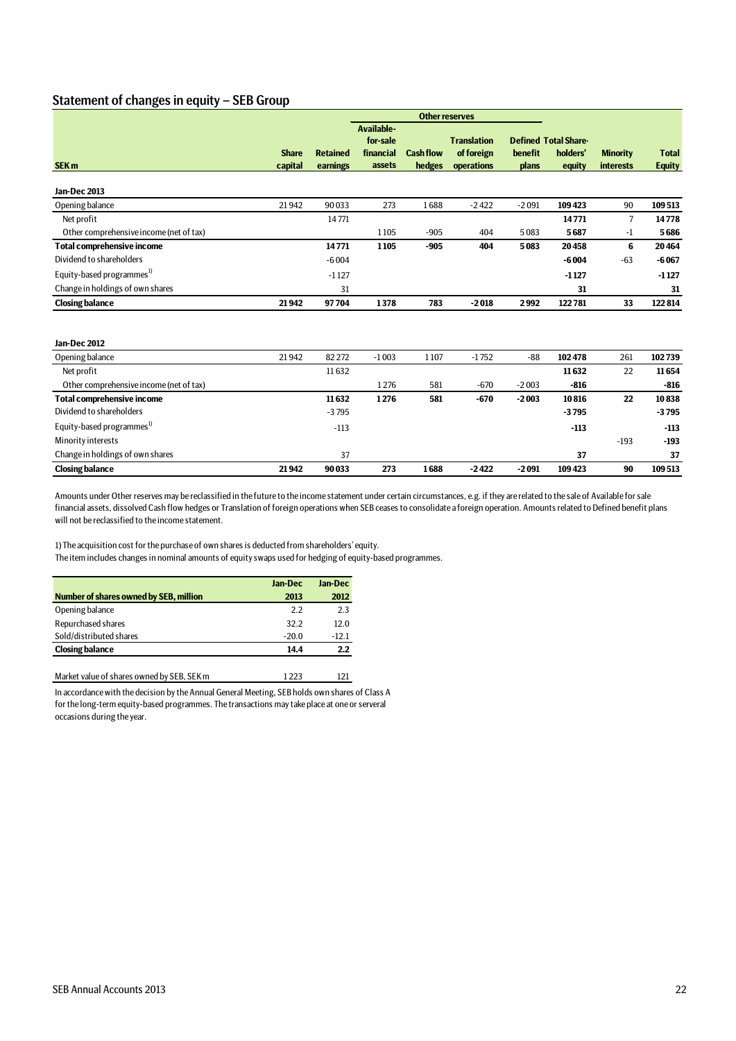### Statement of changes in equity – SEB Group

|                                         |                         |                 |                                                      |                  | <b>Other reserves</b>            |              |                                         |                                     |               |
|-----------------------------------------|-------------------------|-----------------|------------------------------------------------------|------------------|----------------------------------|--------------|-----------------------------------------|-------------------------------------|---------------|
| SEK <sub>m</sub>                        | <b>Share</b><br>capital | <b>Retained</b> | <b>Available-</b><br>for-sale<br>financial<br>assets | <b>Cash flow</b> | <b>Translation</b><br>of foreign | benefit      | <b>Defined Total Share-</b><br>holders' | <b>Minority</b><br><b>interests</b> | <b>Total</b>  |
|                                         |                         | earnings        |                                                      | hedges           | operations                       | <b>plans</b> | equity                                  |                                     | <b>Equity</b> |
| Jan-Dec 2013                            |                         |                 |                                                      |                  |                                  |              |                                         |                                     |               |
| Opening balance                         | 21942                   | 90033           | 273                                                  | 1688             | $-2422$                          | $-2091$      | 109423                                  | 90                                  | 109513        |
| Net profit                              |                         | 14771           |                                                      |                  |                                  |              | 14771                                   | $\overline{7}$                      | 14778         |
| Other comprehensive income (net of tax) |                         |                 | 1105                                                 | $-905$           | 404                              | 5083         | 5687                                    | $-1$                                | 5686          |
| <b>Total comprehensive income</b>       |                         | 14771           | 1105                                                 | $-905$           | 404                              | 5083         | 20458                                   | 6                                   | 20464         |
| Dividend to shareholders                |                         | $-6004$         |                                                      |                  |                                  |              | $-6004$                                 | $-63$                               | $-6067$       |
| Equity-based programmes <sup>1)</sup>   |                         | $-1127$         |                                                      |                  |                                  |              | $-1127$                                 |                                     | $-1127$       |
| Change in holdings of own shares        |                         | 31              |                                                      |                  |                                  |              | 31                                      |                                     | 31            |
| <b>Closing balance</b>                  | 21942                   | 97704           | 1378                                                 | 783              | $-2018$                          | 2992         | 122781                                  | 33                                  | 122814        |
|                                         |                         |                 |                                                      |                  |                                  |              |                                         |                                     |               |
| Jan-Dec 2012                            |                         |                 |                                                      |                  |                                  |              |                                         |                                     |               |
| Opening balance                         | 21942                   | 82 272          | $-1003$                                              | 1107             | $-1752$                          | -88          | 102478                                  | 261                                 | 102739        |
| Net profit                              |                         | 11632           |                                                      |                  |                                  |              | 11632                                   | 22                                  | 11654         |
| $\bigcap_{i=1}^{n}$                     |                         |                 | 1.27c                                                | F01              | 070                              | 2002         | 01C                                     |                                     | 010           |

| <b>Closing balance</b>                  | 21942 | 90033   | 273   | 1688 | $-2422$ | $-2091$ | 109423  | 90     | 109513  |
|-----------------------------------------|-------|---------|-------|------|---------|---------|---------|--------|---------|
| Change in holdings of own shares        |       | 37      |       |      |         |         | 37      |        | 37      |
| Minority interests                      |       |         |       |      |         |         |         | $-193$ | $-193$  |
| Equity-based programmes <sup>1)</sup>   |       | $-113$  |       |      |         |         | $-113$  |        | $-113$  |
| Dividend to shareholders                |       | $-3795$ |       |      |         |         | $-3795$ |        | $-3795$ |
| <b>Total comprehensive income</b>       |       | 11632   | 1276  | 581  | $-670$  | $-2003$ | 10816   | 22     | 10838   |
| Other comprehensive income (net of tax) |       |         | 1 276 | 581  | $-670$  | $-2003$ | $-816$  |        | $-816$  |
| Net profit                              |       | 11 632  |       |      |         |         | 11 632  | 22     | 11 654  |

Amounts under Other reserves may be reclassified in the future to the income statement under certain circumstances, e.g. if they are related to the sale of Available for sale financial assets, dissolved Cash flow hedges or Translation of foreign operations when SEB ceases to consolidate a foreign operation. Amounts related to Defined benefit plans will not be reclassified to the income statement.

1) The acquisition cost for the purchase of own shares is deducted from shareholders' equity. The item includes changes in nominal amounts of equity swaps used for hedging of equity-based programmes.

| Jan-Dec | Jan-Dec |
|---------|---------|
| 2013    | 2012    |
| 2.2     | 2.3     |
| 32.2    | 12.0    |
| $-20.0$ | $-12.1$ |
| 14.4    | 2.2     |
|         |         |

Market value of shares owned by SEB, SEK m 1223 121

In accordance with the decision by the Annual General Meeting, SEB holds own shares of Class A for the long-term equity-based programmes. The transactions may take place at one or serveral occasions during the year.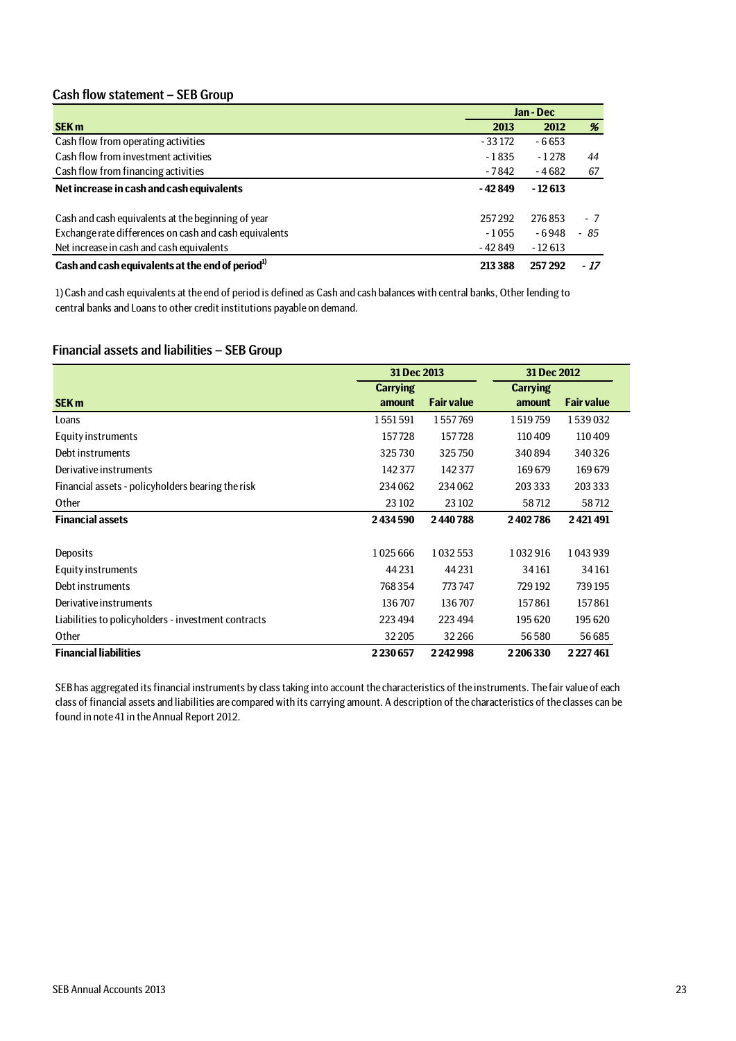### Cash flow statement – SEB Group

|                                                              | Jan - Dec |          |      |  |
|--------------------------------------------------------------|-----------|----------|------|--|
| <b>SEK m</b>                                                 | 2013      | 2012     | %    |  |
| Cash flow from operating activities                          | $-33172$  | $-6653$  |      |  |
| Cash flow from investment activities                         | $-1835$   | $-1278$  | 44   |  |
| Cash flow from financing activities                          | -7842     | -4682    | 67   |  |
| Net increase in cash and cash equivalents                    | - 42 849  | $-12613$ |      |  |
| Cash and cash equivalents at the beginning of year           | 257292    | 276853   | - 7  |  |
| Exchange rate differences on cash and cash equivalents       | $-1055$   | $-6948$  | - 85 |  |
| Net increase in cash and cash equivalents                    | $-42849$  | $-12613$ |      |  |
| Cash and cash equivalents at the end of period <sup>1)</sup> | 213 388   | 257292   | - 17 |  |

1) Cash and cash equivalents at the end of period is defined as Cash and cash balances with central banks, Other lending to central banks and Loans to other credit institutions payable on demand.

### Financial assets and liabilities – SEB Group

|                                                     | 31 Dec 2013     |                   | 31 Dec 2012     |                   |  |
|-----------------------------------------------------|-----------------|-------------------|-----------------|-------------------|--|
|                                                     | <b>Carrying</b> |                   | <b>Carrying</b> |                   |  |
| <b>SEK m</b>                                        | amount          | <b>Fair value</b> | amount          | <b>Fair value</b> |  |
| Loans                                               | 1551591         | 1557769           | 1519759         | 1539032           |  |
| Equity instruments                                  | 157728          | 157728            | 110409          | 110409            |  |
| Debt instruments                                    | 325730          | 325750            | 340894          | 340326            |  |
| Derivative instruments                              | 142 377         | 142 377           | 169679          | 169679            |  |
| Financial assets - policyholders bearing the risk   | 234062          | 234062            | 203 333         | 203 333           |  |
| Other                                               | 23 102          | 23 10 2           | 58712           | 58712             |  |
| <b>Financial assets</b>                             | 2434590         | 2440788           | 2402786         | 2421491           |  |
|                                                     |                 |                   |                 |                   |  |
| Deposits                                            | 1025666         | 1032553           | 1032916         | 1043939           |  |
| Equity instruments                                  | 44 2 31         | 44 2 31           | 34161           | 34161             |  |
| Debt instruments                                    | 768354          | 773 747           | 729 192         | 739195            |  |
| Derivative instruments                              | 136707          | 136707            | 157861          | 157861            |  |
| Liabilities to policyholders - investment contracts | 223 494         | 223 494           | 195 620         | 195 620           |  |
| Other                                               | 32 205          | 32 2 66           | 56580           | 56685             |  |
| <b>Financial liabilities</b>                        | 2230657         | 2242998           | 2206330         | 2227461           |  |

SEB has aggregated its financial instruments by class taking into account the characteristics of the instruments. The fair value of each class of financial assets and liabilities are compared with its carrying amount. A description of the characteristics of the classes can be found in note 41 in the Annual Report 2012.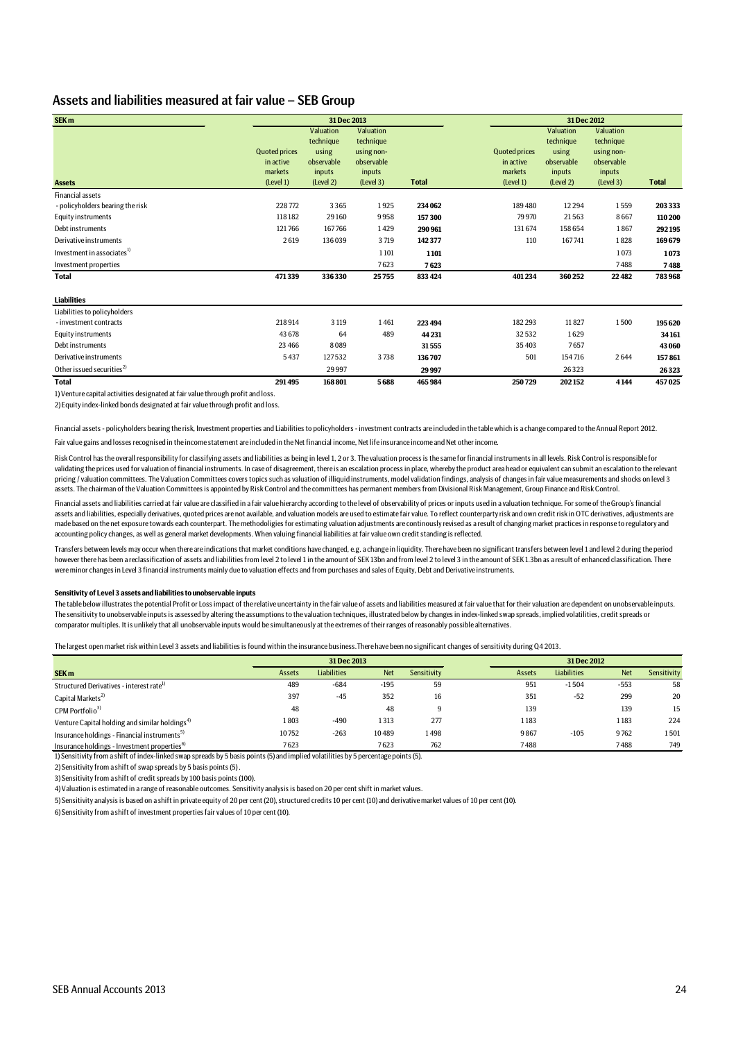### Assets and liabilities measured at fair value – SEB Group

| SEK <sub>m</sub>                       |                                                           | 31 Dec 2013                                                          |                                                                           |              |                                                           | 31 Dec 2012                                                          |                                                                           |              |  |  |
|----------------------------------------|-----------------------------------------------------------|----------------------------------------------------------------------|---------------------------------------------------------------------------|--------------|-----------------------------------------------------------|----------------------------------------------------------------------|---------------------------------------------------------------------------|--------------|--|--|
| <b>Assets</b>                          | <b>Quoted prices</b><br>in active<br>markets<br>(Level 1) | Valuation<br>technique<br>using<br>observable<br>inputs<br>(Level 2) | Valuation<br>technique<br>using non-<br>observable<br>inputs<br>(Level 3) | <b>Total</b> | <b>Quoted prices</b><br>in active<br>markets<br>(Level 1) | Valuation<br>technique<br>using<br>observable<br>inputs<br>(Level 2) | Valuation<br>technique<br>using non-<br>observable<br>inputs<br>(Level 3) | <b>Total</b> |  |  |
| <b>Financial assets</b>                |                                                           |                                                                      |                                                                           |              |                                                           |                                                                      |                                                                           |              |  |  |
| - policyholders bearing the risk       | 228772                                                    | 3365                                                                 | 1925                                                                      | 234 062      | 189480                                                    | 12 2 9 4                                                             | 1559                                                                      | 203 333      |  |  |
| Equity instruments                     | 118182                                                    | 29160                                                                | 9958                                                                      | 157300       | 79970                                                     | 21563                                                                | 8667                                                                      | 110 200      |  |  |
| Debt instruments                       | 121766                                                    | 167766                                                               | 1429                                                                      | 290961       | 131674                                                    | 158 654                                                              | 1867                                                                      | 292195       |  |  |
| Derivative instruments                 | 2619                                                      | 136039                                                               | 3719                                                                      | 142377       | 110                                                       | 167741                                                               | 1828                                                                      | 169679       |  |  |
| Investment in associates <sup>1)</sup> |                                                           |                                                                      | 1101                                                                      | 1101         |                                                           |                                                                      | 1073                                                                      | 1073         |  |  |
| Investment properties                  |                                                           |                                                                      | 7623                                                                      | 7623         |                                                           |                                                                      | 7488                                                                      | 7488         |  |  |
| <b>Total</b>                           | 471339                                                    | 336330                                                               | 25755                                                                     | 833 424      | 401234                                                    | 360 252                                                              | 22482                                                                     | 783968       |  |  |
| <b>Liabilities</b>                     |                                                           |                                                                      |                                                                           |              |                                                           |                                                                      |                                                                           |              |  |  |
| Liabilities to policyholders           |                                                           |                                                                      |                                                                           |              |                                                           |                                                                      |                                                                           |              |  |  |
| - investment contracts                 | 218914                                                    | 3 1 1 9                                                              | 1461                                                                      | 223 494      | 182 293                                                   | 11827                                                                | 1500                                                                      | 195620       |  |  |
| <b>Equity instruments</b>              | 43 678                                                    | 64                                                                   | 489                                                                       | 44 2 31      | 32532                                                     | 1629                                                                 |                                                                           | 34161        |  |  |
| Debt instruments                       | 23 4 66                                                   | 8089                                                                 |                                                                           | 31555        | 35403                                                     | 7657                                                                 |                                                                           | 43 060       |  |  |
| Derivative instruments                 | 5437                                                      | 127532                                                               | 3738                                                                      | 136707       | 501                                                       | 154716                                                               | 2644                                                                      | 157861       |  |  |
| Other issued securities <sup>2)</sup>  |                                                           | 29997                                                                |                                                                           | 29997        |                                                           | 26323                                                                |                                                                           | 26323        |  |  |
| <b>Total</b>                           | 291495                                                    | 168801                                                               | 5688                                                                      | 465984       | 250729                                                    | 202152                                                               | 4144                                                                      | 457025       |  |  |

1) Venture capital activities designated at fair value through profit and loss.

2) Equity index-linked bonds designated at fair value through profit and loss.

Financial assets - policyholders bearing the risk, Investment properties and Liabilities to policyholders - investment contracts are included in the table which is a change compared to the Annual Report 2012.

Fair value gains and losses recognised in the income statement are included in the Net financial income, Net life insurance income and Net other income.

Risk Control has the overall responsibility for classifying assets and liabilities as being in level 1, 2 or 3. The valuation process is the same for financial instruments in all levels. Risk Control is responsible for validating the prices used for valuation of financial instruments. In case of disagreement, there is an escalation process in place, whereby the product area head or equivalent can submit an escalation to the relevant pricing / valuation committees. The Valuation Committees covers topics such as valuation of illiquid instruments, model validation findings, analysis of changes in fair value measurements and shocks on level 3 assets. The chairman of the Valuation Committees is appointed by Risk Control and the committees has permanent members from Divisional Risk Management, Group Finance and Risk Control.

Financial assets and liabilities carried at fair value are classified in a fair value hierarchy according to the level of observability of prices or inputs used in a valuation technique. For some of the Group's financial assets and liabilities, especially derivatives, quoted prices are not available, and valuation models are used to estimate fair value. To reflect counterparty risk and own credit risk in OTC derivatives, adjustments are made based on the net exposure towards each counterpart. The methodoligies for estimating valuation adjustments are continously revised as a result of changing market practices in response to regulatory and accounting policy changes, as well as general market developments. When valuing financial liabilities at fair value own credit standing is reflected.

Transfers between levels may occur when there are indications that market conditions have changed, e.g. a change in liquidity. There have been no significant transfers between level 1 and level 2 during the period however there has been a reclassification of assets and liabilities from level 2 to level 1 in the amount of SEK 13bn and from level 2 to level 3 in the amount of SEK 1.3bn as a result of enhanced classification. There were minor changes in Level 3 financial instruments mainly due to valuation effects and from purchases and sales of Equity, Debt and Derivative instruments.

#### **Sensitivity of Level 3 assets and liabilities to unobservable inputs**

The table below illustrates the potential Profit or Loss impact of the relative uncertainty in the fair value of assets and liabilities measured at fair value that for their valuation are dependent on unobservable inputs. The sensitivity to unobservable inputs is assessed by altering the assumptions to the valuation techniques, illustrated below by changes in index-linked swap spreads, implied volatilities, credit spreads or comparator multiples. It is unlikely that all unobservable inputs would be simultaneously at the extremes of their ranges of reasonably possible alternatives.

The largest open market risk within Level 3 assets and liabilities is found within the insurance business.There have been no significant changes of sensitivity during Q4 2013.

|                                                                                                                                     | 31 Dec 2013 |                    |            |             | 31 Dec 2012 |             |            |             |
|-------------------------------------------------------------------------------------------------------------------------------------|-------------|--------------------|------------|-------------|-------------|-------------|------------|-------------|
| SEK <sub>m</sub>                                                                                                                    | Assets      | <b>Liabilities</b> | <b>Net</b> | Sensitivity | Assets      | Liabilities | <b>Net</b> | Sensitivity |
| Structured Derivatives - interest rate <sup>1</sup>                                                                                 | 489         | $-684$             | $-195$     | 59          | 951         | $-1504$     | $-553$     | 58          |
| Capital Markets <sup>2)</sup>                                                                                                       | 397         | $-45$              | 352        | 16          | 351         | $-52$       | 299        | 20          |
| CPM Portfolio <sup>3)</sup>                                                                                                         | 48          |                    | 48         | q           | 139         |             | 139        | 15          |
| Venture Capital holding and similar holdings <sup>4)</sup>                                                                          | 1803        | $-490$             | 1313       | 277         | 1183        |             | 1183       | 224         |
| Insurance holdings - Financial instruments <sup>5)</sup>                                                                            | 10752       | $-263$             | 10489      | 1498        | 9867        | $-105$      | 9762       | 1501        |
| Insurance holdings - Investment properties <sup>6)</sup>                                                                            | 7623        |                    | 7623       | 762         | 7488        |             | 7488       | 749         |
| 1) Sensitivity from a shift of index-linked swap spreads by 5 basis points (5) and implied volatilities by 5 percentage points (5). |             |                    |            |             |             |             |            |             |

2) Sensitivity from a shift of swap spreads by 5 basis points (5) .

3) Sensitivity from a shift of credit spreads by 100 basis points (100).

4) Valuation is estimated in a range of reasonable outcomes. Sensitivity analysis is based on 20 per cent shift in market values.

5) Sensitivity analysis is based on a shift in private equity of 20 per cent (20), structured credits 10 per cent (10) and derivative market values of 10 per cent (10).

6) Sensitivity from a shift of investment properties fair values of 10 per cent (10).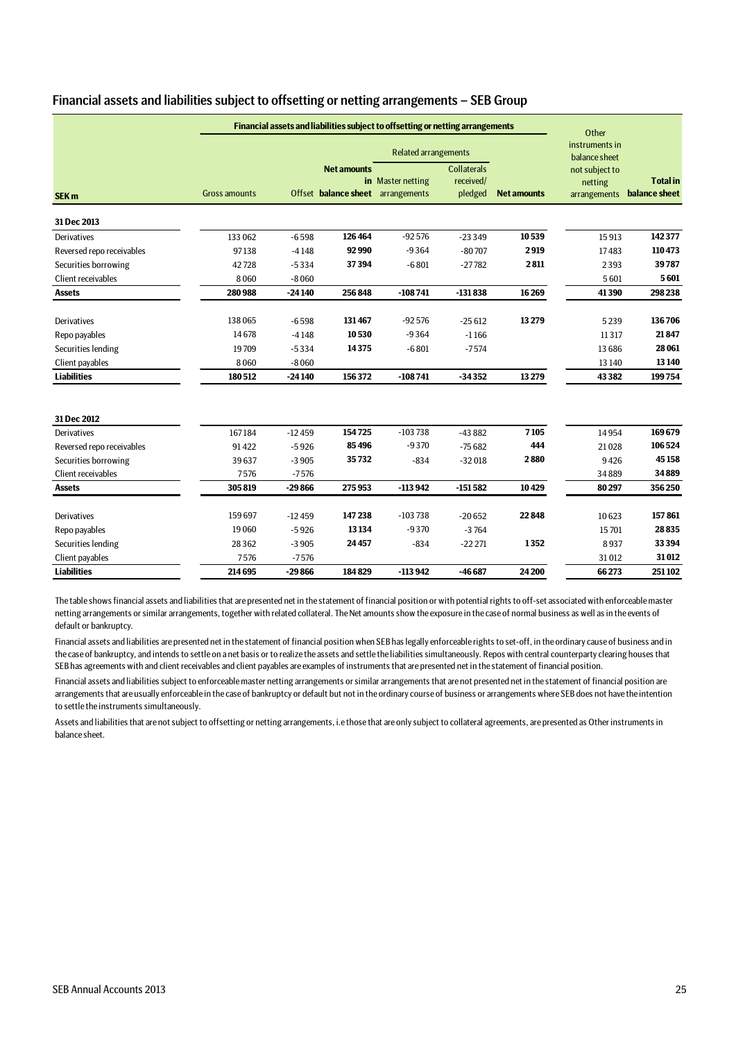|                           |                      |          |                                                         | Financial assets and liabilities subject to offsetting or netting arrangements |                                            |                    | Other                                     |                                  |
|---------------------------|----------------------|----------|---------------------------------------------------------|--------------------------------------------------------------------------------|--------------------------------------------|--------------------|-------------------------------------------|----------------------------------|
|                           |                      |          |                                                         | <b>Related arrangements</b>                                                    |                                            |                    | instruments in<br>balance sheet           |                                  |
| <b>SEK m</b>              | <b>Gross amounts</b> |          | <b>Net amounts</b><br>Offset balance sheet arrangements | in Master netting                                                              | <b>Collaterals</b><br>received/<br>pledged | <b>Net amounts</b> | not subject to<br>netting<br>arrangements | <b>Total in</b><br>balance sheet |
| 31 Dec 2013               |                      |          |                                                         |                                                                                |                                            |                    |                                           |                                  |
| Derivatives               | 133 062              | $-6598$  | 126464                                                  | $-92576$                                                                       | $-23349$                                   | 10539              | 15913                                     | 142377                           |
| Reversed repo receivables | 97138                | $-4148$  | 92990                                                   | $-9364$                                                                        | $-80707$                                   | 2919               | 17483                                     | 110473                           |
| Securities borrowing      | 42728                | $-5334$  | 37394                                                   | $-6801$                                                                        | $-27782$                                   | 2811               | 2393                                      | 39787                            |
| Client receivables        | 8060                 | $-8060$  |                                                         |                                                                                |                                            |                    | 5601                                      | 5601                             |
| <b>Assets</b>             | 280988               | $-24140$ | 256848                                                  | $-108741$                                                                      | $-131838$                                  | 16 26 9            | 41390                                     | 298 238                          |
|                           |                      |          |                                                         |                                                                                |                                            |                    |                                           |                                  |
| Derivatives               | 138065               | $-6598$  | 131467                                                  | $-92576$                                                                       | $-25612$                                   | 13279              | 5239                                      | 136706                           |
| Repo payables             | 14678                | $-4148$  | 10530                                                   | $-9364$                                                                        | $-1166$                                    |                    | 11317                                     | 21847                            |
| Securities lending        | 19709                | $-5334$  | 14375                                                   | $-6801$                                                                        | $-7574$                                    |                    | 13 6 8 6                                  | 28 061                           |
| Client payables           | 8060                 | $-8060$  |                                                         |                                                                                |                                            |                    | 13 140                                    | 13 140                           |
| <b>Liabilities</b>        | 180512               | $-24140$ | 156372                                                  | $-108741$                                                                      | $-34352$                                   | 13 279             | 43 3 8 2                                  | 199754                           |
| 31 Dec 2012               |                      |          |                                                         |                                                                                |                                            |                    |                                           |                                  |
| Derivatives               | 167184               | $-12459$ | 154725                                                  | $-103738$                                                                      | $-43882$                                   | 7105               | 14954                                     | 169679                           |
| Reversed repo receivables | 91422                | $-5926$  | 85496                                                   | $-9370$                                                                        | $-75682$                                   | 444                | 21028                                     | 106524                           |
| Securities borrowing      | 39637                | $-3905$  | 35732                                                   | $-834$                                                                         | $-32018$                                   | 2880               | 9426                                      | 45158                            |
| Client receivables        | 7576                 | $-7576$  |                                                         |                                                                                |                                            |                    | 34889                                     | 34889                            |
| <b>Assets</b>             | 305819               | $-29866$ | 275953                                                  | $-113942$                                                                      | $-151582$                                  | 10429              | 80297                                     | 356 250                          |
|                           |                      |          |                                                         |                                                                                |                                            |                    |                                           |                                  |
| Derivatives               | 159697               | $-12459$ | 147238                                                  | $-103738$                                                                      | $-20652$                                   | 22848              | 10623                                     | 157861                           |
| Repo payables             | 19060                | $-5926$  | 13134                                                   | $-9370$                                                                        | $-3764$                                    |                    | 15701                                     | 28835                            |
| Securities lending        | 28362                | $-3905$  | 24457                                                   | $-834$                                                                         | $-22221$                                   | 1352               | 8937                                      | 33 3 94                          |
| Client payables           | 7576                 | $-7576$  |                                                         |                                                                                |                                            |                    | 31012                                     | 31012                            |
| <b>Liabilities</b>        | 214695               | $-29866$ | 184829                                                  | $-113942$                                                                      | $-46687$                                   | 24 200             | 66273                                     | 251102                           |

### Financial assets and liabilities subject to offsetting or netting arrangements – SEB Group

The table shows financial assets and liabilities that are presented net in the statement of financial position or with potential rights to off-set associated with enforceable master netting arrangements or similar arrangements, together with related collateral. The Net amounts show the exposure in the case of normal business as well as in the events of default or bankruptcy.

Financial assets and liabilities are presented net in the statement of financial position when SEB has legally enforceable rights to set-off, in the ordinary cause of business and in the case of bankruptcy, and intends to settle on a net basis or to realize the assets and settle the liabilities simultaneously. Repos with central counterparty clearing houses that SEB has agreements with and client receivables and client payables are examples of instruments that are presented net in the statement of financial position.

Financial assets and liabilities subject to enforceable master netting arrangements or similar arrangements that are not presented net in the statement of financial position are arrangements that are usually enforceable in the case of bankruptcy or default but not in the ordinary course of business or arrangements where SEB does not have the intention to settle the instruments simultaneously.

Assets and liabilities that are not subject to offsetting or netting arrangements, i.e those that are only subject to collateral agreements, are presented as Other instruments in balance sheet.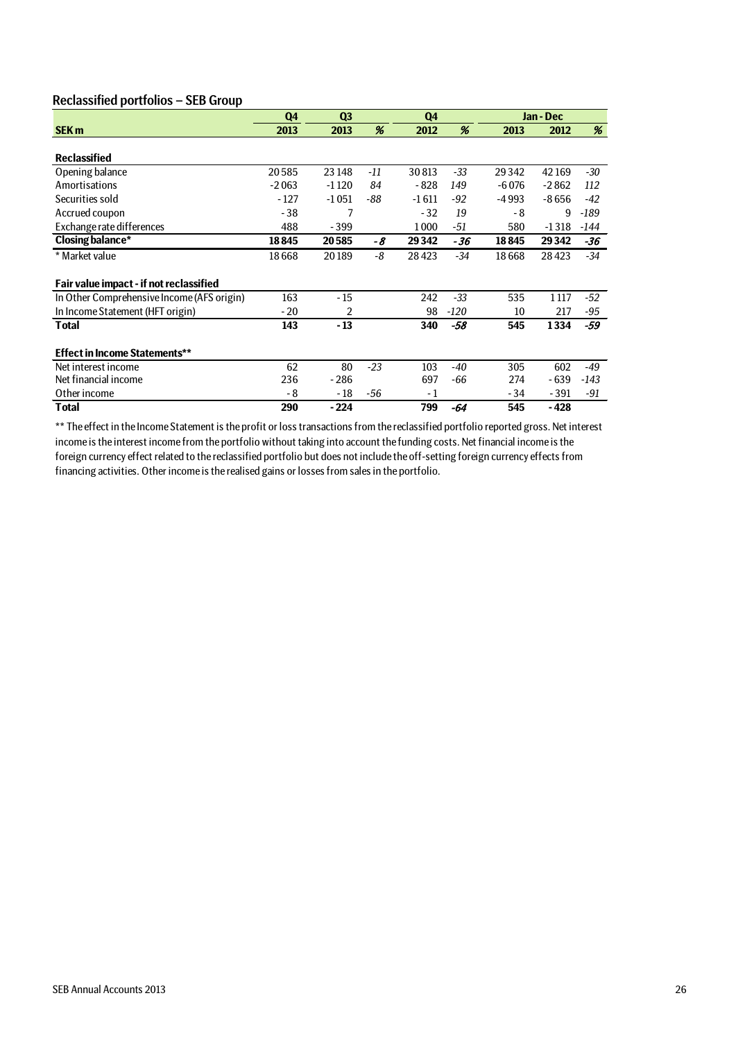### Reclassified portfolios – SEB Group

|                                            | Q4      | Q <sub>3</sub> |       | Q4      |        |         | Jan - Dec |        |
|--------------------------------------------|---------|----------------|-------|---------|--------|---------|-----------|--------|
| <b>SEK m</b>                               | 2013    | 2013           | %     | 2012    | %      | 2013    | 2012      | %      |
|                                            |         |                |       |         |        |         |           |        |
| <b>Reclassified</b>                        |         |                |       |         |        |         |           |        |
| Opening balance                            | 20585   | 23 148         | -11   | 30813   | -33    | 29342   | 42169     | -30    |
| Amortisations                              | $-2063$ | $-1120$        | 84    | $-828$  | 149    | $-6076$ | $-2862$   | 112    |
| Securities sold                            | $-127$  | $-1051$        | -88   | $-1611$ | $-92$  | -4993   | $-8656$   | $-42$  |
| Accrued coupon                             | $-38$   | 7              |       | $-32$   | 19     | - 8     | 9         | $-189$ |
| Exchange rate differences                  | 488     | $-399$         |       | 1000    | -51    | 580     | $-1318$   | -144   |
| <b>Closing balance*</b>                    | 18845   | 20585          | -8    | 29342   | -36    | 18845   | 29342     | -36    |
| * Market value                             | 18668   | 20189          | -8    | 28423   | -34    | 18668   | 28423     | -34    |
|                                            |         |                |       |         |        |         |           |        |
| Fair value impact - if not reclassified    |         |                |       |         |        |         |           |        |
| In Other Comprehensive Income (AFS origin) | 163     | $-15$          |       | 242     | -33    | 535     | 1 1 1 7   | -52    |
| In Income Statement (HFT origin)           | $-20$   | 2              |       | 98      | $-120$ | 10      | 217       | -95    |
| Total                                      | 143     | $-13$          |       | 340     | $-58$  | 545     | 1334      | -59    |
|                                            |         |                |       |         |        |         |           |        |
| <b>Effect in Income Statements**</b>       |         |                |       |         |        |         |           |        |
| Net interest income                        | 62      | 80             | $-23$ | 103     | -40    | 305     | 602       | -49    |
| Net financial income                       | 236     | $-286$         |       | 697     | -66    | 274     | - 639     | $-143$ |
| Other income                               | - 8     | - 18           | -56   | - 1     |        | - 34    | $-391$    | -91    |
| Total                                      | 290     | - 224          |       | 799     | -64    | 545     | - 428     |        |

\*\* The effect in the Income Statement is the profit or loss transactions from the reclassified portfolio reported gross. Net interest income is the interest income from the portfolio without taking into account the funding costs. Net financial income is the foreign currency effect related to the reclassified portfolio but does not include the off-setting foreign currency effects from financing activities. Other income is the realised gains or losses from sales in the portfolio.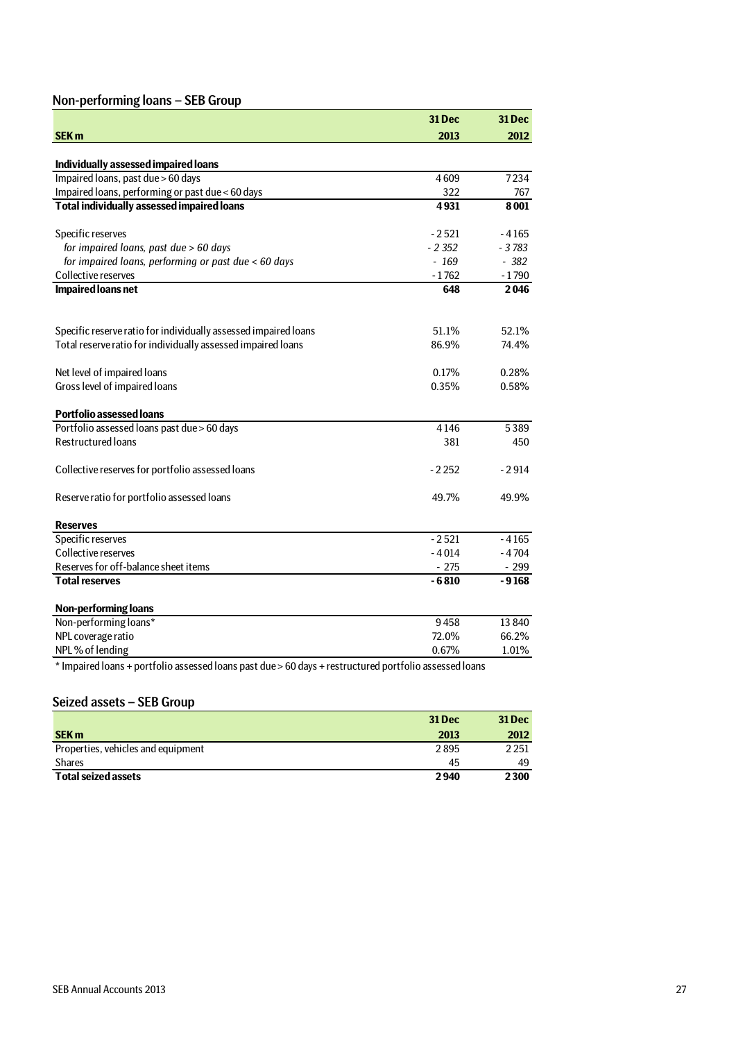## Non-performing loans – SEB Group

|                                                                                                        | 31 Dec   | <b>31 Dec</b> |
|--------------------------------------------------------------------------------------------------------|----------|---------------|
| <b>SEK m</b>                                                                                           | 2013     | 2012          |
|                                                                                                        |          |               |
| Individually assessed impaired loans                                                                   |          |               |
| Impaired loans, past due > 60 days                                                                     | 4609     | 7234          |
| Impaired loans, performing or past due < 60 days                                                       | 322      | 767           |
| <b>Total individually assessed impaired loans</b>                                                      | 4931     | 8001          |
| Specific reserves                                                                                      | $-2521$  | $-4165$       |
| for impaired loans, past due > 60 days                                                                 | $-2.352$ | $-3783$       |
| for impaired loans, performing or past due < 60 days                                                   | - 169    | $-382$        |
| Collective reserves                                                                                    | $-1762$  | $-1790$       |
| <b>Impaired loans net</b>                                                                              | 648      | 2046          |
| Specific reserve ratio for individually assessed impaired loans                                        | 51.1%    | 52.1%         |
| Total reserve ratio for individually assessed impaired loans                                           | 86.9%    | 74.4%         |
|                                                                                                        |          |               |
| Net level of impaired loans                                                                            | 0.17%    | 0.28%         |
| Gross level of impaired loans                                                                          | 0.35%    | 0.58%         |
| <b>Portfolio assessed loans</b>                                                                        |          |               |
| Portfolio assessed loans past due > 60 days                                                            | 4146     | 5389          |
| <b>Restructured loans</b>                                                                              | 381      | 450           |
| Collective reserves for portfolio assessed loans                                                       | $-2252$  | - 2914        |
| Reserve ratio for portfolio assessed loans                                                             | 49.7%    | 49.9%         |
| <b>Reserves</b>                                                                                        |          |               |
| Specific reserves                                                                                      | $-2521$  | - 4165        |
| Collective reserves                                                                                    | $-4014$  | $-4704$       |
| Reserves for off-balance sheet items                                                                   | $-275$   | $-299$        |
| <b>Total reserves</b>                                                                                  | $-6810$  | $-9168$       |
| <b>Non-performing loans</b>                                                                            |          |               |
| Non-performing loans*                                                                                  | 9458     | 13 840        |
| NPL coverage ratio                                                                                     | 72.0%    | 66.2%         |
| NPL% of lending                                                                                        | 0.67%    | 1.01%         |
| * Impaired loans + portfolio assessed loans past due > 60 days + restructured portfolio assessed loans |          |               |

### Seized assets – SEB Group

|                                    | <b>31 Dec</b> | 31 Dec  |
|------------------------------------|---------------|---------|
| <b>SEK m</b>                       | 2013          | 2012    |
| Properties, vehicles and equipment | 2895          | 2 2 5 1 |
| <b>Shares</b>                      | 45            | 49      |
| <b>Total seized assets</b>         | 2940          | 2300    |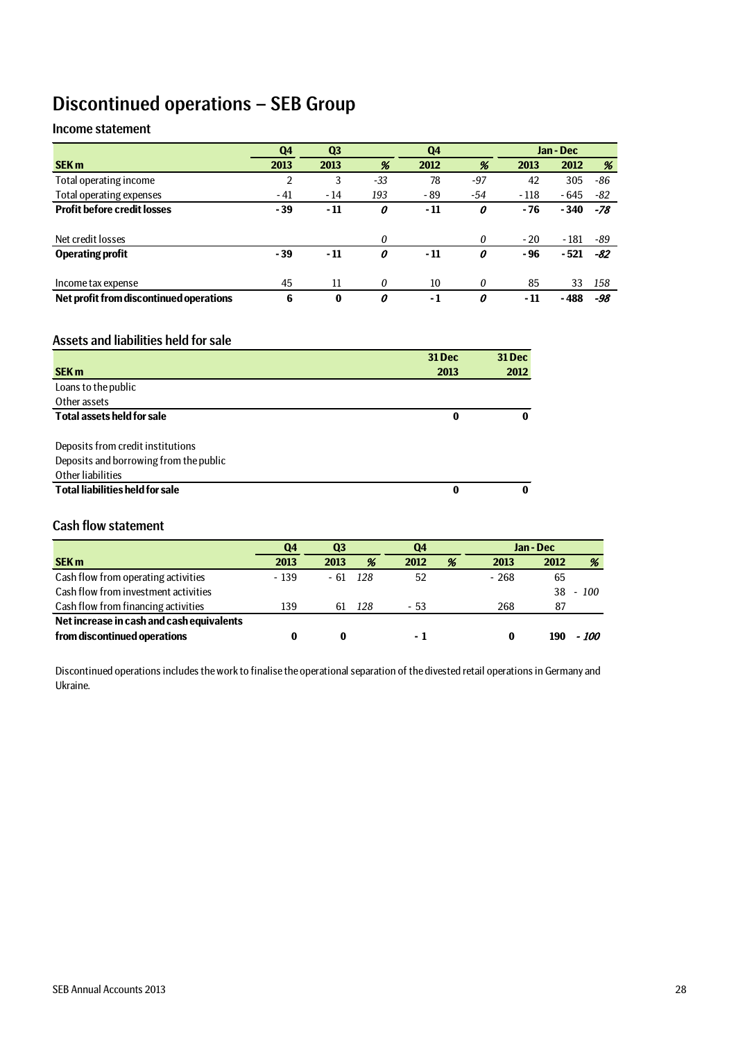## Discontinued operations – SEB Group

## Income statement

|                                         | Q <sub>4</sub> | Q <sub>3</sub> |       | Q <sub>4</sub> |       |        | Jan - Dec |     |
|-----------------------------------------|----------------|----------------|-------|----------------|-------|--------|-----------|-----|
| <b>SEK m</b>                            | 2013           | 2013           | %     | 2012           | %     | 2013   | 2012      | %   |
| Total operating income                  |                | 3              | $-33$ | 78             | $-97$ | 42     | 305       | -86 |
| Total operating expenses                | $-41$          | - 14           | 193   | - 89           | -54   | $-118$ | - 645     | -82 |
| <b>Profit before credit losses</b>      | - 39           | - 11           | 0     | - 11           | 0     | - 76   | $-340$    | -78 |
|                                         |                |                |       |                |       |        |           |     |
| Net credit losses                       |                |                | 0     |                | 0     | $-20$  | $-181$    | -89 |
| <b>Operating profit</b>                 | - 39           | - 11           | 0     | - 11           | 0     | - 96   | - 521     | -82 |
|                                         |                |                |       |                |       |        |           |     |
| Income tax expense                      | 45             | 11             | 0     | 10             | 0     | 85     | 33        | 158 |
| Net profit from discontinued operations | 6              | $\bf{0}$       | 0     | - 1            | 0     | - 11   | - 488     | -98 |

### Assets and liabilities held for sale

|                                        | 31 Dec | 31 Dec |
|----------------------------------------|--------|--------|
| <b>SEK m</b>                           | 2013   | 2012   |
| Loans to the public                    |        |        |
| Other assets                           |        |        |
| <b>Total assets held for sale</b>      | 0      | 0      |
|                                        |        |        |
| Deposits from credit institutions      |        |        |
| Deposits and borrowing from the public |        |        |
| Other liabilities                      |        |        |
| <b>Total liabilities held for sale</b> | 0      | 0      |

## Cash flow statement

|                                           | Q4     |      | Q <sub>3</sub><br>Q4 |      |   | Jan - Dec |      |       |
|-------------------------------------------|--------|------|----------------------|------|---|-----------|------|-------|
| <b>SEK m</b>                              | 2013   | 2013 | %                    | 2012 | % | 2013      | 2012 | %     |
| Cash flow from operating activities       | $-139$ | - 61 | - 128                | 52   |   | $-268$    | 65   |       |
| Cash flow from investment activities      |        |      |                      |      |   |           | 38   | -100  |
| Cash flow from financing activities       | 139    | 61   | 128                  | - 53 |   | 268       | 87   |       |
| Net increase in cash and cash equivalents |        |      |                      |      |   |           |      |       |
| from discontinued operations              |        | 0    |                      | - 1  |   | 0         | 190  | - 100 |

Discontinued operations includes the work to finalise the operational separation of the divested retail operations in Germany and Ukraine.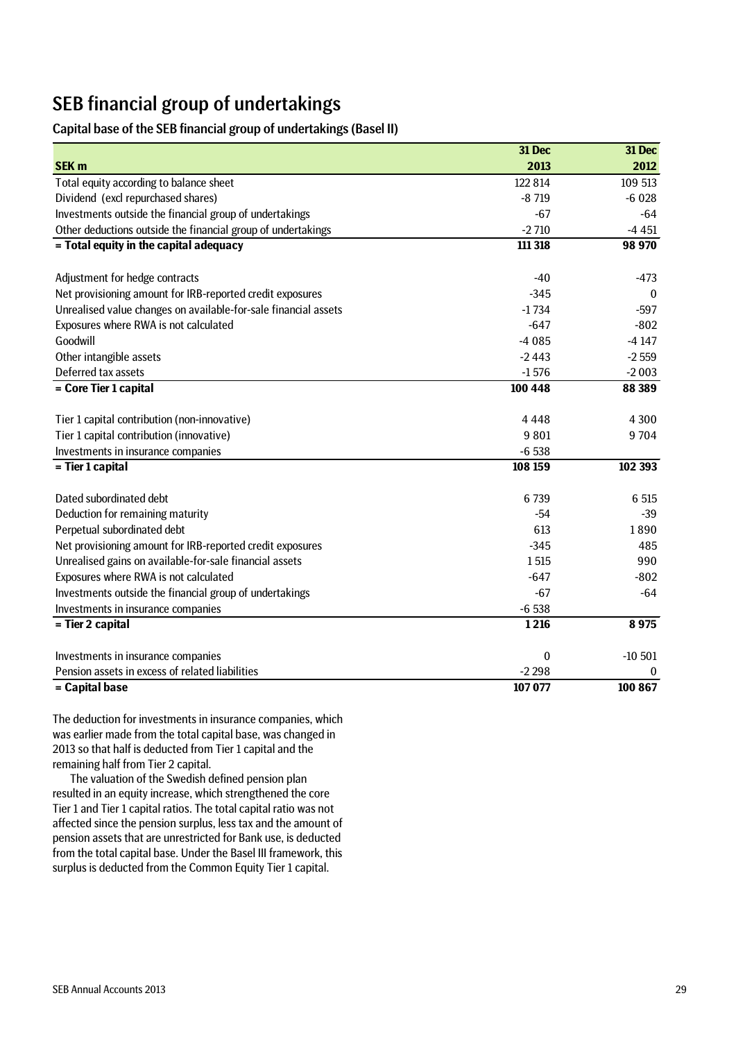## SEB financial group of undertakings

### Capital base of the SEB financial group of undertakings (Basel II)

|                                                                 | 31 Dec      | 31 Dec       |
|-----------------------------------------------------------------|-------------|--------------|
| <b>SEK m</b>                                                    | 2013        | 2012         |
| Total equity according to balance sheet                         | 122 814     | 109 513      |
| Dividend (excl repurchased shares)                              | $-8719$     | $-6028$      |
| Investments outside the financial group of undertakings         | $-67$       | $-64$        |
| Other deductions outside the financial group of undertakings    | $-2710$     | $-4451$      |
| = Total equity in the capital adequacy                          | 111 318     | 98 970       |
| Adjustment for hedge contracts                                  | $-40$       | $-473$       |
| Net provisioning amount for IRB-reported credit exposures       | $-345$      | $\mathbf{0}$ |
| Unrealised value changes on available-for-sale financial assets | $-1734$     | $-597$       |
| Exposures where RWA is not calculated                           | $-647$      | $-802$       |
| Goodwill                                                        | $-4085$     | $-4147$      |
| Other intangible assets                                         | $-2443$     | $-2559$      |
| Deferred tax assets                                             | $-1576$     | $-2003$      |
| = Core Tier 1 capital                                           | 100 448     | 88 389       |
|                                                                 |             |              |
| Tier 1 capital contribution (non-innovative)                    | 4448        | 4 3 0 0      |
| Tier 1 capital contribution (innovative)                        | 9 8 0 1     | 9704         |
| Investments in insurance companies                              | $-6538$     |              |
| = Tier 1 capital                                                | 108 159     | 102 393      |
| Dated subordinated debt                                         | 6739        | 6 5 15       |
| Deduction for remaining maturity                                | $-54$       | $-39$        |
| Perpetual subordinated debt                                     | 613         | 1890         |
| Net provisioning amount for IRB-reported credit exposures       | $-345$      | 485          |
| Unrealised gains on available-for-sale financial assets         | 1515        | 990          |
| Exposures where RWA is not calculated                           | $-647$      | $-802$       |
| Investments outside the financial group of undertakings         | $-67$       | $-64$        |
| Investments in insurance companies                              | $-6538$     |              |
| = Tier 2 capital                                                | 1216        | 8975         |
| Investments in insurance companies                              | $\mathbf 0$ | $-10501$     |
| Pension assets in excess of related liabilities                 | $-2298$     | $\bf{0}$     |
| = Capital base                                                  | 107 077     | 100 867      |

The deduction for investments in insurance companies, which was earlier made from the total capital base, was changed in 2013 so that half is deducted from Tier 1 capital and the remaining half from Tier 2 capital.

The valuation of the Swedish defined pension plan resulted in an equity increase, which strengthened the core Tier 1 and Tier 1 capital ratios. The total capital ratio was not affected since the pension surplus, less tax and the amount of pension assets that are unrestricted for Bank use, is deducted from the total capital base. Under the Basel III framework, this surplus is deducted from the Common Equity Tier 1 capital.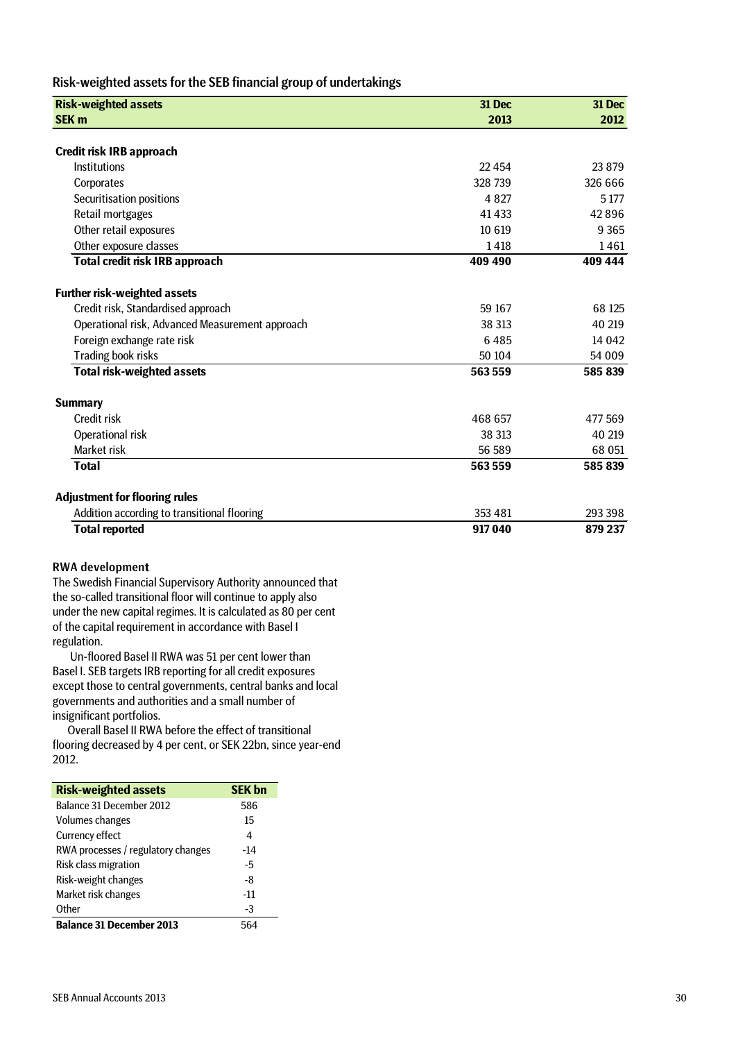### Risk-weighted assets for the SEB financial group of undertakings

| <b>Risk-weighted assets</b>                     | 31 Dec   | 31 Dec  |
|-------------------------------------------------|----------|---------|
| <b>SEK m</b>                                    | 2013     | 2012    |
|                                                 |          |         |
| Credit risk IRB approach                        |          |         |
| Institutions                                    | 22 4 5 4 | 23879   |
| Corporates                                      | 328 739  | 326 666 |
| Securitisation positions                        | 4 8 2 7  | 5 1 7 7 |
| Retail mortgages                                | 41433    | 42896   |
| Other retail exposures                          | 10 6 19  | 9 3 6 5 |
| Other exposure classes                          | 1418     | 1461    |
| Total credit risk IRB approach                  | 409 490  | 409 444 |
| <b>Further risk-weighted assets</b>             |          |         |
| Credit risk, Standardised approach              | 59 167   | 68 125  |
| Operational risk, Advanced Measurement approach | 38 313   | 40 219  |
| Foreign exchange rate risk                      | 6485     | 14 042  |
| Trading book risks                              | 50 104   | 54 009  |
| <b>Total risk-weighted assets</b>               | 563559   | 585 839 |
| <b>Summary</b>                                  |          |         |
| Credit risk                                     | 468 657  | 477 569 |
| Operational risk                                | 38 313   | 40 219  |
| Market risk                                     | 56 589   | 68 051  |
| <b>Total</b>                                    | 563559   | 585 839 |
| <b>Adjustment for flooring rules</b>            |          |         |
| Addition according to transitional flooring     | 353 481  | 293 398 |
| <b>Total reported</b>                           | 917040   | 879 237 |

### RWA developmen**t**

The Swedish Financial Supervisory Authority announced that the so-called transitional floor will continue to apply also under the new capital regimes. It is calculated as 80 per cent of the capital requirement in accordance with Basel I regulation.

Un-floored Basel II RWA was 51 per cent lower than Basel I. SEB targets IRB reporting for all credit exposures except those to central governments, central banks and local governments and authorities and a small number of insignificant portfolios.

Overall Basel II RWA before the effect of transitional flooring decreased by 4 per cent, or SEK 22bn, since year-end 2012.

| <b>Risk-weighted assets</b>        | <b>SEK bn</b> |
|------------------------------------|---------------|
| Balance 31 December 2012           | 586           |
| Volumes changes                    | 15            |
| Currency effect                    | 4             |
| RWA processes / regulatory changes | -14           |
| Risk class migration               | -5            |
| Risk-weight changes                | -8            |
| Market risk changes                | $-11$         |
| Other                              | -3            |
| <b>Balance 31 December 2013</b>    |               |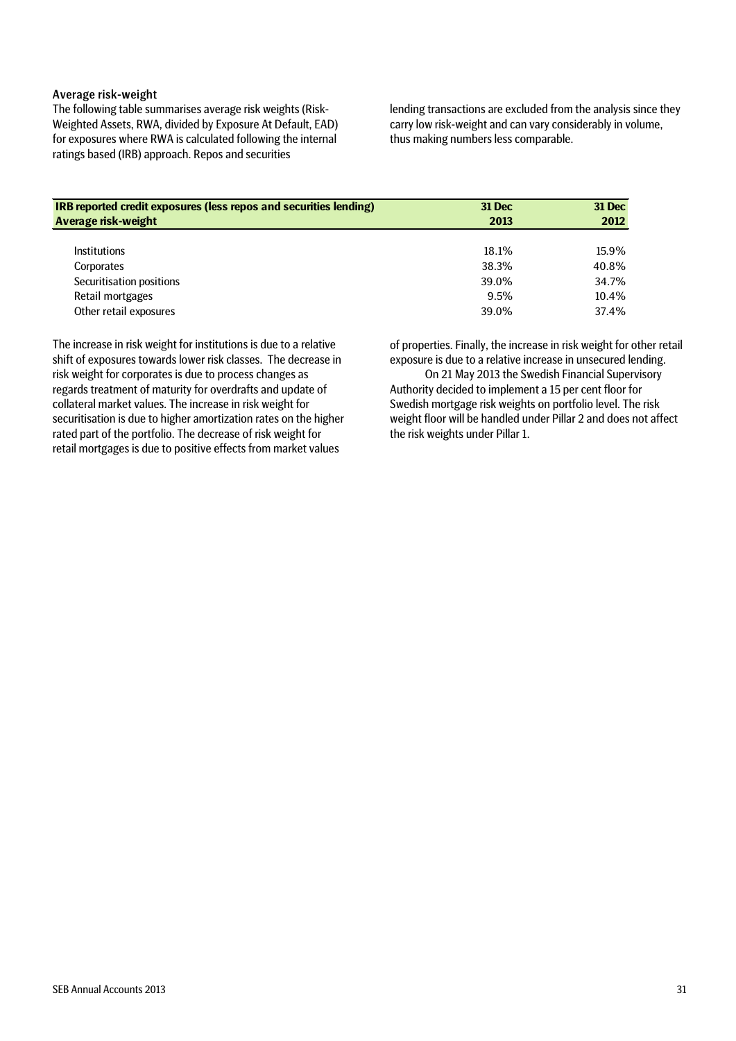### Average risk-weight

The following table summarises average risk weights (Risk-Weighted Assets, RWA, divided by Exposure At Default, EAD) for exposures where RWA is calculated following the internal ratings based (IRB) approach. Repos and securities

lending transactions are excluded from the analysis since they carry low risk-weight and can vary considerably in volume, thus making numbers less comparable.

| <b>IRB reported credit exposures (less repos and securities lending)</b> | <b>31 Dec</b> | <b>31 Dec</b> |
|--------------------------------------------------------------------------|---------------|---------------|
| <b>Average risk-weight</b>                                               | 2013          | 2012          |
|                                                                          |               |               |
| <b>Institutions</b>                                                      | 18.1%         | 15.9%         |
| Corporates                                                               | 38.3%         | 40.8%         |
| Securitisation positions                                                 | 39.0%         | 34.7%         |
| Retail mortgages                                                         | 9.5%          | 10.4%         |
| Other retail exposures                                                   | 39.0%         | 37.4%         |

The increase in risk weight for institutions is due to a relative shift of exposures towards lower risk classes. The decrease in risk weight for corporates is due to process changes as regards treatment of maturity for overdrafts and update of collateral market values. The increase in risk weight for securitisation is due to higher amortization rates on the higher rated part of the portfolio. The decrease of risk weight for retail mortgages is due to positive effects from market values

of properties. Finally, the increase in risk weight for other retail exposure is due to a relative increase in unsecured lending.

On 21 May 2013 the Swedish Financial Supervisory Authority decided to implement a 15 per cent floor for Swedish mortgage risk weights on portfolio level. The risk weight floor will be handled under Pillar 2 and does not affect the risk weights under Pillar 1.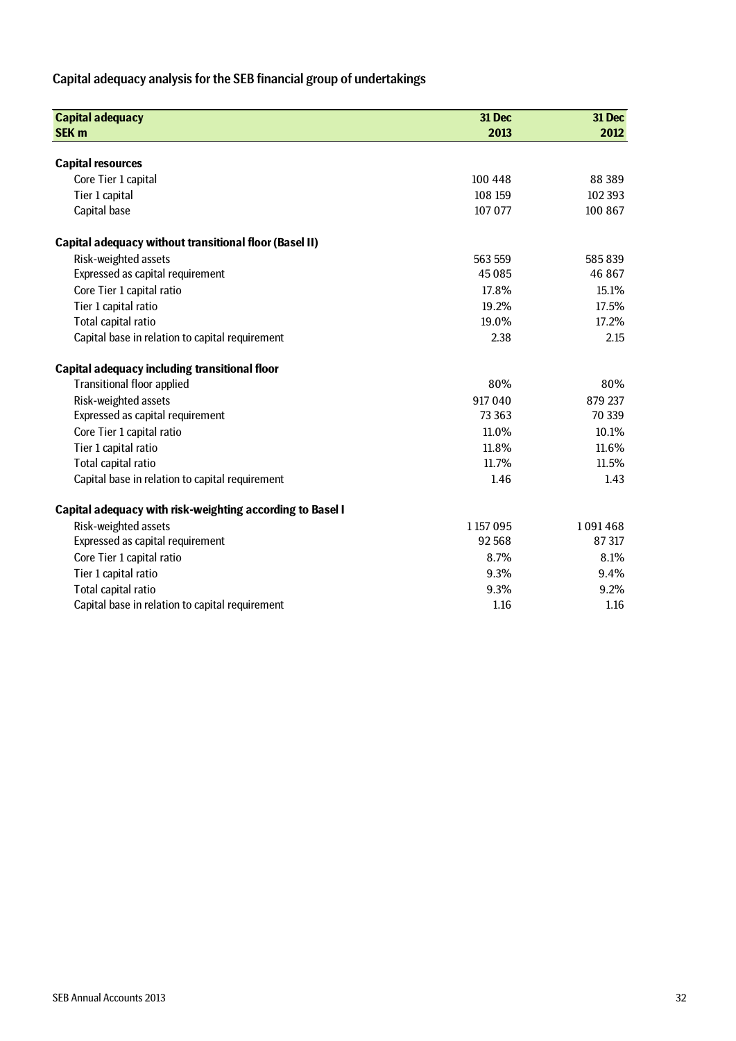## Capital adequacy analysis for the SEB financial group of undertakings

| <b>Capital adequacy</b>                                       | 31 Dec      | 31 Dec  |
|---------------------------------------------------------------|-------------|---------|
| <b>SEK m</b>                                                  | 2013        | 2012    |
|                                                               |             |         |
| <b>Capital resources</b>                                      |             |         |
| Core Tier 1 capital                                           | 100 448     | 88 389  |
| Tier 1 capital                                                | 108 159     | 102 393 |
| Capital base                                                  | 107 077     | 100 867 |
| <b>Capital adequacy without transitional floor (Basel II)</b> |             |         |
| Risk-weighted assets                                          | 563 559     | 585839  |
| Expressed as capital requirement                              | 45085       | 46 867  |
| Core Tier 1 capital ratio                                     | 17.8%       | 15.1%   |
| Tier 1 capital ratio                                          | 19.2%       | 17.5%   |
| Total capital ratio                                           | 19.0%       | 17.2%   |
| Capital base in relation to capital requirement               | 2.38        | 2.15    |
| Capital adequacy including transitional floor                 |             |         |
| <b>Transitional floor applied</b>                             | 80%         | 80%     |
| Risk-weighted assets                                          | 917040      | 879 237 |
| Expressed as capital requirement                              | 73 363      | 70 339  |
| Core Tier 1 capital ratio                                     | 11.0%       | 10.1%   |
| Tier 1 capital ratio                                          | 11.8%       | 11.6%   |
| Total capital ratio                                           | 11.7%       | 11.5%   |
| Capital base in relation to capital requirement               | 1.46        | 1.43    |
| Capital adequacy with risk-weighting according to Basel I     |             |         |
| Risk-weighted assets                                          | 1 1 57 0 95 | 1091468 |
| Expressed as capital requirement                              | 92568       | 87 317  |
| Core Tier 1 capital ratio                                     | 8.7%        | 8.1%    |
| Tier 1 capital ratio                                          | 9.3%        | 9.4%    |
| Total capital ratio                                           | 9.3%        | 9.2%    |
| Capital base in relation to capital requirement               | 1.16        | 1.16    |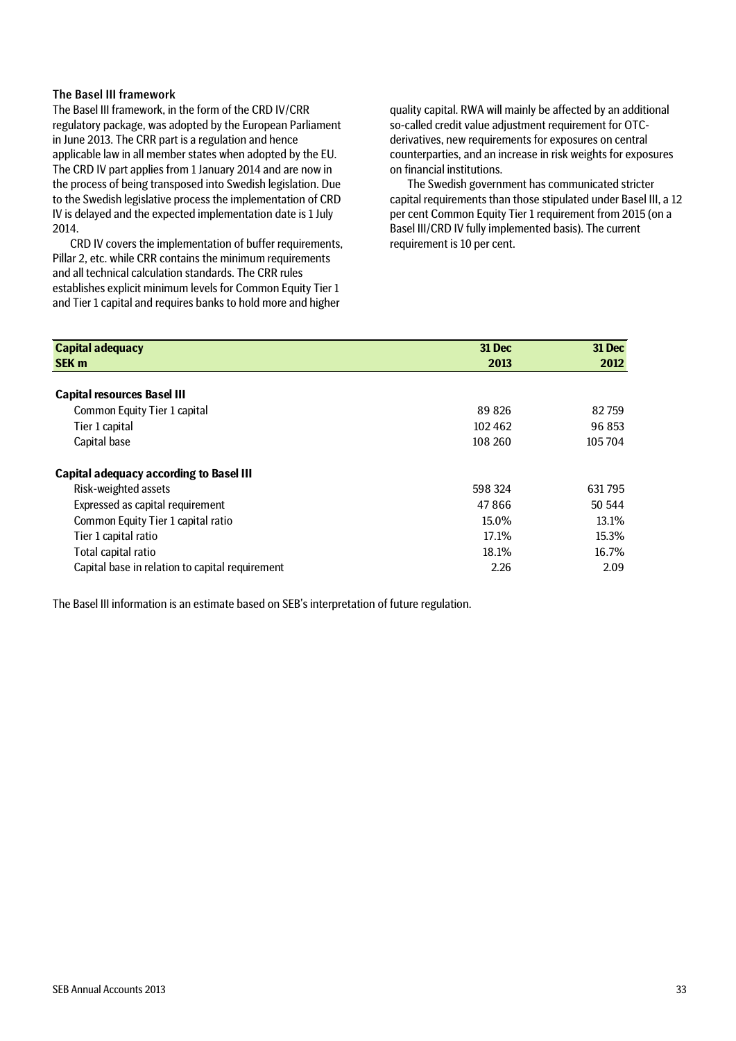### The Basel III framework

The Basel III framework, in the form of the CRD IV/CRR regulatory package, was adopted by the European Parliament in June 2013. The CRR part is a regulation and hence applicable law in all member states when adopted by the EU. The CRD IV part applies from 1 January 2014 and are now in the process of being transposed into Swedish legislation. Due to the Swedish legislative process the implementation of CRD IV is delayed and the expected implementation date is 1 July 2014.

CRD IV covers the implementation of buffer requirements, Pillar 2, etc. while CRR contains the minimum requirements and all technical calculation standards. The CRR rules establishes explicit minimum levels for Common Equity Tier 1 and Tier 1 capital and requires banks to hold more and higher

quality capital. RWA will mainly be affected by an additional so-called credit value adjustment requirement for OTCderivatives, new requirements for exposures on central counterparties, and an increase in risk weights for exposures on financial institutions.

The Swedish government has communicated stricter capital requirements than those stipulated under Basel III, a 12 per cent Common Equity Tier 1 requirement from 2015 (on a Basel III/CRD IV fully implemented basis). The current requirement is 10 per cent.

| <b>Capital adequacy</b>                         | 31 Dec  | 31 Dec |
|-------------------------------------------------|---------|--------|
| <b>SEK m</b>                                    | 2013    | 2012   |
| <b>Capital resources Basel III</b>              |         |        |
| Common Equity Tier 1 capital                    | 89826   | 82759  |
| Tier 1 capital                                  | 102462  | 96 853 |
| Capital base                                    | 108 260 | 105704 |
| <b>Capital adequacy according to Basel III</b>  |         |        |
| Risk-weighted assets                            | 598 324 | 631795 |
| Expressed as capital requirement                | 47866   | 50 544 |
| Common Equity Tier 1 capital ratio              | 15.0%   | 13.1%  |
| Tier 1 capital ratio                            | 17.1%   | 15.3%  |
| Total capital ratio                             | 18.1%   | 16.7%  |
| Capital base in relation to capital requirement | 2.26    | 2.09   |

The Basel III information is an estimate based on SEB's interpretation of future regulation.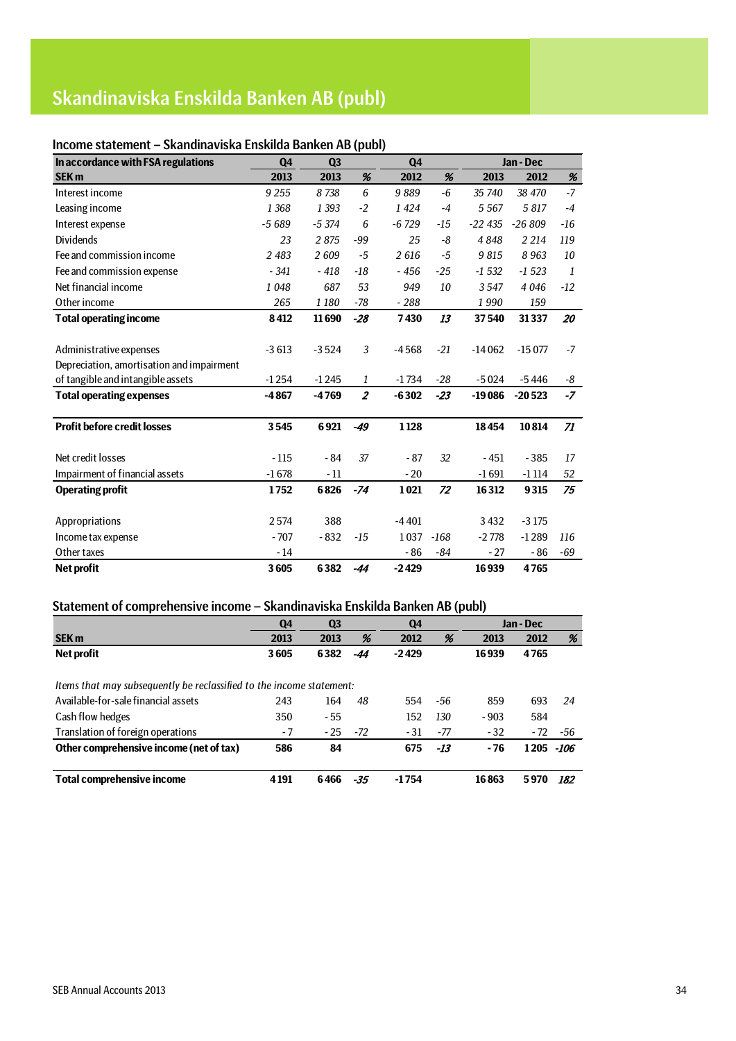## Skandinaviska Enskilda Banken AB (publ)

## Income statement – Skandinaviska Enskilda Banken AB (publ)

| In accordance with FSA regulations        | <b>Q4</b> | Q <sub>3</sub> |                | <b>Q4</b> |        |          | Jan - Dec |              |
|-------------------------------------------|-----------|----------------|----------------|-----------|--------|----------|-----------|--------------|
| <b>SEK m</b>                              | 2013      | 2013           | %              | 2012      | %      | 2013     | 2012      | %            |
| Interest income                           | 9 2 5 5   | 8738           | 6              | 9889      | $-6$   | 35 740   | 38 470    | $-7$         |
| Leasing income                            | 1 3 6 8   | 1 3 9 3        | $-2$           | 1424      | $-4$   | 5 5 6 7  | 5817      | $-4$         |
| Interest expense                          | $-5689$   | $-5374$        | 6              | $-6729$   | $-15$  | $-22435$ | $-26809$  | $-16$        |
| <b>Dividends</b>                          | 23        | 2875           | $-99$          | 25        | -8     | 4848     | 2 2 1 4   | 119          |
| Fee and commission income                 | 2 4 8 3   | 2609           | $-5$           | 2616      | $-5$   | 9815     | 8963      | 10           |
| Fee and commission expense                | $-341$    | $-418$         | $-18$          | $-456$    | $-25$  | $-1532$  | $-1523$   | $\mathbf{1}$ |
| Net financial income                      | 1048      | 687            | 53             | 949       | 10     | 3547     | 4 0 4 6   | $-12$        |
| Other income                              | 265       | 1 1 8 0        | $-78$          | $-288$    |        | 1990     | 159       |              |
| <b>Total operating income</b>             | 8412      | 11690          | $-28$          | 7430      | 13     | 37540    | 31337     | 20           |
|                                           |           |                |                |           |        |          |           |              |
| Administrative expenses                   | $-3613$   | $-3524$        | 3              | $-4568$   | $-21$  | $-14062$ | $-15077$  | $-7$         |
| Depreciation, amortisation and impairment |           |                |                |           |        |          |           |              |
| of tangible and intangible assets         | $-1254$   | $-1245$        | 1              | $-1734$   | $-28$  | $-5024$  | -5446     | -8           |
| <b>Total operating expenses</b>           | $-4867$   | $-4769$        | $\overline{2}$ | $-6302$   | $-23$  | $-19086$ | $-20523$  | $-7$         |
|                                           |           |                |                |           |        |          |           |              |
| <b>Profit before credit losses</b>        | 3545      | 6921           | $-49$          | 1128      |        | 18454    | 10814     | 71           |
|                                           |           |                |                |           |        |          |           |              |
| Net credit losses                         | $-115$    | - 84           | 37             | $-87$     | 32     | - 451    | $-385$    | 17           |
| Impairment of financial assets            | $-1678$   | $-11$          |                | $-20$     |        | $-1691$  | $-1114$   | 52           |
| <b>Operating profit</b>                   | 1752      | 6826           | $-74$          | 1021      | 72     | 16312    | 9315      | 75           |
|                                           |           |                |                |           |        |          |           |              |
| Appropriations                            | 2574      | 388            |                | $-4401$   |        | 3432     | $-3175$   |              |
| Income tax expense                        | $-707$    | $-832$         | -15            | 1037      | $-168$ | $-2778$  | $-1289$   | 116          |
| Other taxes                               | $-14$     |                |                | $-86$     | $-84$  | $-27$    | $-86$     | $-69$        |
| Net profit                                | 3605      | 6382           | -44            | $-2429$   |        | 16939    | 4765      |              |

## Statement of comprehensive income – Skandinaviska Enskilda Banken AB (publ)

|                                                                      | Q <sub>4</sub> | Q <sub>3</sub> |     | Q <sub>4</sub> |       |        | Jan - Dec |      |
|----------------------------------------------------------------------|----------------|----------------|-----|----------------|-------|--------|-----------|------|
| <b>SEK m</b>                                                         | 2013           | 2013           | %   | 2012           | %     | 2013   | 2012      | %    |
| Net profit                                                           | 3605           | 6382           | -44 | $-2429$        |       | 16939  | 4765      |      |
|                                                                      |                |                |     |                |       |        |           |      |
| Items that may subsequently be reclassified to the income statement: |                |                |     |                |       |        |           |      |
| Available-for-sale financial assets                                  | 243            | 164            | 48  | 554            | -56   | 859    | 693       | 24   |
| Cash flow hedges                                                     | 350            | - 55           |     | 152            | 130   | $-903$ | 584       |      |
| Translation of foreign operations                                    | - 7            | $-25$          | -72 | - 31           | -77   | $-32$  | $-72$     | -56  |
| Other comprehensive income (net of tax)                              | 586            | 84             |     | 675            | $-13$ | - 76   | 1205      | -106 |
|                                                                      |                |                |     |                |       |        |           |      |
| Total comprehensive income                                           | 4 1 9 1        | 6466           | -35 | $-1754$        |       | 16863  | 5970      | 182  |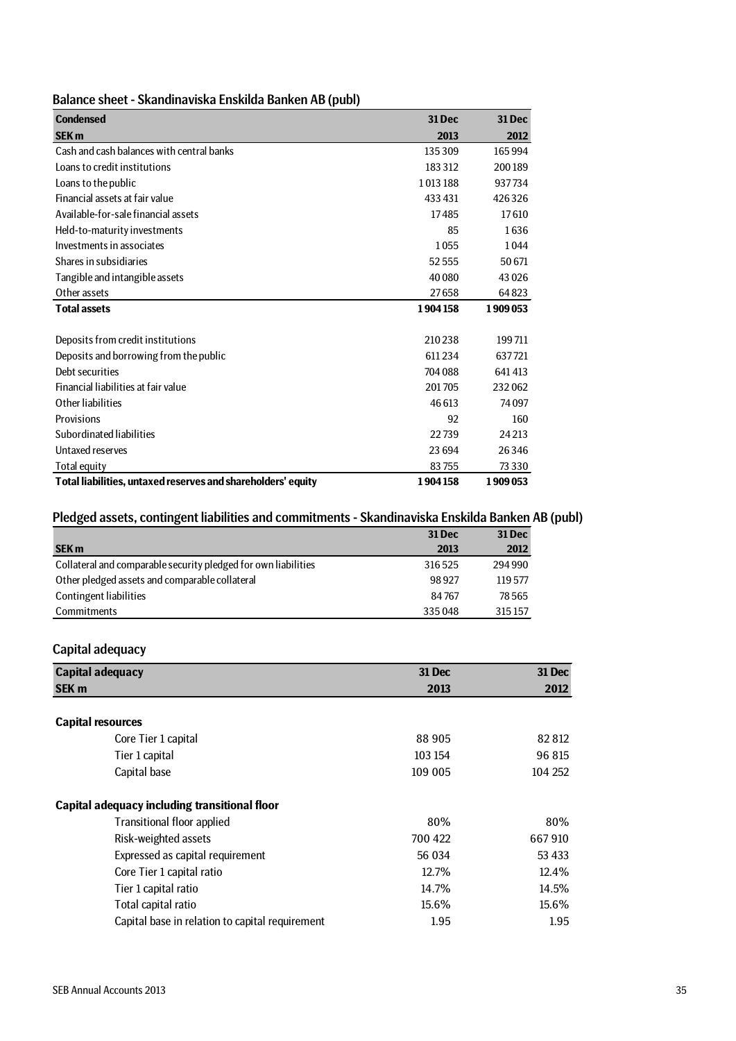| Balance sheet - Skandinaviska Enskilda Banken AB (publ) |  |
|---------------------------------------------------------|--|
|---------------------------------------------------------|--|

| <b>Condensed</b>                                             | 31 Dec  | <b>31 Dec</b> |
|--------------------------------------------------------------|---------|---------------|
| <b>SEK m</b>                                                 | 2013    | 2012          |
| Cash and cash balances with central banks                    | 135309  | 165994        |
| Loans to credit institutions                                 | 183312  | 200189        |
| Loans to the public                                          | 1013188 | 937734        |
| Financial assets at fair value                               | 433 431 | 426326        |
| Available-for-sale financial assets                          | 17485   | 17610         |
| Held-to-maturity investments                                 | 85      | 1636          |
| Investments in associates                                    | 1055    | 1044          |
| Shares in subsidiaries                                       | 52555   | 50671         |
| Tangible and intangible assets                               | 40 080  | 43 0 26       |
| Other assets                                                 | 27658   | 64823         |
| <b>Total assets</b>                                          | 1904158 | 1909053       |
|                                                              |         |               |
| Deposits from credit institutions                            | 210238  | 199711        |
| Deposits and borrowing from the public                       | 611234  | 637721        |
| Debt securities                                              | 704 088 | 641413        |
| Financial liabilities at fair value                          | 201705  | 232062        |
| Other liabilities                                            | 46 613  | 74097         |
| Provisions                                                   | 92      | 160           |
| Subordinated liabilities                                     | 22739   | 24 21 3       |
| Untaxed reserves                                             | 23694   | 26346         |
| Total equity                                                 | 83755   | 73 3 3 0      |
| Total liabilities, untaxed reserves and shareholders' equity | 1904158 | 1909053       |

## Pledged assets, contingent liabilities and commitments - Skandinaviska Enskilda Banken AB (publ)

|                                                                | <b>31 Dec</b> | <b>31 Dec</b> |
|----------------------------------------------------------------|---------------|---------------|
| <b>SEK m</b>                                                   | 2013          | 2012          |
| Collateral and comparable security pledged for own liabilities | 316525        | 294 990       |
| Other pledged assets and comparable collateral                 | 98927         | 119577        |
| Contingent liabilities                                         | 84 767        | 78565         |
| <b>Commitments</b>                                             | 335048        | 315157        |

## Capital adequacy

| <b>Capital adequacy</b>                         | 31 Dec  | 31 Dec  |
|-------------------------------------------------|---------|---------|
| <b>SEK m</b>                                    | 2013    | 2012    |
|                                                 |         |         |
| <b>Capital resources</b>                        |         |         |
| Core Tier 1 capital                             | 88 905  | 82812   |
| Tier 1 capital                                  | 103 154 | 96 815  |
| Capital base                                    | 109 005 | 104 252 |
| Capital adequacy including transitional floor   |         |         |
| <b>Transitional floor applied</b>               | 80%     | 80%     |
| Risk-weighted assets                            | 700 422 | 667910  |
| Expressed as capital requirement                | 56 034  | 53 433  |
| Core Tier 1 capital ratio                       | 12.7%   | 12.4%   |
| Tier 1 capital ratio                            | 14.7%   | 14.5%   |
| Total capital ratio                             | 15.6%   | 15.6%   |
| Capital base in relation to capital requirement | 1.95    | 1.95    |